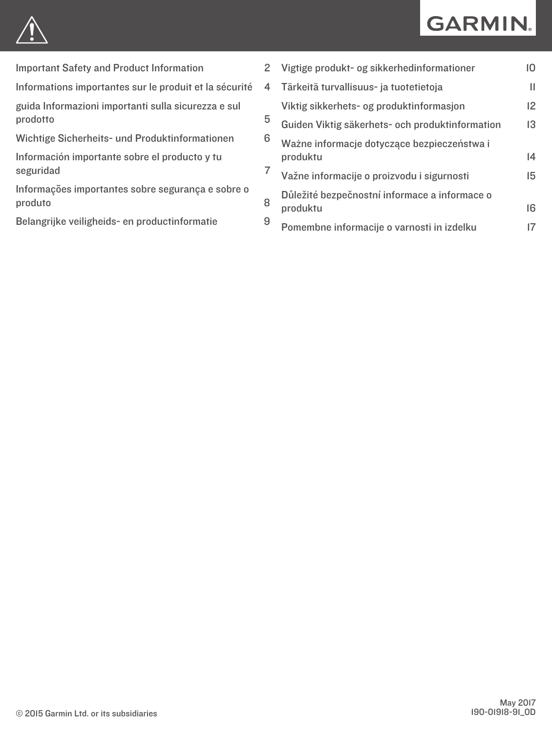# **GARMIN.**



[Important Safety and Product Information](#page-1-0) 2

[Informations importantes sur le produit et la sécurité](#page-3-0) 4

[guida Informazioni importanti sulla sicurezza e sul](#page-4-0)  [prodotto](#page-4-0)

[Wichtige Sicherheits- und Produktinformationen](#page-5-0) 6

[Información importante sobre el producto y tu](#page-6-0) [seguridad](#page-6-0) 7

[Informações importantes sobre segurança e sobre o](#page-7-0)  [produto](#page-7-0)

[Belangrijke veiligheids- en productinformatie](#page-8-0) 9

| $\overline{2}$ | Vigtige produkt- og sikkerhedinformationer                | 10           |
|----------------|-----------------------------------------------------------|--------------|
| 4              | Tärkeitä turvallisuus- ja tuotetietoja                    | $\mathbf{I}$ |
|                | Viktig sikkerhets- og produktinformasjon                  | 12           |
| 5              | Guiden Viktig säkerhets- och produktinformation           | 13           |
| 6              | Ważne informacje dotyczące bezpieczeństwa i<br>produktu   | 4            |
| 7              | Važne informacije o proizvodu i sigurnosti                | 15           |
| 8<br>9         | Důležité bezpečnostní informace a informace o<br>produktu | 16           |
|                | Pomembne informacije o varnosti in izdelku                | 17           |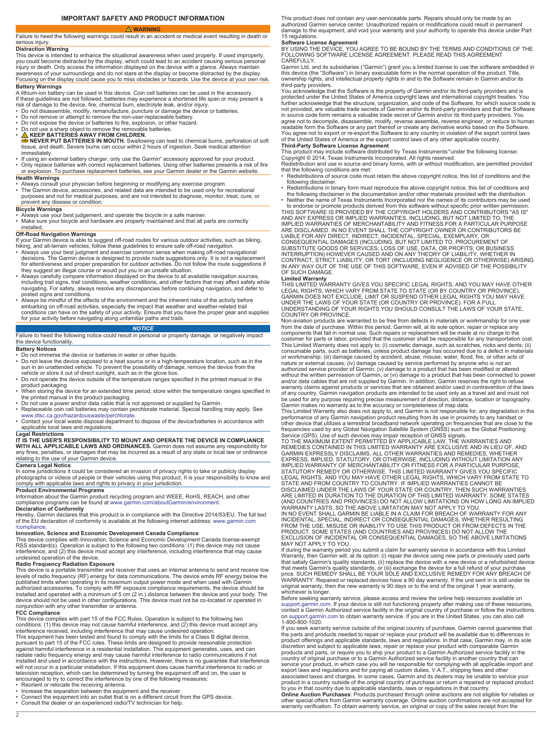### **IMPORTANT SAFETY AND PRODUCT INFORMATION**

<span id="page-1-0"></span> **WARNING** Failure to heed the following warnings could result in an accident or medical event resulting in death or serious injury.

**Distraction Warning**<br>This device is intended to enhance the situational awareness when used properly. If used improperly,<br>you could become distracted by the display, which could lead to an accident causing serious persona injury or death. Only access the information displayed on the device with a glance. Always maintain awareness of your surroundings and do not stare at the display or become distracted by the display. Focusing on the display could cause you to miss obstacles or hazards. Use the device at your own risk.

**Battery Warnings** A lithium-ion battery can be used in this device. Coin cell batteries can be used in the accessory. If these guidelines are not followed, batteries may experience a shortened life span or may present a<br>risk of damage to the device, fire, chemical burn, electrolyte leak, and/or injury.<br>▪ Do not disassemble, modify, reman

- 
- Do not remove or attempt to remove the non-user-replaceable battery.
- Do not expose the device or batteries to fire, explosion, or other hazard.
- 

• Do not use a sharp object to remove the removable batteries.<br>• △ KEEP BATTERIES AWAY FROM CHILDREN.<br>● NEVER PUT BATTERIES IN MOUTH. Swallowing can lead to chemical burns, perforation of soft<br>tissue, and death. Severe bu

- immediately. If using an external battery charger, only use the Garmin® accessory approved for your product.
- Only replace batteries with correct replacement batteries. Using other batteries presents a risk of fire or explosion. To purchase replacement batteries, see your Garmin dealer or the Garmin website. **Health Warnings**

- Always consult your physician before beginning or modifying any exercise program.<br>• The Garmin device, accessories, and related data are intended to be used only for recreational<br>• purposes and not for medical pu
- prevent any disease or condition.

- **Bicycle Warnings**<br>• Always use your best judgement, and operate the bicycle in a safe manner.<br>• Make sure your bicycle and hardware are properly maintained and that all parts are correctly
- installed.

# **Off-Road Navigation Warnings**

- If your Garmin device is able to suggest off-road routes for various outdoor activities, such as biking,<br>hiking, and all-terrain vehicles, follow these guidelines to ensure safe off-road navigation.<br>• Always use your bes decisions. The Garmin device is designed to provide route suggestions only. It is not a replacement<br>for attentiveness and proper preparation for outdoor activities. Do not follow the route suggestions if
- they suggest an illegal course or would put you in an unsafe situation.<br>• Always carefully compare information displayed on the device to all available navigation sources,<br>including trail signs, trail conditions, weather c
- posted signs and conditions. Always be mindful of the effects of the environment and the inherent risks of the activity before embarking on off-road activities, especially the impact that weather and weather-related trail conditions can have on the safety of your activity. Ensure that you have the proper gear and supplies for your activity before navigating along unfamiliar paths and trails.

# *NOTICE*

### Failure to heed the following notice could result in personal or property damage, or negatively impact the device functionality.

### **Battery Notices**

- Do not immerse the device or batteries in water or other liquids.
- Do not leave the device exposed to a heat source or in a high-temperature location, such as in the sun in an unattended vehicle. To prevent the possibility of damage, remove the device from the
- vehicle or store it out of direct sunlight, such as in the glove box. • Do not operate the device outside of the temperature ranges specified in the printed manual in the
- product packaging. When storing the device for an extended time period, store within the temperature ranges specified in
- the printed manual in the product packaging. Do not use a power and/or data cable that is not approved or supplied by Garmin.
- 
- Replaceable coin cell batteries may contain perchlorate material. Special handling may apply. See<br>- [www.dtsc.ca.gov/hazardouswaste/perchlorate](http://www.dtsc.ca.gov/hazardouswaste/perchlorate).<br>• Contact your local waste disposal department to dispose of the device/bat applicable local laws and regulations.

# **Legal Restrictions IT IS THE USER'S RESPONSIBILITY TO MOUNT AND OPERATE THE DEVICE IN COMPLIANCE**

**WITH ALL APPLICABLE LAWS AND ORDINANCES.** Garmin does not assume any responsibility for any fines, penalties, or damages that may be incurred as a result of any state or local law or ordinance relating to the use of your Garmin device.

**Camera Legal Notice** In some jurisdictions it could be considered an invasion of privacy rights to take or publicly display photographs or videos of people or their vehicles using this product. It is your responsibility to know and<br>comply with applicable laws and rights to privacy in your jurisdiction.

**Product Environmental Programs** Information about the Garmin product recycling program and WEEE, RoHS, REACH, and other compliance programs can be found at [www.garmin.com/aboutGarmin/environment](http://www.garmin.com/aboutGarmin/environment). **Declaration of Conformity**

Hereby, Garmin declares that this product is in compliance with the Directive 2014/53/EU. The full text of the EU declaration of conformity is available at the following internet address: [www.garmin.com](http://www.garmin.com/compliance) [/compliance](http://www.garmin.com/compliance).

**Innovation, Science and Economic Development Canada Compliance**<br>This device complies with Innovation, Science and Economic Development Canada license-exempt<br>RSS standard(s). Operation is subject to the following two condi interference, and (2) this device must accept any interference, including interference that may cause undesired operation of the device.

**Radio Frequency Radiation Exposure** This device is a portable transmitter and receiver that uses an internal antenna to send and receive low levels of radio frequency (RF) energy for data communications. The device emits RF energy below the published limits when operating in its maximum output power mode and when used with Garmin<br>authorized accessories. To comply with RF exposure compliance requirements, the device should be<br>installed and operated with a mini device should not be used in other configurations. This device must not be co-located or operated in conjunction with any other transmitter or antenna.

### **FCC Compliance**

This device complies with part 15 of the FCC Rules. Operation is subject to the following two<br>conditions: (1) this device may not cause harmful interference, and (2) this device must accept any<br>interference received, inclu This equipment has been tested and found to comply with the limits for a Class B digital device,<br>pursuant to part 15 of the FCC rules. These limits are designed to provide reasonable protection against harmful interference in a residential installation. This equipment generates, uses, and can<br>radiate radio frequency energy and may cause harmful interference to radio communications if not<br>installed and used in acc television reception, which can be determined by turning the equipment off and on, the user is encouraged to try to correct the interference by one of the following measures:

- 
- 
- Reorient or relocate the receiving antenna.<br>• Increase the separation between the equipment and the receiver.<br>• Connect the equipment into an outlet that is on a different circuit from the GPS device.
- Consult the dealer or an experienced radio/TV technician for help.

This product does not contain any user-serviceable parts. Repairs should only be made by an authorized Garmin service center. Unauthorized repairs or modifications could result in permanent damage to the equipment, and void your warranty and your authority to operate this device under Part 15 regulations.

**Software License Agreement**<br>BY USING THE DEVICE, YOU AGREE TO BE BOUND BY THE TERMS AND CONDITIONS OF THE<br>FOLLOWING SOFTWARE LICENSE AGREEMENT. PLEASE READ THIS AGREEMENT

CAREFULLY. Garmin Ltd. and its subsidiaries ("Garmin") grant you a limited license to use the software embedded in this device (the "Software") in binary executable form in the normal operation of the product. Title,

ownership rights, and intellectual property rights in and to the Software remain in Garmin and/or its<br>third-party providers.<br>You acknowledge that the Software is the property of Garmin and/or its third-party providers and not provided, are valuable trade secrets of Garmin and/or its third-party providers and that the Software in source code form remains a valuable trade secret of Garmin and/or its third-party providers. You agree not to decompile, disassemble, modify, reverse assemble, reverse engineer, or reduce to human readable form the Software or any part thereof or create any derivative works based on the Software. You agree not to export or re-export the Software to any country in violation of the export control laws of the United States of America or the export control laws of any other applicable country.

**Third-Party Software License Agreement** This product may include software distributed by Texas Instruments™under the following license: Copyright © 2014, Texas Instruments Incorporated. All rights reserved. Redistribution and use in source and binary forms, with or without modification, are permitted provided

that the following conditions are met: • Redistributions of source code must retain the above copyright notice, this list of conditions and the

- 
- following disclaimer.<br>
 Redistributions in binary form must reproduce the above copyright notice, this list of conditions and<br>
the following disclaimer in the documentation and/or other materials provided with the distrib

THIS SOFTWARE IS PROVIDED BY THE COPYRIGHT HOLDERS AND CONTRIBUTORS "AS IS"<br>AND ANY EXPRESS OR IMPLIED WARRANTIES, INCLUDING, BUT NOT LIMITED TO, THE<br>IMPLIED WARRANTIES OF MERCHANTABILITY AND FITNESS FOR A PARTICULAR PURPO LIABLE FOR ANY DIRECT, INDIRECT, INCIDENTAL, SPECIAL, EXEMPLARY, OR<br>CONSEQUENTIAL DAMAGES (INCLUDING, BUT NOT LIMITED TO, PROCUREMENT OF<br>SUBSTITUTE GOODS OR SERVICES; LOSS OF USE, DATA, OR PROFITS; OR BUSINESS<br>INTERRUPTION OF SUCH DAMAGE.

**Limited Warranty**<br>THIS LIMITED WARRANTY GIVES YOU SPECIFIC LEGAL RIGHTS, AND YOU MAY HAVE OTHER<br>LEGAL RIGHTS, WHICH VARY FROM STATE TO STATE (OR BY COUNTRY OR PROVINCE).<br>GARMIN DOES NOT EXCLUDE, LIMIT OR SUSPEND OTHER LEG UNDER THE LAWS OF YOUR STATE (OR COUNTRY OR PROVINCE). FOR A FULL UNDERSTANDING OF YOUR RIGHTS YOU SHOULD CONSULT THE LAWS OF YOUR STATE, COUNTRY OR PROVINCE.

Non-aviation products are warranted to be free from defects in materials or workmanship for one year from the date of purchase. Within this period, Garmin will, at its sole option, repair or replace any components that fail in normal use. Such repairs or replacement will be made at no charge to the customer for parts or labor, provided that the customer shall be responsible for any transportation cost.<br>This Limited Warranty does not apply to: (i) cosmetic damage, such as scratches, nicks and dents; (ii)<br>consumable pa nature or external causes; (iv) damage caused by service performed by anyone who is not an authorized service provider of Garmin; (v) damage to a product that has been modified or altered without the written permission of Garmin, or (vi) damage to a product that has been connected to power<br>and/or data cables that are not supplied by Garmin. In addition, Garmin reserves the right to refuse<br>warranty claims ag of any country. Garmin navigation products are intended to be used only as a travel aid and must not

be used for any purpose requiring precise measurement of direction, distance, location or topography.<br>Garmin makes no warranty as to the accuracy or completeness of map dat.<br>This Limited Warranty also does not apply to, an

GARMIN EXPRESSLY DISCLAIMS, ALL OTHER WARRANTIES AND REMEDIES, WHETHER<br>EXPRESS, IMPLIED, STATUTORY, OR OTHERWISE, INCLUDING WITHOUT LIMITATION ANY<br>IMPLIED WARRANTY OF MERCHANTABILITY OR FITNESS FOR A PARTICULAR PURPOSE,<br>ST STATE AND FROM COUNTRY TO COUNTRY. IF IMPLIED WARRANTIES CANNOT BE<br>DISCLAIMED UNDER THE LAWS OF YOUR STATE OR COUNTRY, THEN SUCH WARRANTIES<br>ARE LIMITED IN DURATION TO THE DURATION OF THIS LIMITED WARRANTY. SOME STATES<br>(AND WARRANTY LASTS, SO THE ABOVE LIMITATION MAY NOT APPLY TO YOU. IN NO EVENT SHALL GARMIN BE LIABLE IN A CLAIM FOR BREACH OF WARRANTY FOR ANY

INCIDENTAL, SPECIAL, INDIRECT OR CONSEQUENTIAL DAMAGES, WHETHER RESULTING<br>FROM THE USE, MISUSE OR INABILITY TO USE THIS PRODUCT OR FROM DEFECTS IN THE<br>PRODUCT. SOME STATES (AND COUNTRIES AND PROVINCES) DO NOT ALLOW THE<br>EXC MAY NOT APPLY TO YOU. If during the warranty period you submit a claim for warranty service in accordance with this Limited

Warranty, then Garmin will, at its option: (i) repair the device using new parts or previously used parts<br>that satisfy Garmin's quality standards, (ii) replace the device with a new device or a refurbished device<br>that meet whichever is longer.

Before seeking warranty service, please access and review the online help resources available on [support.garmin.com.](http://www.support.garmin.com) If your device is still not functioning properly after making use of these resources, contact a Garmin Authorized service facility in the original country of purchase or follow the instructions<br>on [support.garmin.com](http://www.support.garmin.com) to obtain warranty service. If you are in the United States, you can also call<br>1-800-800-102

If you seek warranty service outside of the original country of purchase, Garmin cannot guarantee that the parts and products needed to repair or replace your product will be available due to differences in product offerings and applicable standards, laws and regulations. In that case, Garmin may, in its sole discretion and subject to applicable laws, repair or replace your product with comparable Garmin<br>products and parts, or require you to ship your product to a Garmin Authorized service facility in the<br>country of original pu service your product, in which case you will be responsible for complying with all applicable import and<br>export laws and regulations and for paying all custom duties, V.A.T., shipping fees and other<br>associated taxes and ch other special offers from Garmin warranty coverage. Online auction confirmations are not accepted for warranty verification. To obtain warranty service, an original or copy of the sales receipt from the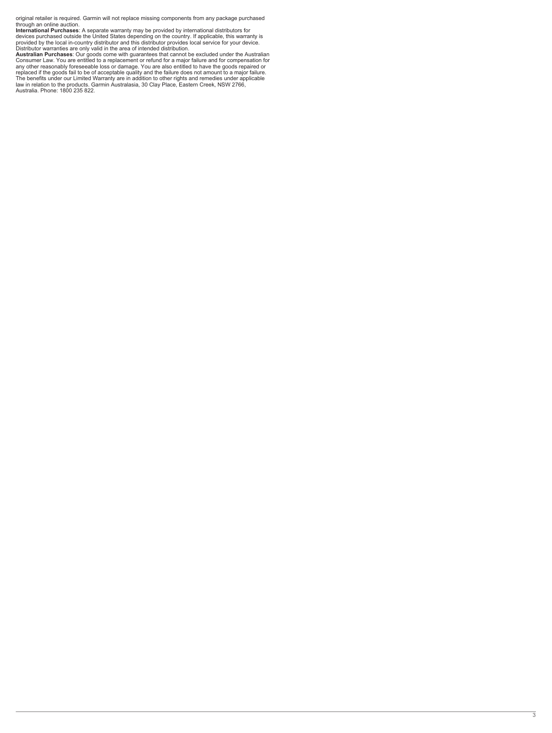original retailer is required. Garmin will not replace missing components from any package purchased through an online auction.

International Purchases: A separate warranty may be provided by international distributors for<br>devices purchased outside the United States depending on the country. If applicable, this warranty is<br>provided by the local in-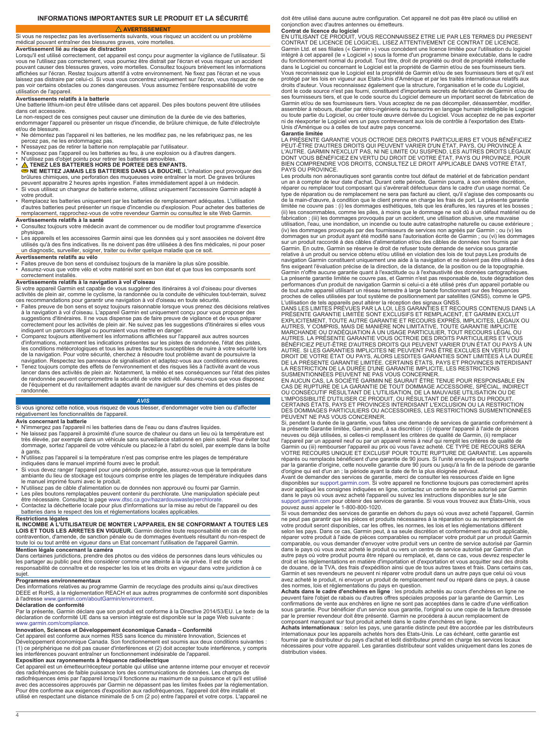## **INFORMATIONS IMPORTANTES SUR LE PRODUIT ET LA SÉCURITÉ**

 **AVERTISSEMENT**

<span id="page-3-0"></span>Si vous ne respectez pas les avertissements suivants, vous risquez un accident ou un problème médical pouvant entraîner des blessures graves, voire mortelles. **Avertissement lié au risque de distraction**

Lorsqu'il est utilisé correctement, cet appareil est conçu pour augmenter la vigilance de l'utilisateur. Si vous ne l'utilisez pas correctement, vous pourriez être distrait par l'écran et vous risquez un accident pouvant causer des blessures graves, voire mortelles. Consultez toujours brièvement les informations affichées sur l'écran. Restez toujours attentif à votre environnement. Ne fixez pas l'écran et ne vous laissez pas distraire par celui-ci. Si vous vous concentrez uniquement sur l'écran, vous risquez de ne pas voir certains obstacles ou zones dangereuses. Vous assumez l'entière responsabilité de votre utilisation de l'appareil.

### **Avertissements relatifs à la batterie**

Une batterie lithium-ion peut être utilisée dans cet appareil. Des piles boutons peuvent être utilisées dans cet accessoire.

Le non-respect de ces consignes peut causer une diminution de la durée de vie des batteries,

endommager l'appareil ou présenter un risque d'incendie, de brûlure chimique, de fuite d'électrolyte et/ou de blessure. • Ne démontez pas l'appareil ni les batteries, ne les modifiez pas, ne les refabriquez pas, ne les

percez pas, ne les endommagez pas.

- 
- N'essayez pas de retirer la batterie non remplaçable par l'utilisateur.<br>• N'exposez pas l'appareil ou les batteries au feu, à une explosion ou à d'autres dangers.<br>• N'utilisez pas d'objet pointu pour retirer les batt
- **A TENEZ LES BATTERIES HORS DE PORTEE DES ENFANTS**
- **NE METTEZ JAMAIS LES BATTERIES DANS LA BOUCHE.** L'inhalation peut provoquer des

brûlures chimiques, une perforation des muqueuses voire entraîner la mort. De graves brûlures<br>peuvent apparaitre 2 heures après ingestion. Faites immédiatement appel à un médecin.<br>• Si vous utilisez un chargeur de batteri

- votre produit.
- Remplacez les batteries uniquement par les batteries de remplacement adéquates. L'utilisation d'autres batteries peut présenter un risque d'incendie ou d'explosion. Pour acheter des batteries de remplacement, rapprochez-vous de votre revendeur Garmin ou consultez le site Web Garmin.

### **Avertissements relatifs à la santé**

• Consultez toujours votre médecin avant de commencer ou de modifier tout programme d'exercice physique.

• Les appareils et les accessoires Garmin ainsi que les données qui y sont associées ne doivent être utilisés qu'à des fins indicatives. Ils ne doivent pas être utilisées à des fins médicales, ni pour poser un diagnostic, surveiller, soigner, traiter ou éviter quelque maladie que ce soit.

### **Avertissements relatifs au vélo**

• Faites preuve de bon sens et conduisez toujours de la manière la plus sûre possible.

• Assurez-vous que votre vélo et votre matériel sont en bon état et que tous les composants sont correctement installés.

# **Avertissements relatifs à la navigation à vol d'oiseau**

Si votre appareil Garmin est capable de vous suggérer des itinéraires à vol d'oiseau pour diverses activités de plein air, comme le cyclisme, la randonnée ou la conduite de véhicules tout-terrain, suivez ces recommandations pour garantir une navigation à vol d'oiseau en toute sécurité.

- Faites preuve de bon sens et soyez toujours raisonnable lorsque vous prenez des décisions relatives à la navigation à vol d'oiseau. L'appareil Garmin est uniquement conçu pour vous proposer des<br>suggestions d'itinéraires. Il ne vous dispense pas de faire preuve de vigilance et de vous préparer<br>correctement pour les activi
- indiquent un parcours illégal ou pourraient vous mettre en danger.<br>▪ Comparez toujours attentivement les informations affichées sur l'appareil aux autres sources<br>d'informations, notamment les indications présentes sur les les conditions météorologiques et tous les autres facteurs susceptibles de nuire à votre sécurité lors de la navigation. Pour votre sécurité, cherchez à résoudre tout problème avant de poursuivre la
- navigation. Respectez les panneaux de signalisation et adaptez-vous aux conditions extérieures. Tenez toujours compte des effets de l'environnement et des risques liés à l'activité avant de vous lancer dans des activités de plein air. Notamment, la météo et ses conséquences sur l'état des pistes<br>de randonnée peuvent compromettre la sécurité de votre activité. Assurez-vous que vous disposez de l'équipement et du ravitaillement adaptés avant de naviguer sur des chemins et des pistes de randonnée.

## *AVIS*

Si vous ignorez cette notice, vous risquez de vous blesser, d'endommager votre bien ou d'affecter négativement les fonctionnalités de l'appareil.

### **Avis concernant la batterie**

• N'immergez pas l'appareil ni les batteries dans de l'eau ou dans d'autres liquides.

- Ne laissez pas l'appareil à proximité d'une source de chaleur ou dans un lieu où la température est<br>très élevée, par exemple dans un véhicule sans surveillance stationné en plein soleil. Pour éviter tout<br>dommage, sortez
- à gants. N'utilisez pas l'appareil si la température n'est pas comprise entre les plages de température
- indiquées dans le manuel imprimé fourni avec le produit.<br>• Si vous devez ranger l'appareil pour une période prolongée, assurez-vous que la température<br>ambiante du lieu de stockage est toujours comprise entre les plages de
- 
- N'utilisez pas de câble d'alimentation ou de données non approuvé ou fourni par Garmin. Les piles boutons remplaçables peuvent contenir du perchlorate. Une manipulation spéciale peut
- être nécessaire. Consultez la page [www.dtsc.ca.gov/hazardouswaste/perchlorate](http://www.dtsc.ca.gov/hazardouswaste/perchlorate). Contactez la déchetterie locale pour plus d'informations sur la mise au rebut de l'appareil ou des batteries dans le respect des lois et réglementations locales applicables.

### **Restrictions légales**

**IL INCOMBE A L'UTILISATEUR DE MONTER L'APPAREIL EN SE CONFORMANT A TOUTES LES LOIS ET TOUS LES ARRETES EN VIGUEUR.** Garmin décline toute responsabilité en cas de

contravention, d'amende, de sanction pénale ou de dommages éventuels résultant du non-respect de toute loi ou tout arrêté en vigueur dans un Etat concernant l'utilisation de l'appareil Garmin. **Mention légale concernant la caméra**

Dans certaines juridictions, prendre des photos ou des vidéos de personnes dans leurs véhicules ou<br>les partager au public peut être considérer comme une atteinte à la vie privée. Il est de votre<br>responsabilité de connaître sujet.

**Programmes environnementaux** Des informations relatives au programme Garmin de recyclage des produits ainsi qu'aux directives DEEE et RoHS, à la réglementation REACH et aux autres programmes de conformité sont disponibles à l'adresse [www.garmin.com/aboutGarmin/environment.](http://www.garmin.com/aboutGarmin/environment)

### **Déclaration de conformité**

Par la présente, Garmin déclare que son produit est conforme à la Directive 2014/53/EU. Le texte de la déclaration de conformité UE dans sa version intégrale est disponible sur la page Web suivante : [www.garmin.com/compliance](http://www.garmin.com/compliance).

**Innovation, Sciences et Développement économique Canada – Conformité**<br>Cet appareil est conforme aux normes RSS sans licence du ministère Innovation, Sciences et Développement économique Canada. Son fonctionnement est soumis aux deux conditions suivantes : (1) ce périphérique ne doit pas causer d'interférences et (2) doit accepter toute interférence, y compris les interférences pouvant entraîner un fonctionnement indésirable de l'appareil.

**Exposition aux rayonnements à fréquence radioélectrique**<br>Cet appareil est un émetteur/récepteur portable qui utilise une antenne interne pour envoyer et recevoir<br>des radiofréquences de faible puissance lors des communicat radiofréquences émis par l'appareil lorsqu'il fonctionne au maximum de sa puissance et qu'il est utilisé avec des accessoires approuvés par Garmin ne dépassent pas les limites fixées par la réglementation. Pour être conforme aux exigences d'exposition aux radiofréquences, l'appareil doit être installé et utilisé en respectant une distance minimale de 5 cm (2 po) entre l'appareil et votre corps. L'appareil ne

doit être utilisé dans aucune autre configuration. Cet appareil ne doit pas être placé ou utilisé en conjonction avec d'autres antennes ou émetteurs.

**Contrat de licence du logiciel** EN UTILISANT CE PRODUIT, VOUS RECONNAISSEZ ETRE LIE PAR LES TERMES DU PRESENT CONTRAT DE LICENCE DE LOGICIEL. LISEZ ATTENTIVEMENT CE CONTRAT DE LICENCE. Garmin Ltd. et ses filiales (« Garmin ») vous concèdent une licence limitée pour l'utilisation du logiciel intégré à cet appareil (le « Logiciel ») sous la forme d'un programme binaire exécutable, dans le cadre<br>du fonctionnement normal du produit. Tout titre, droit de propriété ou droit de propriété intellectuelle<br>dans le Logic Vous reconnaissez que le Logiciel est la propriété de Garmin et/ou de ses fournisseurs tiers et qu'il est protégé par les lois en vigueur aux Etats-Unis d'Amérique et par les traités internationaux relatifs aux<br>droits d'auteur. Vous reconnaissez également que la structure, l'organisation et le code du Logiciel,<br>dont le code so ses fournisseurs tiers, et que le code source du Logiciel demeure un important secret de fabrication de Garmin et/ou de ses fournisseurs tiers. Vous acceptez de ne pas décompiler, désassembler, modifier, assembler à rebours, étudier par rétro-ingénierie ou transcrire en langage humain intelligible le Logiciel<br>ou toute partie du Logiciel, ou créer toute œuvre dérivée du Logiciel. Vous acceptez de ne pas exporter<br>ni de réexp

### **Garantie limitée**

LA PRÉSENTE GARANTIE VOUS OCTROIE DES DROITS PARTICULIERS ET VOUS BÉNÉFICIEZ PEUT-ÉTRE D'AUTRES DROITS QUI PEUVENT VARIER D'UN ÉTAT, PAYS, OU PROVINCE À<br>L'AUTRE. GARMIN N'EXCLUT PAS, NI NE LIMITE OU SUSPEND, LES AUTRES DROITS LÉGAUX<br>DONT VOUS BÉNÉFICIEZ EN VERTU DU DROIT DE VOTRE ÉTAT, PAYS OU PROV PAYS OU PROVINCE

Les produits non aéronautiques sont garantis contre tout défaut de matériel et de fabrication pendant un an à compter de leur date d'achat. Durant cette période, Garmin pourra, à son entière discrétion,<br>réparer ou remplacer tout composant qui s'avérerait défectueux dans le cadre d'un usage normal. Ce<br>type de réparation ou (ii) les consommables, comme les piles, à moins que le dommage ne soit dû à un défaut matériel ou de<br>fabrication ; (iii) les dommages provoqués par un accident, une utilisation abusive, une mauvaise<br>utilisation, l'eau, une dommages sur un produit ayant été modifié sans l'autorisation écrite de Garmin ; ou (vi) les dommages sur un produit raccordé à des câbles d'alimentation et/ou des câbles de données non fournis par Garmin. En outre, Garmin se réserve le droit de refuser toute demande de service sous garantie relative à un produit ou service obtenu et/ou utilisé en violation des lois de tout pays.Les produits de navigation Garmin constituent uniquement une aide à la navigation et ne doivent pas être utilisés à des fins exigeant l'évaluation précise de la direction, de la distance, de la position ou de la topographie. Garmin n'offre aucune garantie quant à l'exactitude ou à l'exhaustivité des données cartographiques.<br>La présente garantie limitée ne couvre pas, et Garmin n'est pas responsable de, toute dégradation des<br>performances d'un p

proches de celles utilisées par tout système de positionnement par satellites (GNSS), comme le GPS.<br>L'utilisation de tels appareils peut altérer la réception des signaux GNSS.<br>DANS LES LIMITES PRÉVUES PAR LA LOI, LES GARAN PRÉSENTE GARANTIE LIMITÉE SONT EXCLUSIFS ET REMPLACENT, ET GARMIN EXCLUT EXPLICITEMENT, TOUTE AUTRE GARANTIE ET RECOURS EXPRÉS, IMPLICITES, LÉGAUX OU<br>AUTRES, Y COMPRIS, MAIS DE MANIÈRE NON LIMITATIVE, TOUTE GARANTIE IMPLICITE<br>AMARCHANDE OU D'ADÉQUATION À UN USAGE PARTICULIER, TOUT RECOURS LÉGAL

EN AUCUN CAS, LA SOCIÉTÉ GARMIN NE SAURAIT ÉTRE TENUE POUR RESPONSABLE EN<br>CAS DE RUPTURE DE LA GARANTIE DE TOUT DOMMAGE ACCESSOIRE, SPÉCIAL, INDIRECT<br>OU CONSÉCUTIF RÉSULTANT DE L'UTILISATION, DE LA MAUVAISE UTILISATION OU CERTAINS ÉTATS, PAYS ET PROVINCES INTERDISANT L'EXCLUSION OU LA RESTRICTION DES DOMMAGES PARTICULIERS OU ACCESSOIRES, LES RESTRICTIONS SUSMENTIONNÉES

PEUVENT NE PAS VOUS CONCERNER.<br>Si, pendant la durée de la garantie, vous faites une demande de services de garantie conformément à<br>la présente Garantie limitée, Garmin peut, à sa discrétion : (i) réparer l'appareil à l'aid l'appareil par un appareil neuf ou par un appareil remis à neuf qui remplit les critères de qualité de<br>Garmin ou (iii) rembourser l'appareil au prix où vous l'avez acheté. CE TYPE DE RECOURS SERA<br>VOTRE RECOURS UNIQUE ET EX réparés ou remplacés bénéficient d'une garantie de 90 jours. Si l'unité envoyée est toujours couverte<br>par la garantie d'origine, cette nouvelle garantie dure 90 jours ou jusqu'à la fin de la période de garantie<br>d'origine q

Avant de demander des services de garantie, merci de consulter les ressources d'aide en ligne<br>disponibles sur support garmin.com. Si votre appareil ne fonctionne toujours pas correctement après<br>avoir appliqué les consignes dans le pays où vous avez acheté l'appareil ou suivez les instructions disponibles sur le site [support.garmin.com](http://www.support.garmin.com) pour obtenir des services de garantie. Si vous vous trouvez aux États-Unis, vous

pouvez aussi appeler le 1-800-800-1020.<br>Si vous demandez des services de garantie en dehors du pays où vous avez acheté l'appareil, Garmin<br>ne peut pas garantir que les pièces et produits nécessaires à la réparation ou au r selon les pays. Dans ce cas, Garmin peut, à sa seule discrétion et conformément au droit applicable,<br>réparer votre produit à l'aide de pièces comparables ou remplacer votre produit par un produit Garmin comparable, ou vous demander d'envoyer votre produit vers un centre de service autorisé par Garmin<br>dans le pays où vous avez acheté le produit ou vers un centre de service autorisé par Garmin d'un<br>autre pays où votre produ droit et les réglementations en matière d'importation et d'exportation et vous acquitter seul des droits de douane, de la TVA, des frais d'expédition ainsi que de tous autres taxes et frais. Dans certains cas,<br>Garmin et ses revendeurs ne peuvent ni réparer votre produit dans un autre pays que celui où vous<br>avez acheté le prod

des normes, lois et réglementations du pays en question. **Achats dans le cadre d'enchères en ligne** : les produits achetés au cours d'enchères en ligne ne peuvent faire l'objet de rabais ou d'autres offres spéciales proposés par la garantie de Garmin. Les<br>confirmations de vente aux enchères en ligne ne sont pas acceptées dans le cadre d'une vérification<br>sous garantie. Pour b

composant manquant sur tout produit acheté dans le cadre d'enchères en ligne.<br>**Achats internationau**x : selon les pays, une garantie distincte peut être accordée par les distributeurs<br>internationaux pour les appareils ache fournie par le distributeur du pays d'achat et ledit distributeur prend en charge les services locaux nécessaires pour votre appareil. Les garanties distributeur sont valides uniquement dans les zones de distribution visées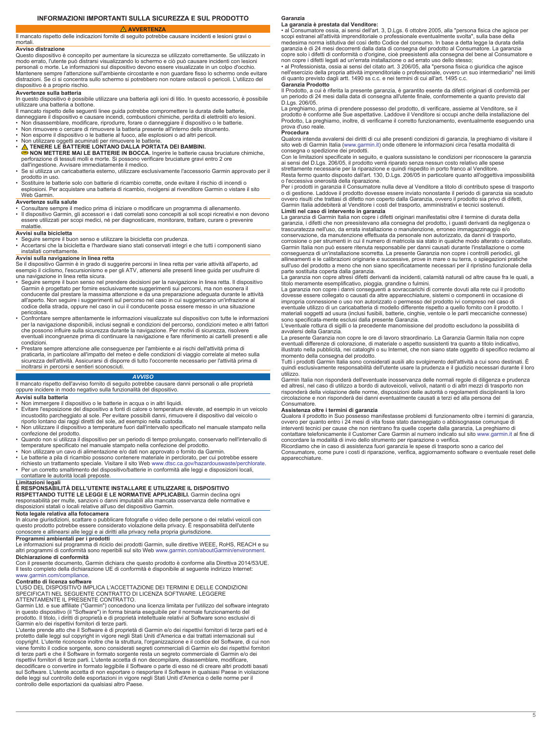**AVVERTENZA**

<span id="page-4-0"></span>Il mancato rispetto delle indicazioni fornite di seguito potrebbe causare incidenti e lesioni gravi o

### **Avviso distrazione**

mortali

Questo dispositivo è concepito per aumentare la sicurezza se utilizzato correttamente. Se utilizzato in modo errato, l'utente può distrarsi visualizzando lo schermo e ciò può causare incidenti con lesioni personali o morte. Le informazioni sul dispositivo devono essere visualizzate in un colpo d'occhio. Mantenere sempre l'attenzione sull'ambiente circostante e non guardare fisso lo schermo onde evitare distrazioni. Se ci si concentra sullo schermo si potrebbero non notare ostacoli o pericoli. L'utilizzo del dispositivo è a proprio rischio.

# **Avvertenze sulla batteria**

In questo dispositivo è possibile utilizzare una batteria agli ioni di litio. In questo accessorio, è possibile utilizzare una batteria a bottone. Il mancato rispetto delle seguenti linee guida potrebbe compromettere la durata delle batterie,

- danneggiare il dispositivo e causare incendi, combustioni chimiche, perdita di elettroliti e/o lesioni.
- Non disassemblare, modificare, riprodurre, forare o danneggiare il dispositivo o le batterie.<br>▪ Non rimuovere o cercare di rimuovere la batteria presente all'interno dello strumento.<br>▪ Non esporre il dispositivo o le ba
- 
- 
- 
- Non utilizzare oggetti acuminati per rimuovere le batterie.<br>● NON METTERE LONTANO DALLA PORTATA DEI BAMBINI.<br>● NON METTERE MAI LE BATTERIE IN BOCCA. Ingerire le batterie causa bruciature chimiche,<br>perforazione di tessut
- dall'ingestione. Avvisare immediatamente il medico. Se si utilizza un caricabatteria esterno, utilizzare esclusivamente l'accessorio Garmin approvato per il
- prodotto in uso. Sostituire le batterie solo con batterie di ricambio corrette, onde evitare il rischio di incendi o esplosioni. Per acquistare una batteria di ricambio, rivolgersi al rivenditore Garmin o vistare il sito Web Garmin.

# **Avvertenze sulla salute**

- 
- Consultare sempre il medico prima di iniziare o modificare un programma di allenamento.<br>▪ Il dispositivo Garmin, gli accessori e i dati correlati sono concepiti ai soli scopi ricreativi e non devono<br>▪ essere utilizzati malattie

### **Avvisi sulla bicicletta**

• Seguire sempre il buon senso e utilizzare la bicicletta con prudenza. • Accertarsi che la bicicletta e l'hardware siano stati conservati integri e che tutti i componenti siano

installati correttamente.

**Avvisi sulla navigazione in linea retta**<br>Se il dispositivo Garmin è in grado di suggerire percorsi in linea retta per varie attività all'aperto, ad esempio il ciclismo, l'escursionismo e per gli ATV, attenersi alle presenti linee guida per usufruire di una navigazione in linea retta sicura.

- Seguire sempre il buon senso nel prendere decisioni per la navigazione in linea retta. Il dispositivo Garmin è progettato per fornire esclusivamente suggerimenti sui percorsi, ma non esonera il conducente dal prestare la massima attenzione e da una preparazione adeguata durante le attività all'aperto. Non seguire i suggerimenti sul percorso nel caso in cui suggeriscano un'infrazione al codice della strada, oppure nel caso in cui il conducente possa essere messo in una situazione
- pericolosa. Confrontare sempre attentamente le informazioni visualizzate sul dispositivo con tutte le informazioni per la navigazione disponibili, inclusi segnali e condizioni del percorso, condizioni meteo e altri fattori<br>che possono influire sulla sicurezza durante la navigazione. Per motivi di sicurezza, risolvere<br>eventuali incongru condizioni.
- Prestare sempre attenzione alle conseguenze per l'ambiente e ai rischi dell'attività prima di praticarla, in particolare all'impatto del meteo e delle condizioni di viaggio correlate al meteo sulla sicurezza dell'attività. Assicurarsi di disporre di tutto l'occorrente necessario per l'attività prima di inoltrarsi in percorsi e sentieri sconosciuti.

### *AVVISO*

Il mancato rispetto dell'avviso fornito di seguito potrebbe causare danni personali o alle proprietà oppure incidere in modo negativo sulla funzionalità del dispositivo. **Avvisi sulla batteria**

- Non immergere il dispositivo o le batterie in acqua o in altri liquidi.
- Evitare l'esposizione del dispositivo a fonti di calore o temperature elevate, ad esempio in un veicolo incustodito parcheggiato al sole. Per evitare possibili danni, rimuovere il dispositivo dal veicolo o riporlo lontano dai raggi diretti del sole, ad esempio nella custodia. • Non utilizzare il dispositivo a temperature fuori dall'intervallo specificato nel manuale stampato nella
- confezione del prodotto. Quando non si utilizza il dispositivo per un periodo di tempo prolungato, conservarlo nell'intervallo di
- temperature specificato nel manuale stampato nella confezione del prodotto.<br>• Non utilizzare un cavo di alimentazione e/o dati non approvato o fornito da Garmin.<br>• Le batterie a pila di ricambio possono contenere material
- 
- richiesto un trattamento speciale. Visitare il sito Web [www.dtsc.ca.gov/hazardouswaste/perchlorate.](http://www.dtsc.ca.gov/hazardouswaste/perchlorate) Per un corretto smaltimento del dispositivo/batterie in conformità alle leggi e disposizioni locali, contattare le autorità locali preposte.

### **Limitazioni legali**

**È RESPONSABILITÀ DELL'UTENTE INSTALLARE E UTILIZZARE IL DISPOSITIVO** 

**RISPETTANDO TUTTE LE LEGGI E LE NORMATIVE APPLICABILI.** Garmin declina ogni responsabilità per multe, sanzioni o danni imputabili alla mancata osservanza delle normative e disposizioni statali o locali relative all'uso del dispositivo Garmin.

**Nota legale relativa alla fotocamera**

In alcune giurisdizioni, scattare o pubblicare fotografie o video delle persone o dei relativi veicoli con questo prodotto potrebbe essere considerato violazione della privacy. È responsabilità dell'utente conoscere e allinearsi alle leggi e ai diritti alla privacy nella propria giurisdizione.

**Programmi ambientali per i prodotti**<br>Le informazioni sul programma di riciclo dei prodotti Garmin, sulle direttive WEEE, RoHS, REACH e su<br>altri programmi di conformità sono reperibili sul sito Web www.garmin.com/aboutGarm

**Dichiarazione di conformità**<br>Con il presente documento, Garmin dichiara che questo prodotto è conforme alla Direttiva 2014/53/UE.<br>Il testo completo della dichiarazione UE di conformità è disponibile al seguente indirizzo [www.garmin.com/compliance](http://www.garmin.com/compliance).

### **Contratto di licenza software**

L'USO DEL DISPOSITIVO IMPLICA L'ACCETTAZIONE DEI TERMINI E DELLE CONDIZIONI<br>SPECIFICATI NEL SEGUENTE CONTRATTO DI LICENZA SOFTWARE. LEGGERE<br>ATTENTAMENTE IL PRESENTE CONTRATTO.

Garmin Ltd. e sue affiliate ("Garmin") concedono una licenza limitata per l'utilizzo del software integrato in questo dispositivo (il "Software") in forma binaria eseguibile per il normale funzionamento del prodotto. Il titolo, i diritti di proprietà e di proprietà intellettuale relativi al Software sono esclusivi di Garmin e/o dei rispettivi fornitori di terze parti.

L'utente prende atto che il Software è di proprietà di Garmin e/o dei rispettivi fornitori di terze parti ed è protetto dalle leggi sul copyright in vigore negli Stati Uniti d'America e dai trattati internazionali sul copyright. L'utente riconosce inoltre che la struttura, l'organizzazione e il codice del Software, di cui non viene fornito il codice sorgente, sono considerati segreti commerciali di Garmin e/o dei rispettivi fornitori<br>di terze parti e che il Software in formato sorgente resta un segreto commerciale di Garmin e/o dei<br>rispettivi f decodificare o convertire in formato leggibile il Software o parte di esso né di creare altri prodotti basati sul Software. L'utente accetta di non esportare o riesportare il Software in qualsiasi Paese in violazione delle leggi sul controllo delle esportazioni in vigore negli Stati Uniti d'America o delle norme per il controllo delle esportazioni da qualsiasi altro Paese.

**Garanzia**

### **La garanzia è prestata dal Venditore:**

• al Consumatore ossia, ai sensi dell'art. 3, D.Lgs. 6 ottobre 2005, alla "persona fisica che agisce per<br>scopi estranei all'attività imprenditoriale o professionale eventualmente svolta", sulla base della<br>medesima norma is garanzia è di 24 mesi decorrenti dalla data di consegna del prodotto al Consumatore. La garanzia copre solo i difetti di conformità o d'origine, cioè preesistenti alla consegna del bene al Consumatore e

non copre i difetti legati ad un'errata installazione o ad errato uso dello stesso;<br>• al Professionista, ossia ai sensi del citato art. 3 206/05, alla "persona fisica o giuridica che agisce<br>nell'esercizio della propria att

**Garanzia Prodotto** Il Prodotto, a cui è riferita la presente garanzia, è garantito esente da difetti originari di conformità per un periodo di 24 mesi dalla data di consegna all'utente finale, conformemente a quanto previsto dal D.Lgs. 206/05.

La preghiamo, prima di prendere possesso del prodotto, di verificare, assieme al Venditore, se il prodotto è conforme alle Sue aspettative. Laddove il Venditore si occupi anche della installazione del<br>Prodotto, La preghiamo, inoltre, di verificarne il corretto funzionamento, eventualmente eseguendo una<br>prova d'uso real

### **Procedura**

Qualora intenda avvalersi dei diritti di cui alle presenti condizioni di garanzia, la preghiamo di visitare il<br>sito web di Garmin Italia [\(www.garmin.it](http://www.garmin.it)) onde ottenere le informazioni circa l'esatta modalità di consegna o spedizione dei prodotti.

Con le limitazioni specificate in seguito, e qualora sussistano le condizioni per riconoscere la garanzia<br>ai sensi del D.Lgs. 206/05, il prodotto verrà riparato senza nessun costo relativo alle spese<br>strettamente necessari

Resta fermo quanto disposto dall'art. 130, D.Lgs. 206/05 in particolare quanto all'oggettiva impossibilità o l'eccessiva onerosità della riparazione.

Per i prodotti in garanzia il Consumatore nulla deve al Venditore a titolo di contributo spese di trasporto o di gestione. Laddove il prodotto dovesse essere inviato nonostante il periodo di garanzia sia scaduto<br>ovvero risulti che trattasi di difetto non coperto dalla Garanzia, ovvero il prodotto sia privo di difetti,<br>Garmin Ita

Limiti nel caso di intervento in garanzia<br>La garanzia di Garmin Italia non copre i difetti originari manifestatisi oltre il termine di durata della<br>garanzia, i difetti che non preesistevano alla consegna del prodotto, i gu corrosione o per strumenti in cui il numero di matricola sia stato in qualche modo alterato o cancellato. Garmin Italia non può essere ritenuta responsabile per danni causati durante l'installazione o come conseguenza di un'installazione scorretta. La presente Garanzia non copre i controlli periodici, gli allineamenti e le calibrazioni originarie e successive, prove in mare o su terra, o spiegazioni pratiche sull'uso del prodotto a meno che non siano specificatamente necessari per il ripristino funzionale della

parte sostituita coperta dalla garanzia. La garanzia non copre altresì difetti derivanti da incidenti, calamità naturali od altre cause fra le quali, a titolo meramente esemplificativo, pioggia, grandine o fulmini.

La garanzia non copre i danni conseguenti a sovraccarichi di corrente dovuti alla rete cui il prodotto dovesse essere collegato o causati da altre apparecchiature, sistemi o componenti in occasione di impropria connessione o uso non autorizzato o permesso del prodotto ivi compreso nel caso di eventuale utilizzo di un caricabatteria di modello differente rispetto a quello fornito con il prodotto. I materiali soggetti ad usura (inclusi fusibili, batterie, cinghie, ventole o le parti meccaniche connesse) sono specificata-mente esclusi dalla presente Garanzia.

L'eventuale rottura di sigilli o la precedente manomissione del prodotto escludono la possibilità di avvalersi della Garanzia.

La presente Garanzia non copre le ore di lavoro straordinario. La Garanzia Garmin Italia non copre eventuali differenze di colorazione, di materiale o aspetto sussistenti tra quanto a titolo indicativo, illustrato nella pubblicità, nei cataloghi o su Internet, che non siano state oggetto di specifico reclamo al momento della consegna del prodotto. Tutti i prodotti Garmin Italia sono considerati ausili allo svolgimento dell'attività a cui sono destinati. È

quindi esclusivamente responsabilità dell'utente usare la prudenza e il giudizio necessari durante il loro utilizzo.

Garmin Italia non risponderà dell'eventuale inosservanza delle normali regole di diligenza e prudenza<br>ed altresì, nel caso di utilizzo a bordo di autoveicoli, velivoli, natanti o di altri mezzi di trasporto non<br>risponderà

### **Assistenza oltre i termini di garanzia**

Qualora il prodotto in Suo possesso manifestasse problemi di funzionamento oltre i termini di garanzia,<br>ovvero per quanto entro i 24 mesi di vita fosse stato danneggiato o abbisognasse comunque di<br>interventi tecnici per ca contattare telefonicamente il Customer Care Garmin al numero indicato sul sito [www.garmin.it](http://www.garmin.it) al fine di concordare la modalità di invio dello strumento per riparazione o verifica.

Ricordiamo che in caso di assistenza fuori garanzia le spese di trasporto sono a carico del Consumatore, come pure i costi di riparazione, verifica, aggiornamento software o eventuale reset delle apparecchiature.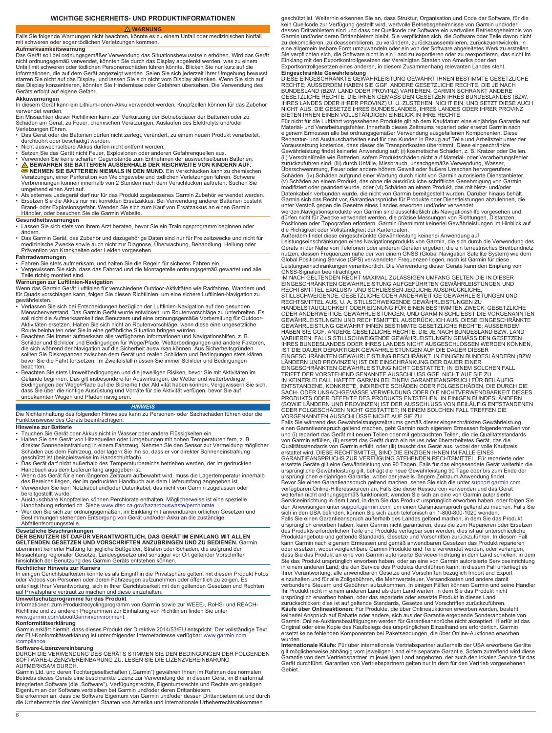# **WICHTIGE SICHERHEITS- UND PRODUKTINFORMATIONEN**

# **WARNUNG**

<span id="page-5-0"></span>Falls Sie folgende Warnungen nicht beachten, könnte es zu einem Unfall oder medizinischen Notfall mit schweren oder sogar tödlichen Verletzungen kommen. **Aufmerksamkeitswarnung**

Das Gerät soll bei ordnungsgemäßer Verwendung das Situationsbewusstsein erhöhen. Wird das Gerät nicht ordnungsgemäß verwendet, könnten Sie durch das Display abgelenkt werden, was zu einem Unfall mit schweren oder tödlichen Personenschäden führen könnte. Blicken Sie nur kurz auf die Informationen, die auf dem Gerät angezeigt werden. Seien Sie sich jederzeit Ihrer Umgebung bewusst, starren Sie nicht auf das Display, und lassen Sie sich nicht vom Display ablenken. Wenn Sie sich auf das Display konzentrieren, könnten Sie Hindernisse oder Gefahren übersehen. Die Verwendung des Geräts erfolgt auf eigene Gefahr.

**Akkuwarnungen**<br>In diesem Gerät kann ein Lithium-Ionen-Akku verwendet werden. Knopfzellen können für das Zubehör<br>verwendet werden.

Ein Missachten dieser Richtlinien kann zur Verkürzung der Betriebsdauer der Batterien oder zu Schäden am Gerät, zu Feuer, chemischen Verätzungen, Auslaufen des Elektrolyts und/oder

Verletzungen führen. • Das Gerät oder die Batterien dürfen nicht zerlegt, verändert, zu einem neuen Produkt verarbeitet,

- durchbohrt oder beschädigt werden. Nicht auswechselbare Akkus dürfen nicht entfernt werden.
- Setzen Sie das Gerät nicht Feuer, Explosionen oder anderen Gefahrenquellen aus. Verwenden Sie keine scharfen Gegenstände zum Entnehmen der auswechselbaren Batterien.
- 
- **BEWAHREN SIE BATTERIEN AUSSERHALB DER REICHWEITE VON KINDERN AUF. NEHMEN SIE BATTERIEN NIEMALS IN DEN MUND.** Ein Verschlucken kann zu chemischen Verätzungen, einer Perforation von Weichgewebe und tödlichen Verletzungen führen. Schwere Verbrennungen können innerhalb von 2 Stunden nach dem Verschlucken auftreten. Suchen Sie umgehend einen Arzt auf.
- Als externes Ladegerät darf nur für das Produkt zugelassenes Garmin Zubehör verwendet werden. • Ersetzen Sie die Akkus nur mit korrekten Ersatzakkus. Bei Verwendung anderer Batterien besteht Brand- oder Explosionsgefahr. Wenden Sie sich zum Kauf von Ersatzakkus an einen Garmin Händler, oder besuchen Sie die Garmin Website.

- **Gesundheitswarnungen**<br>• Lassen Sie sich stets von Ihrem Arzt beraten, bevor Sie ein Trainingsprogramm beginnen oder<br>• ändern.
- Das Garmin Gerät, das Zubehör und dazugehörige Daten sind nur für Freizeitzwecke und nicht für medizinische Zwecke sowie auch nicht zur Diagnose, Überwachung, Behandlung, Heilung oder Prävention von Krankheiten oder Leiden vorgesehen.

# **Fahrradwarnungen**

- Fahren Sie stets aufmerksam, und halten Sie die Regeln für sicheres Fahren ein.
- Vergewissern Sie sich, dass das Fahrrad und die Montageteile ordnungsgemäß gewartet und alle Teile richtig montiert sind.

- **Warnungen zur Luftlinien-Navigation**<br>Wenn das Garmin Gerät Luftlinien für verschiedene Outdoor-Aktivitäten wie Radfahren, Wandern und für Quads vorschlagen kann, folgen Sie diesen Richtlinien, um eine sichere Luftlinien-Navigation zu gewährleisten.
- Verlassen Sie sich bei Entscheidungen bezüglich der Luftlinien-Navigation auf den gesunden<br>Menschenverstand. Das Garmin Gerät wurde entwickelt, um Routenvorschläge zu unterbreiten. Es<br>soll nicht die Aufmerksamkeit des Be
- Route beinhalten oder Sie in eine gefährliche Situation bringen würden.<br>• Beachten Sie immer aufmerksam alle verfügbaren Informationen und Navigationshilfen, z. B.<br>- Schilder und Schilder und Bedingungen für Wege/Pfade, die sich während der Navigation auf die Sicherheit auswirken können. Aus Sicherheitsgründen<br>sollten Sie Diskrepanzen zwischen dem Gerät und realen Schildern und Bedingungen stets klären, bevor Sie die Fahrt fortsetzen. Im Zweifelsfall müssen Sie immer Schilder und Bedingungen beachten.
- Beachten Sie stets Umweltbedingungen und die jeweiligen Risiken, bevor Sie mit Aktivitäten im<br>Gelände beginnen. Das gilt insbesondere für Auswirkungen, die Wetter und wetterbedingte<br>Bedingungen der Wege/Pfade auf die Sic

### *HINWEIS*

Die Nichteinhaltung des folgenden Hinweises kann zu Personen- oder Sachschäden führen oder die Funktionsweise des Geräts beeinträchtigen.

### **Hinweise zur Batterie**

- Tauchen Sie Gerät oder Akkus nicht in Wasser oder andere Flüssigkeiten ein.<br>• Halten Sie das Gerät von Hitzequellen oder Umgebungen mit hohen Temperaturen fern, z. B.<br>• direkter Sonneneinstrahlung in einem Fahrzeug. Nehm
- 
- Das Gerät darf nicht außerhalb des Temperaturbereichs betrieben werden, der im gedruckten<br>• Wenn das dem Lieferumfang angegeben ist.<br>• Wenn das Gerät für einen längeren Zeitraum aufbewahrt wird, muss die Lagertemperatur • Verwenden Sie kein Netzkabel und/oder Datenkabel, das nicht von Garmin zugelassen oder
- bereitgestellt wurde. • Austauschbare Knopfzellen können Perchlorate enthalten. Möglicherweise ist eine spezielle
- Handhabung erforderlich. Siehe [www.dtsc.ca.gov/hazardouswaste/perchlorate](http://www.dtsc.ca.gov/hazardouswaste/perchlorate).<br>• Wenden Sie sich zur ordnungsgemäßen, im Einklang mit anwendbaren örtlichen Gesetzen und<br>• Bestimmungen stehenden Entsorgung von Gerät und/oder A
- 

\_Abfallentsorgungsstelle.<br>Gesetzliche Beschränkungen<br>DER BENUTZER IST DAFÜR VERANTWORTLICH, DAS GERÄT IM EINKLANG MIT ALLEN **GELTENDEN GESETZEN UND VORSCHRIFTEN ANZUBRINGEN UND ZU BEDIENEN.** Garmin übernimmt keinerlei Haftung für jegliche Bußgelder, Strafen oder Schäden, die aufgrund der Missachtung regionaler Gesetze, Landesgesetze und sonstiger vor Ort geltender Vorschriften hinsichtlich der Benutzung des Garmin Geräts entstehen können.

### **Rechtlicher Hinweis zur Kamera**

In einigen Gerichtsbarkeiten könnte es als Eingriff in die Privatsphäre gelten, mit diesem Produkt Fotos<br>oder Videos von Personen oder deren Fahrzeugen aufzunehmen oder öffentlich zu zeigen. Es unterliegt Ihrer Verantwortung, sich in Ihrer Gerichtsbarkeit mit den geltenden Gesetzen und Rechten auf Privatsphäre vertraut zu machen und diese einzuhalten.

**Umweltschutzprogramme für das Produkt**<br>Informationen zum Produktrecyclingprogramm von Garmin sowie zur WEEE-, RoHS- und REACH-<br>Richtlinie und zu anderen Programmen zur Einhaltung von Richtlinien finden Sie unter [www.garmin.com/aboutGarmin/environment](http://www.garmin.com/aboutGarmin/environment).

# **Konformitätserklärung**

Garmin erklärt hiermit, dass dieses Produkt der Direktive 2014/53/EU entspricht. Der vollständige Text der EU-Konformitätserklärung ist unter folgender Internetadresse verfügbar: [www.garmin.com](http://www.garmin.com/compliance) [/compliance](http://www.garmin.com/compliance).

**Software-Lizenzvereinbarung**<br>DURCH DIE VERWENDUNG DES GERÄTS STIMMEN SIE DEN BEDINGUNGEN DER FOLGENDEN<br>SOFTWARE-LIZENZVEREINBARUNG ZU. LESEN SIE DIE LIZENZVEREINBARUNG

AUFMERKSAM DURCH.<br>Garmin Ltd. und deren Tochtergesellschaften ("Garmin") gewähren Ihnen im Rahmen des normalen Betriebs dieses Geräts eine beschränkte Lizenz zur Verwendung der in diesem Gerät im Binärformat<br>integrierten Software (die "Software"). Verfügungsrechte, Eigentumsrechte und Rechte am geistigen<br>Eigentum an der Software ve

Sie erkennen an, dass die Software Eigentum von Garmin und/oder dessen Drittanbietern ist und durch die Urheberrechte der Vereinigten Staaten von Amerika und internationale Urheberrechtsabkommen

geschützt ist. Weiterhin erkennen Sie an, dass Struktur, Organisation und Code der Software, für die kein Quellcode zur Verfügung gestellt wird, wertvolle Betriebsgeheimnisse von Garmin und/oder dessen Drittanbietern sind und dass der Quellcode der Software ein wertvolles Betriebsgeheimnis von Garmin und/oder deren Drittanbietern bleibt. Sie verpflichten sich, die Software oder Teile davon nicht zu dekompilieren, zu deassemblieren, zu verändern, zurückzuassemblieren, zurückzuentwickeln, in eine allgemein lesbare Form umzuwandeln oder ein von der Software abgeleitetes Werk zu erstellen. Sie verpflichten sich, die Software nicht in ein Land zu exportieren oder zu reexportieren, das nicht im Einklang mit den Exportkontrollgesetzen der Vereinigten Staaten von Amerika oder den Exportkontrollgesetzen eines anderen, in diesem Zusammenhang relevanten Landes steht.

**Eingeschränkte Gewährleistung**<br>DIESE EINGESCHRÄNKTE GEWÄHRLEISTUNG GEWÄHRT IHNEN BESTIMMTE GESETZLICHE<br>RECHTE; AUSSERDEM HABEN SIE GGF. ANDERE GESETZLICHE RECHTE, DIE JE NACH<br>BUNDESLAND (BZW. LAND ODER PROVINZ) VARIIEREN. GESETZLICHE RECHTE, DIE IHNEN GEMÄSS DEN GESETZEN IHRES BUNDESLANDES (BZW.<br>IHRES LANDES ODER IHRER PROVINZ) U. U. ZUSTEHEN, NICHT EIN, UND SETZT DIESE AUCH<br>NICHT AUS. DIE GESETZE IHRES BUNDESLANDES, IHRES LANDES ODER IHRER

Für nicht für die Luftfahrt vorgesehenen Produkte gilt ab dem Kaufdatum eine einjährige Garantie auf Material- und Verarbeitungsfehler. Innerhalb dieses Zeitraums repariert oder ersetzt Garmin nach eigenem Ermessen alle bei ordnungsgemäßer Verwendung ausgefallenen Komponenten. Diese Reparatur- und Austauscharbeiten sind für den Kunden in Bezug auf Teile und Arbeitszeit unter der Voraussetzung kostenlos, dass dieser die Transportkosten übernimmt. Diese eingeschränkte<br>Gewährleistung findet keinerlei Anwendung auf: (i) kosmetische Schäden, z. B. Kratzer oder Dellen,<br>(ii) Verschleißteile wie Batterien zurückzuführen sind, (iii) durch Unfälle, Missbrauch, unsachgemäße Verwendung, Wasser,<br>Überschwemmung, Feuer oder andere höhere Gewalt oder äußere Ursachen hervorgerufene<br>Schäden, (iv) Schäden aufgrund einer Wartung durch modifiziert oder geändert wurde, oder (vi) Schäden an einem Produkt, das mit Netz- und/oder Datenkabeln verbunden wurde, die nicht von Garmin bereitgestellt wurden. Darüber hinaus behält Garmin sich das Recht vor, Garantieansprüche für Produkte oder Dienstleistungen abzulehnen, die<br>unter Verstoß gegen die Gesetze eines Landes erworben und/oder verwendet<br>werden.Navigationsprodukte von Garmin sind ausschließ

Positionen oder Topografien erfordern. Garmin übernimmt keinerlei Gewährleistungen im Hinblick auf die Richtigkeit oder Vollständigkeit der Kartendaten.

die Richtigkeit oder Vollständigkeit der Kartendaten.<br>Außerdem findet diese eingeschrähkte Gewährleistung keinerlei Anwendung auf<br>Leistungseinschrähkungen eines Navigationsprodukts von Garmin, die sich durch die Verwendung

IM NACH GELTENDEN RECHT MAXIMAL ZULÄSSIGEN UMFANG GELTEN DIE IN DIESER<br>EINGESCHRÄNKTEN GEWÄHRLEISTUNG AUFGEFÜHRTEN GEWÄHRLEISTUNGEN UND<br>RECHTSMITTEL EXKLUSIV UND SCHLIESSEN JEGLICHE AUSDRÜCKLICHE,<br>STILLSCHWEIGENDE, GESETZL RECHTSMITTEL AUS, U. A. STILLSCHWEIGENDE GEWÄHRLEISTUNGEN ZU<br>HANDELSTAUGLICHKEIT ODER EIGNUNG FÜR EINEN BESTIMMTEN ZWECK, GESETZLICHE<br>ODER ANDERWEITIGE GEWÄHRLEISTUNGEN, UND GARMIN SCHLIESST DIE VORGENANNTEN<br>GEWÄHRLEISTUNG HABEN SIE GGF. ANDERE GESETZLICHE RECHTE, DIE JE NACH BUNDESLAND BZW. LAND<br>VARIIEREN. FALLS STILLSCHWEIGENDE GEWÄHRLEISTUNGEN GEMÄSS DEN GESETZEN<br>IHRES BUNDESLANDES ODER IHRES LANDES NICHT AUSGESCHLOSSEN WERDEN KÖNNEN,<br>IST EINGESCHRÄNKTEN GEWÄHRLEISTUNG BESCHRÄNKT. IN EINIGEN BUNDESLÄNDERN (BZW.<br>LÄNDERN UND PROVINZEN) IST DIE EINSCHRÄNKUNG DER DAUER EINER EINGESCHRÄNKTEN GEWÄHRLEISTUNG NICHT GESTATTET; IN EINEM SOLCHEN FALL<br>TRIFFT DER VORSTEHEND GENANNTE AUSSCHLUSS GGF. NICHT AUF SIE ZU.<br>IN KEINERLEI FALL HAFTET GARMIN BEI EINEM GARANTIEANSPRUCH FÜR BEILÄUFIG<br>ENTSTANDENE, K SACH- ODER UNSACHGEMÄSSE VERWENDUNG ODER DIE NICHTVERWENDBARKEIT DIESES<br>PRODUKTS ODER DEFEKTE DES PRODUKTS ENTSTEHEN. IN EINIGEN BUNDESLÄNDERN<br>(SOWIE LÄNDERN UND PROVINZEN) IST DER AUSSCHLUSS VON BEILÄUFIG ENTSTANDENEN<br>ODE

Falls Sie während des Gewährleistungszeitraums gemäß dieser eingeschränkten Gewährleistung einen Garantieanspruch geltend machen, geht Garmin nach eigenem Ermessen folgendermaßen vor<br>und (i) repariert das Gerät mit neuen Teilen oder mit gebrauchten Teilen, die die Qualitätsstandards<br>von Garmin erfüllen, (ii) ers Qualitätsstandards von Garmin erfüllt, oder (iii) tauscht das Gerät aus, wobei der volle Kaufpreis erstattet wird. DIESE RECHTSMITTEL SIND DIE EINZIGEN IHNEN IM FALLE EINES GARANTIEANSPRUCHS ZUR VERFÜGUNG STEHENDEN RECHTSMITTEL. Für reparierte oder<br>ersetzte Geräte gilt eine Gewährleistung von 90 Tagen. Falls für das eingesendete Gerät weiterhin die<br>ursprüngliche Gewährleistung gilt, beträgt Bevor Sie einen Garantieanspruch geltend machen, sehen Sie sich die unter [support.garmin.com](http://www.support.garmin.com)  verfügbaren Online-Hilferessourcen an. Falls Sie diese Ressourcen verwenden und das Gerät weiterhin nicht ordnungsgemäß funktioniert, wenden Sie sich an eine von Garmin autorisierte<br>Serviceeinrichtung in dem Land, in dem Sie das Produkt ursprünglich erworben haben, oder folgen Sie<br>den Anweisungen unter support. Falls Sie einen Garantieanspruch außerhalb des Landes geltend machen, in dem Sie das Produkt<br>ursprünglich erworben haben, kann Garmin nicht garantieren, dass die zum Reparieren oder Ersetzen<br>des Produkts erforderlichen Tei Produktangebote und geltende Standards, Gesetze und Vorschriften zurückzuführen. In diesem Fall<br>kann Garmin nach eigenem Ermessen und gemäß anwendbaren Gesetzen das Produkt reparieren<br>oder ersetzen, wobei vergleichbare Gar Ihrer Verantwortung, alle anwendbaren Gesetze und Vorschriften bezüglich Import und Export einzuhalten und für alle Zollgebühren, die Mehrwertsteuer, Versandkosten und andere damit verbundene Steuern und Gebühren aufzukommen. In einigen Fällen können Garmin und seine Händler<br>Ihr Produkt nicht in einem anderen Land als dem Land warten, in dem Sie das Produkt nicht<br>ursprünglich erworben haben, oder das zurückschicken; dies ist auf geltende Standards, Gesetze und Vorschriften zurückzuführen.

**Käufe über Onlineaktionen:** Für Produkte, die über Onlineauktionen erworben wurden, besteht<br>keinerlei Anspruch auf Rabatte oder andere, sich aus der Garantie ergebende Sonderangebote von<br>Garmin. Online-Auktionsbestätigung Original oder eine Kopie des Kaufbelegs des ursprünglichen Einzelhändlers erforderlich. Garmin ersetzt keine fehlenden Komponenten bei Paketsendungen, die über Online-Auktionen erworben wurden.

**Internationale Käufe:** Für über internationale Vertriebspartner außerhalb der USA erworbene Geräte gilt möglicherweise abhängig vom jeweiligen Land eine separate Garantie. Sofern zutreffend wird diese Garantie von dem Vertriebspartner im jeweiligen Land angeboten, der auch den lokalen Service für das Gerät durchführt. Garantien von Vertriebspartnern gelten nur in dem für den Vertrieb vorgesehenen Gebiet.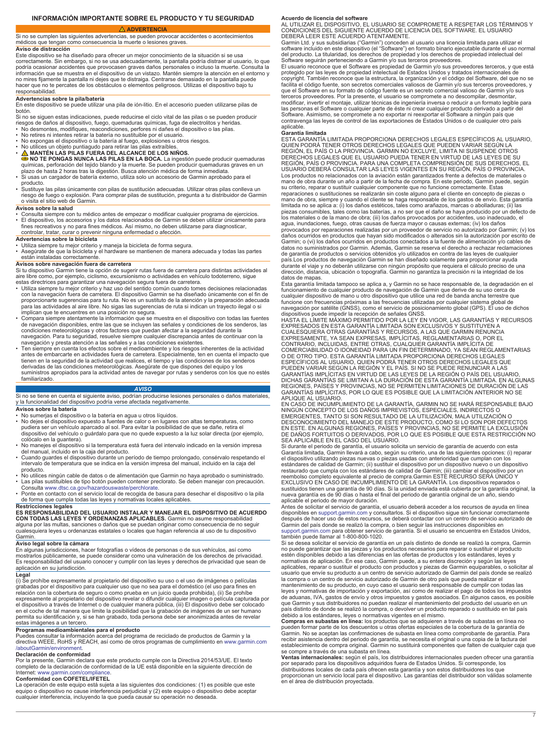**ADVERTENCIA**

<span id="page-6-0"></span>Si no se cumplen las siguientes advertencias, se pueden provocar accidentes o acontecimientos médicos que tengan como consecuencia la muerte o lesiones graves. **Aviso de distracción**

Este dispositivo se ha diseñado para ofrecer un mejor conocimiento de la situación si se usa

correctamente. Sin embargo, si no se usa adecuadamente, la pantalla podría distraer al usuario, lo que podría ocasionar accidentes que provocasen graves daños personales o incluso la muerte. Consulta la información que se muestra en el dispositivo de un vistazo. Mantén siempre la atención en el entorno y no mires fijamente la pantalla ni dejes que te distraiga. Centrarse demasiado en la pantalla puede hacer que no te percates de los obstáculos o elementos peligrosos. Utilizas el dispositivo bajo tu responsabilidad.

### **Advertencias sobre la pila/batería**

- En este dispositivo se puede utilizar una pila de ión-litio. En el accesorio pueden utilizarse pilas de botón.
- Si no se siguen estas indicaciones, puede reducirse el ciclo vital de las pilas o se pueden producir riesgos de daños al dispositivo, fuego, quemaduras químicas, fuga de electrolitos y heridas.<br>▪ No desmontes, modifiques, reacondiciones, perfores ni dañes el dispositivo o las pilas.<br>▪ No retires ni intentes retirar la ba
- 
- No expongas el dispositivo o la batería al fuego, explosiones u otros riesgos.
- No utilices un objeto puntiagudo para retirar las pilas extraíbles.<br>• <u>∧</u> MANTÉN LAS PILAS FUERA DEL ALCANCE DE LOS NIÑOS.
- **NO TE PONGAS NUNCA LAS PILAS EN LA BOCA.** La ingestión puede producir quemaduras químicas, perforación del tejido blando y la muerte. Se pueden producir quemaduras graves en un plazo de hasta 2 horas tras la digestión. Busca atención médica de forma inmediata.
- Si usas un cargador de batería externo, utiliza solo un accesorio de Garmin aprobado para el
- producto. Sustituye las pilas únicamente con pilas de sustitución adecuadas. Utilizar otras pilas conlleva un riesgo de fuego o explosión. Para comprar pilas de sustitución, pregunta a tu distribuidor de Garmin o visita el sitio web de Garmin.

### **Avisos sobre la salud**

- Consulta siempre con tu médico antes de empezar o modificar cualquier programa de ejercicios. El dispositivo, los accesorios y los datos relacionados de Garmin se deben utilizar únicamente para
- fines recreativos y no para fines médicos. Así mismo, no deben utilizarse para diagnosticar, controlar, tratar, curar o prevenir ninguna enfermedad o afección. **Advertencias sobre la bicicleta**
- 
- Utiliza siempre tu mejor criterio y maneja la bicicleta de forma segura. Asegúrate de que la bicicleta y el hardware se mantienen de manera adecuada y todas las partes están instaladas correctamente.

### **Avisos sobre navegación fuera de carretera**

Si tu dispositivo Garmin tiene la opción de sugerir rutas fuera de carretera para distintas actividades al aire libre como, por ejemplo, ciclismo, excursionismo o actividades en vehículo todoterreno, sigue

- estas directrices para garantizar una navegación segura fuera de carretera. Utiliza siempre tu mejor criterio y haz uso del sentido común cuando tomes decisiones relacionadas con la navegación fuera de carretera. El dispositivo Garmin se ha diseñado únicamente con el fin de proporcionarte sugerencias para tu ruta. No es un sustituto de la atención y la preparación adecuada para las actividades al aire libre. No sigas las sugerencias de ruta si indican un trayecto ilegal o si<br>implican que te encuentres en una posición no segura.<br>• Compara siempre atentamente la información que se muestra en
- de navegación disponibles, entre las que se incluyen las señales y condiciones de los senderos, las condiciones meteorológicas y otros factores que puedan afectar a la seguridad durante la navegación. Para tu seguridad, resuelve siempre cualquier discrepancia antes de continuar con la navegación y presta atención a las señales y a las condiciones existentes.
- Ten siempre en cuenta los efectos sobre el medioambiente y los riesgos inherentes de la actividad antes de embarcarte en actividades fuera de carretera. Especialmente, ten en cuenta el impacto que tienen en la seguridad de la actividad que realices, el tiempo y las condiciones de los senderos<br>derivadas de las condiciones meteorológicas. Asegúrate de que dispones del equipo y los<br>suministros apropiados para la activi familiarizado.

# *AVISO*

# Si no se tiene en cuenta el siguiente aviso, podrían producirse lesiones personales o daños materiales,<br>y la funcionalidad del dispositivo podría verse afectada negativamente.

- **Avisos sobre la batería**
- 
- ∙ No sumerjas el dispositivo o la batería en agua u otros líquidos.<br>∙ No dejes el dispositivo expuesto a fuentes de calor o en lugares con altas temperaturas, como<br>− pudiera ser un vehículo aparcado al sol. Para evi dispositivo del vehículo o guárdalo para que no quede expuesto a la luz solar directa (por ejemplo, colócalo en la guantera).
- No manejes el dispositivo si la temperatura está fuera del intervalo indicado en la versión impresa del manual, incluido en la caja del producto. • Cuando guardes el dispositivo durante un período de tiempo prolongado, consérvalo respetando el
- intervalo de temperatura que se indica en la versión impresa del manual, incluido en la caja del
- producto.<br>• No utilices ningún cable de datos o de alimentación que Garmin no haya aprobado o suministrado.<br>• Las pilas sustituibles de tipo botón pueden contener preclorato. Se deben manejar con precaución.
- Consulta [www.dtsc.ca.gov/hazardouswaste/perchlorate](http://www.dtsc.ca.gov/hazardouswaste/perchlorate). Ponte en contacto con el servicio local de recogida de basura para desechar el dispositivo o la pila
- de forma que cumpla todas las leyes y normativas locales aplicables. **Restricciones legales**

**ES RESPONSABILIDAD DEL USUARIO INSTALAR Y MANEJAR EL DISPOSITIVO DE ACUERDO CON TODAS LAS LEYES Y ORDENANZAS APLICABLES.** Garmin no asume responsabilidad alguna por las multas, sanciones o daños que se puedan originar como consecuencia de no seguir

cualesquiera leyes u ordenanzas estatales o locales que hagan referencia al uso de tu dispositivo Garmin.

### **Aviso legal sobre la cámara**

En algunas jurisdicciones, hacer fotografías o vídeos de personas o de sus vehículos, así como mostrarlos públicamente, se puede considerar como una vulneración de los derechos de privacidad. Es responsabilidad del usuario conocer y cumplir con las leyes y derechos de privacidad que sean de aplicación en su jurisdicción. **Legal**

(i) Se prohíbe expresamente al propietario del dispositivo su uso o el uso de imágenes o películas grabadas por el dispositivo para cualquier uso que no sea para el doméstico (el uso para fines en relación con la cobertura de seguro o como prueba en un juicio queda prohibida), (ii) Se prohíbe<br>expresamente al propietario del dispositivo revelar o difundir cualquier imagen o película capturada por<br>el dispositivo a tra en el coche de tal manera que limite la posibilidad que la grabación de imágenes de un ser humano permita su identificación y, si se han grabado, toda persona debe ser anonimizada antes de revelar estas imágenes a un tercero.

**Programas medioambientales para el producto** Puedes consultar la información acerca del programa de reciclado de productos de Garmin y la directiva WEEE, RoHS y REACH, así como de otros programas de cumplimiento en [www.garmin.com](http://www.garmin.com/aboutGarmin/environment) [/aboutGarmin/environment](http://www.garmin.com/aboutGarmin/environment).

### **Declaración de conformidad**

Por la presente, Garmin declara que este producto cumple con la Directiva 2014/53/UE. El texto completo de la declaración de conformidad de la UE está disponible en la siguiente dirección de Internet: [www.garmin.com/compliance.](http://www.garmin.com/compliance)

### **Conformidad con COFETEL/IFETEL**

La operación de este equipo está sujeta a las siguientes dos condiciones: (1) es posible que este<br>equipo o dispositivo no cause interferencia perjudicial y (2) este equipo o dispositivo debe aceptar<br>cualquier interferencia

### **Acuerdo de licencia del software**

AL UTILIZAR EL DISPOSITIVO, EL USUARIO SE COMPROMETE A RESPETAR LOS TÉRMINOS Y CONDICIONES DEL SIGUIENTE ACUERDO DE LICENCIA DEL SOFTWARE. EL USUARIO DEBERÁ LEER ESTE ACUERDO ATENTAMENTE.

Garmin Ltd. y sus subsidiarias ("Garmin") conceden al usuario una licencia limitada para utilizar el<br>software incluido en este dispositivo (el "Software") en formato binario ejecutable durante el uso normal<br>del producto. L

Software seguirán perteneciendo a Garmin y/o sus terceros proveedores.<br>El usuario reconoce que el Software es propiedad de Garmin y/o sus proveedores terceros, y que está<br>protegido por las leyes de propiedad intelectual de facilita el código fuente, son secretos comerciales valiosos de Garmin y/o sus terceros proveedores, y que el Software en su formato de código fuente es un secreto comercial valioso de Garmin y/o sus terceros proveedores. Por la presente, el usuario se compromete a no descompilar, desmontar, modificar, invertir el montaje, utilizar técnicas de ingeniería inversa o reducir a un formato legible para las personas el Software o cualquier parte de éste ni crear cualquier producto derivado a partir del Software. Asimismo, se compromete a no exportar ni reexportar el Software a ningún país que contravenga las leyes de control de las exportaciones de Estados Unidos o de cualquier otro país aplicable.

### **Garantía limitada**

ESTA GARANTÍA LIMITADA PROPORCIONA DERECHOS LEGALES ESPECÍFICOS AL USUARIO, QUIEN PODRÁ TENER OTROS DERECHOS LEGALES QUE PUEDEN VARIAR SEGÚN LA REGIÓN, EL PAÍS O LA PROVINCIA. GARMIN NO EXCLUYE, LIMITA NI SUSPENDE OTROS DERECHOS LEGALES QUE EL USUARIO PUEDA TENER EN VIRTUD DE LAS LEYES DE SU REGIÓN, PAÍS O PROVINCIA. PARA UNA COMPLETA COMPRENSIÓN DE SUS DERECHOS, EL<br>USUARIO DEBERÁ CONSULTAR LAS LEYES VIGENTES EN SU REGIÓN, PAÍS O PROVINCIA. Los productos no relacionados con la aviación están garantizados frente a defectos de materiales o mano de obra durante un año a partir de la fecha de compra. En este periodo, Garmin puede, según su criterio, reparar o sustituir cualquier componente que no funcione correctamente. Estas reparaciones o sustituciones se realizarán sin coste alguno para el cliente en concepto de piezas o mano de obra, siempre y cuando el cliente se haga responsable de los gastos de envío. Esta garantía limitada no se aplica a: (i) los daños estéticos, tales como arañazos, marcas o abolladuras; (ii) las piezas consumibles, tales como las baterías, a no ser que el daño se haya producido por un defecto de los materiales o de la mano de obra; (iii) los daños provocados por accidentes, uso inadecuado, el agua, inundaciones, fuego, otras causas de fuerza mayor o causas externas; (iv) los daños<br>provocados por reparaciones realizadas por un proveedor de servicio no autorizado por Garmin; (v) los<br>daños ocurridos en productos Garmin; o (vi) los daños ocurridos en productos conectados a la fuente de alimentación y/o cables de datos no suministrados por Garmin. Además, Garmin se reserva el derecho a rechazar reclamaciones de garantía de productos o servicios obtenidos y/o utilizados en contra de las leyes de cualquier país.Los productos de navegación Garmin se han diseñado solamente para proporcionar ayuda<br>durante el viaje y no deberán utilizarse con ningún propósito que requiera el cálculo preciso de una<br>dirección, distancia, ubicación datos de mapas.

Esta garantía limitada tampoco se aplica a, y Garmin no se hace responsable de, la degradación en el<br>funcionamiento de cualquier producto de navegación de Garmin que derive de su uso cerca de<br>cualquier dispositivo de mano funcione con frecuencias próximas a las frecuencias utilizadas por cualquier sistema global de navegación por satélite (GNSS), como el servicio de posicionamiento global (GPS). El uso de dichos

dispositivos puede impedir la recepción de señales GNSS.<br>HASTA EL LÍMITE MÁXIMO PERMITIDO POR LA LEY EN VIGOR, LAS GARANTÍAS Y RECURSOS<br>EXPRESADOS EN ESTA GARANTÍA LIMITADA SON EXCLUSIVOS Y SUSTITUYEN A CUALESQUIERA OTRAS GARANTIAS Y RECURSOS, A LAS QUE GARMIN RENUNCIA<br>EXPRESAMENTE, YA SEAN EXPRESAS, IMPLÍCITAS, REGLAMENTARIAS O, POR EL<br>CONTRARIO, INCLUIDAS, ENTRE OTRAS, CUALQUIER GARANTÍA IMPLÍCITA DE<br>CONFRCIABILIDAD O I O DE OTRO TIPO. ESTA GARANTÍA LIMITADA PROPORCIONA DERECHOS LEGALES ESPECÍFICOS AL USUARIO, QUIEN PODRÁ TENER OTROS DERECHOS LEGALES QUE PUEDEN VARIAR SEGUN LA REGIÓN Y EL PAÍS. SI NO SE PUEDE RENUNCIAR A LAS<br>GARANTÍAS IMPLÍCITAS EN VIRTUD DE LAS LEYES DE LA REGIÓN O PAÍS DEL USUARIO,<br>DICHAS GARANTÍAS SE LIMITAN A LA DURACIÓN DE ESTA GARANTÍA LIMITADA. EN A

GARANTÍAS IMPLÍCITAS, POR LO QUE ES POSIBLE QUE LA LIMITACIÓN ANTERIOR NO SE APLIQUE AL USUARIO. EN CASO DE INCUMPLIMIENTO DE LA GARANTÍA, GARMIN NO SE HARA RESPONSABLE BAJO<br>NINGÚN CONCEPTO DE LOS DAÑOS IMPREVISTOS, ESPECIALES, INDIRECTOS O<br>EMERGENTES, TANTO SI SON RESULTADO DE LA UTILIZACIÓN, MALA UTILIZACIÓN O DESCONOCIMIENTO DEL MANEJO DE ESTE PRODUCTO, COMO SI LO SON POR DEFECTOS<br>EN ESTE. EN ALGUNAS REGIONES, PAÍSES Y PROVINCIAS, NO SE PERMITE LA EXCLUSIÓN<br>DE DAÑOS FORTUITOS O DERIVADOS, POR LO QUE ES POSIBLE QUE ESTA RESTRICC

Si durante el periodo de garantía, el usuario solicita un servicio de garantía de acuerdo con esta Garantía limitada, Garmin llevará a cabo, según su criterio, una de las siguientes opciones: (i) reparar el dispositivo utilizando piezas nuevas o piezas usadas con anterioridad que cumplan con los<br>estándares de calidad de Garmin; (ii) sustituir el dispositivo por un dispositivo nuevo o un dispositivo<br>restaurado que cumpla co EXCLUSIVO EN CASO DE INCUMPLIMIENTO DE LA GARANTÍA. Los dispositivos reparados o<br>sustituidos tienen una garantía de 90 días. Si la unidad enviada está cubierta por la garantía original, la<br>nueva garantía es de 90 días o ha aplicable el periodo de mayor duración.

Antes de solicitar el servicio de garantía, el usuario deberá acceder a los recursos de ayuda en línea disponibles en [support.garmin.com](http://www.support.garmin.com) y consultarlos. Si el dispositivo sigue sin funcionar correctamente después de hacer uso de estos recursos, se deberá contactar con un centro de servicio autorizado de Garmin del país donde se realizó la compra, o bien seguir las instrucciones disponibles en [support.garmin.com](http://www.support.garmin.com) para obtener servicio de garantía. Si el usuario se encuentra en Estados Unidos,

también puede llamar al 1-800-800-1020. Si se desea solicitar el servicio de garantía en un país distinto de donde se realizó la compra, Garmin no puede garantizar que las piezas y los productos necesarios para reparar o sustituir el producto estén disponibles debido a las diferencias en las ofertas de productos y los estándares, leyes y normativas de aplicación. En ese caso, Garmin puede, a su entera discreción y según las leyes aplicables, reparar o sustituir el producto con productos y piezas de Garmin equiparables, o solicitar al usuario que envíe su producto a un centro de servicio autorizado de Garmin del país donde se realizó la compra o un centro de servicio autorizado de Garmin de otro país que pueda realizar el

mantenimiento de su producto, en cuyo caso el usuario será responsable de cumplir con todas las<br>leyes y normativas de importación y exportación, así como de realizar el pago de todos los impuestos<br>de aduanas, IVA, gastos d país distinto de donde se realizó la compra, o devolver un producto reparado o sustituido en tal país<br>debido a los estándares, leyes o normativas vigentes en el mismo.<br>**Compras en subastas en línea:** los productos que se a

pueden formar parte de los descuentos u otras ofertas especiales de la cobertura de la garantía de Garmin. No se aceptan las confirmaciones de subasta en línea como comprobante de garantía. Para recibir asistencia dentro del periodo de garantía, se necesita el original o una copia de la factura del establecimiento de compra original. Garmin no sustituirá componentes que falten de cualquier caja que se compre a través de una subasta en línea.

**Ventas internacionales:** según el país, los distribuidores internacionales pueden ofrecer una garantía por separado para los dispositivos adquiridos fuera de Estados Unidos. Si corresponde, los<br>distribuidores locales de cada país ofrecen esta garantía y son estos distribuidores los que<br>proporcionan un servicio local para el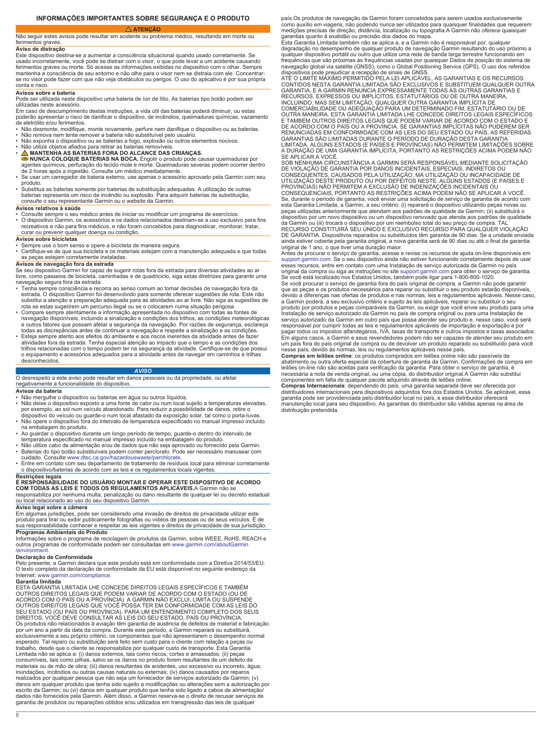# **INFORMAÇÕES IMPORTANTES SOBRE SEGURANÇA E O PRODUTO**

# **ATENÇÃO**

<span id="page-7-0"></span>Não seguir estes avisos pode resultar em acidente ou problema médico, resultando em morte ou ferimentos graves.

### **Aviso de distração**

Este dispositivo destina-se a aumentar a consciência situacional quando usado corretamente. Se usado incorretamente, você pode se distrair com o visor, o que pode levar a um acidente causando ferimentos graves ou morte. Só acesse as informações exibidas no dispositivo com o olhar. Sempre mantenha a consciência de seu entorno e não olhe para o visor nem se distraia com ele. Concentrarse no visor pode fazer com que não veja obstáculos ou perigos. O uso do aplicativo é por sua própria conta e risco.

### **Avisos sobre a bateria**

Pode ser utilizada neste dispositivo uma bateria de íon de lítio. As baterias tipo botão podem ser

utilizadas neste acessório. Em caso de descumprimento destas instruções, a vida útil das baterias poderá diminuir, ou estas poderão apresentar o risco de danificar o dispositivo, de incêndios, queimaduras químicas, vazamento de eletrólito e/ou ferimentos.

- Não desmonte, modifique, monte novamente, perfure nem danifique o dispositivo ou as baterias. Não remova nem tente remover a bateria não substituível pelo usuário.
- 
- 
- Não exponha o dispositivo ou as baterias a fogo, explosão ou outros elementos nocivos.<br>• **N**ão utilize objetos afiados para retirar as baterias removíveis.<br>• <u>∧</u> MANTENHA AS BATERIAS FORA DO ALCANCE DAS CRIANÇAS. **NUNCA COLOQUE BATERIAS NA BOCA.** Engolir o produto pode causar queimaduras por agentes químicos, perfuração do tecido mole e morte. Queimaduras severas podem ocorrer dentro de 2 horas após a ingestão. Consulte um médico imediatamente.
- Se usar um carregador de bateria externo, use apenas o acessório aprovado pela Garmin com seu
- produto. Substitua as baterias somente por baterias de substituição adequadas. A utilização de outras baterias representa um risco de incêndio ou explosão. Para adquirir baterias de substituição,

### consulte o seu representante Garmin ou o website da Garmin. **Avisos relativos à saúde**

- Consulte sempre o seu médico antes de iniciar ou modificar um programa de exercícios. O dispositivo Garmin, os acessórios e os dados relacionados destinam-se a uso exclusivo para fins
- recreativos e não para fins médicos, e não foram concebidos para diagnosticar, monitorar, tratar, curar ou prevenir qualquer doença ou condição.

# **Avisos sobre bicicletas**

- Sempre use o bom senso e opere a bicicleta de maneira segura.
- Certifique-se de que sua bicicleta e os materiais estejam com a manutenção adequada e que todas as peças estejam corretamente instaladas.

# **Avisos de navegação fora da estrada**

Se seu dispositivo Garmin for capaz de sugerir rotas fora da estrada para diversas atividades ao ar livre, como passeios de bicicleta, caminhadas e de quadriciclo, siga estas diretrizes para garantir uma navegação segura fora da estrada.

- Tenha sempre consciência e recorra ao senso comum ao tomar decisões de navegação fora da estrada. O dispositivo Garmin foi desenvolvido para somente oferecer sugestões de rota. Este não substitui a atenção e preparação adequada para as atividades ao ar livre. Não siga as sugestões de
- rota se estas sugerirem um percurso ilegal ou se o colocarem numa situação perigosa.<br>• Compare sempre atentamente a informação apresentada no dispositivo com todas as fontes de<br>navegação disponíveis, incluindo a sinalizaçã
- todas as discrepâncias antes de continuar a navegação e respeite a sinalização e as condições.<br>• Esteja sempre atento aos efeitos do ambiente e aos riscos inerentes da atividade antes de fazer<br>• atividades fora da estrada. trilhos relacionadas com o tempo podem ter na segurança da atividade. Certifique-se de que possui o equipamento e acessórios adequados para a atividade antes de navegar em caminhos e trilhas desconhecidos.

### *AVISO*

O desrespeito a este aviso pode resultar em danos pessoais ou da propriedade, ou afetar negativamente a funcionalidade do dispositivo.

### **Avisos da bateria**

- 
- Não mergulhe o dispositivo ou baterias em água ou outros líquidos. Não deixe o dispositivo exposto a uma fonte de calor ou num local sujeito a temperaturas elevadas, por exemplo, ao sol num veículo abandonado. Para reduzir a possibilidade de danos, retire o dispositivo do veículo ou guarde-o num local afastado da exposição solar, tal como o porta-luvas.
- Não opere o dispositivo fora do intervalo de temperatura especificado no manual impresso incluído na embalagem do produto.
- Ao guardar o dispositivo durante um longo período de tempo, guarde-o dentro do intervalo de<br> temperatura especificado no manual impresso incluído na embalagem do produto.<br>• Não utilize cabo de alimentação e/ou de
- 
- Baterias do tipo botão substituíveis podem conter perclorato. Pode ser necessário manusear com cuidado. Consulte [www.dtsc.ca.gov/hazardouswaste/perchlorate.](http://www.dtsc.ca.gov/hazardouswaste/perchlorate)
- Entre em contato com seu departamento de tratamento de resíduos local para eliminar corretamente o dispositivo/baterias de acordo com as leis e os regulamentos locais vigentes.

# **Restrições legais É RESPONSABILIDADE DO USUÁRIO MONTAR E OPERAR ESTE DISPOSITIVO DE ACORDO COM TODAS AS LEIS E TODOS OS REGULAMENTOS APLICÁVEIS.**A Garmin não se

responsabiliza por nenhuma multa, penalização ou dano resultante de qualquer lei ou decreto estadual ou local relacionado ao uso do seu dispositivo Garmin.

### **Aviso legal sobre a câmera**

Em algumas jurisdições, pode ser considerado uma invasão de direitos de privacidade utilizar este produto para tirar ou exibir publicamente fotografias ou vídeos de pessoas ou de seus veículos. É de sua responsabilidade conhecer e respeitar as leis vigentes e direitos de privacidade de sua jurisdição. **Programas Ambientais do Produto**

Informações sobre o programa de reciclagem de produtos da Garmin, sobre WEEE, RoHS, REACH e outros programas de conformidade podem ser consultadas em [www.garmin.com/aboutGarmin](http://www.garmin.com/aboutGarmin/environment)

### [/environment.](http://www.garmin.com/aboutGarmin/environment) **Declaração de Conformidade**

Pelo presente, a Garmin declara que este produto está em conformidade com a Diretiva 2014/53/EU. O texto completo da declaração de conformidade da EU está disponível no seguinte endereço da Internet: [www.garmin.com/compliance.](http://www.garmin.com/compliance)

### **Garantia limitada**

ESTA GARANTIA LIMITADA LHE CONCEDE DIREITOS LEGAIS ESPECÍFICOS E TAMBÉM<br>OUTROS DIREITOS LEGAIS QUE PODEM VARIAR DE ACORDO COM O ESTADO (OU DE<br>ACORDO COM O PAÍS OU A PROVÍNCIA). A GARMIN NÃO EXCLUI, LIMITA OU SUSPENDE OUTROS DIREITOS LEGAIS QUE VOCÊ POSSA TER EM CONFORMIDADE COM AS LEIS DO SEU ESTADO (OU PAÍS OU PROVÍNCIA). PARA UM ENTENDIMENTO COMPLETO DOS SEUS DIREITOS, VOCÊ DEVE CONSULTAR AS LEIS DO SEU ESTADO, PAÍS OU PROVÍNCIA. Os produtos não relacionados à aviação têm garantia de ausência de defeitos de material e fabricação<br>por um ano a partir da data da compra. Durante este período, a Garmin reparará ou substituirá,<br>exclusivamente a seu própr esperado. Tal reparo ou substituição será feito sem custo para o cliente com relação a peças ou trabalho, desde que o cliente se responsabilize por qualquer custo de transporte. Esta Garantia<br>Limitada não se aplica a: (i) danos externos, tais como riscos, cortes e amassados; (ii) peças<br>consumíveis, tais como pilhas, materiais ou de mão de obra; (iii) danos resultantes de acidentes, uso excessivo ou incorreto, água, inundações, incêndios ou outras causas naturais ou externas; (iv) danos causados por reparos realizados por qualquer pessoa que não seja um fornecedor de serviços autorizado da Garmin; (v) danos em qualquer produto que tenha sido sujeito a modificações ou alterações sem a autorização por escrito da Garmin; ou (vi) danos em qualquer produto que tenha sido ligado a cabos de alimentação/ dados não fornecidos pela Garmin. Além disso, a Garmin reserva-se o direito de recusar serviços de garantia de produtos ou reparações obtidos e/ou utilizados em transgressão das leis de qualquer

país.Os produtos de navegação da Garmin foram concebidos para serem usados exclusivamente como auxílio em viagens, não podendo nunca ser utilizados para quaisquer finalidades que requerem medições precisas de direção, distância, localização ou topografia.A Garmin não oferece quaisquer<br>garantias quanto à exatidão ou precisão dos dados do mapa.<br>Esta Garantia Limitada também não se aplica a, e a Garmin não é r

degradação no desempenho de qualquer produto de navegação Garmin resultando do uso próximo a qualquer dispositivo portátil ou outro que utilize uma rede de banda larga terrestre funcionando em frequências que são próximas às frequências usadas por quaisquer Dados de posição do sistema de<br>navegação global via satélite (GNSS), como o Global Positioning Service (GPS). O uso dos referidos<br>dispositivos pode prejudica

CONTIDOS NESTA GARANTIA LIMITADA SÃO EXCLUSIVOS E SUBSTITUEM QUALQUER OUTRA GARANTIA, E A GARMIN RENUNCIA EXPRESSAMENTE TODAS AS OUTRAS GARANTIAS E RECURSOS, EXPRESSOS OU IMPLÍCITOS, ESTATUTÁRIOS OU DE OUTRA MANEIRA,<br>INCLUINDO, MAS SEM LIMITAÇÃO, QUALQUER OUTRA GARANTIA IMPLÍCITA DE<br>COMERCIABILIDADE OU ADEQUAÇÃO PARA UM DETERMINADO FIM, ESTATUTÁRIO OU DE

OUTRA MANEIRA. ESTA GARANTIA LIMITADA LHE CONCEDE DIREITOS LEGAIS ESPECÍFICOS<br>E TAMBÉM OUTROS DIREITOS LEGAIS QUE PODEM VARIAR DE ACORDO COM O ESTADO E<br>DE ACORDO COM O PAÍS OU A PROVÍNCIA. SE GARANTIAS IMPLÍCITAS NÃO PUDER GARANTIAS SÃO LIMITADAS DURANTE O PERÍODO DE DURAÇÃO DESTA GARANTIA LIMITADA. ALGUNS ESTADOS (E PAÍSES E PROVÍNCIAS) NÃO PERMITEM LIMITAÇÕES SOBRE

A DURAÇÃO DE UMA GARANTIA IMPLICITA, PORTANTO AS RESTRIÇÕES ACIMA PODEM NÃO<br>SE APLICAR A VOCÊ.<br>SOB NENHUMA CIRCUNSTÂNCIA A GARMIN SERÁ RESPONSÁVEL MEDIANTE SOLICITAÇÃO<br>DE VIOLAÇÃO DE GARANTIA POR DANOS INCIDENTAIS, ESPECIA CONSEQUENTES, CAUSADOS PELA UTILIZAÇÃO, MA UTILIZAÇÃO OU INCAPACIDADE DE<br>UTILIZAÇÃO DESTE PRODUTO OU POR DEFEITOS NESTE. ALGUNS ESTADOS (E PAÍSES E<br>PROVÍNCIAS) NÃO PERMITEM A EXCLUSÃO DE INDENIZAÇÕES INCIDENTAIS OU<br>CONSEQU peças utilizadas anteriormente que atendam aos padrões de qualidade da Garmin; (ii) substituirá o<br>dispositivo por um novo dispositivo ou um dispositivo renovado que atenda aos padrões de qualidade<br>da Garmin ou (iii) trocar RECURSO CONSTITUIRÁ SEU ÚNICO E EXCLUSIVO RECURSO PARA QUALQUER VIOLAÇÃO DE GARANTIA. Dispositivos reparados ou substituídos têm garantia de 90 dias. Se a unidade enviada ainda estiver coberta pela garantia original, a nova garantia será de 90 dias ou até o final da garantia original de 1 ano, o que tiver uma duração maior.

Antes de procurar o serviço de garantia, acesse e revise os recursos de ajuda on-line disponíveis em [support.garmin.com.](http://www.support.garmin.com) Se o seu dispositivo ainda não estiver funcionando corretamente depois de usar esses recursos, entre em contato com uma Instalação de serviço autorizada da Garmin no país<br>original da compra ou siga as instruções no site [support.garmin.com](http://www.support.garmin.com) para obter o serviço de garantia.<br>Se você está localizado nos

que as peças e os produtos necessários para reparar ou substituir o seu produto estarão disponíveis, devido a diferenças nas ofertas de produtos e nas normas, leis e regulamentos aplicáveis. Nesse caso, a Garmin poderá, a seu exclusivo critério e sujeito às leis aplicáveis, reparar ou substituir o seu<br>produto por produtos e peças comparáveis da Garmin, ou exigir que você envie seu produto para uma<br>Instalação de serviço au serviço autorizado da Garmin em outro país que possa atender seu produto e, nesse caso, você será responsável por cumprir todas as leis e regulamentos aplicáveis de importação e exportação e por<br>pagar todos os impostos alfandegários, IVA, taxas de transporte e outros impostos e taxas associados.<br>Em alguns casos, a Garm um país fora do país original de compra ou de devolver um produto reparado ou substituído para você nesse país, devido às normas, leis ou regulamentos aplicáveis nesse país.

**Compras em leilões online**: os produtos comprados em leilões online não são passíveis de abatimento ou outra oferta especial da cobertura de garantia da Garmin. Confirmações de compra em leilões on-line não são aceitas para verificação da garantia. Para obter o serviço de garantia, é necessária a nota de venda original, ou uma cópia, do distribuidor original.A Garmin não substitui

componentes em falta de qualquer pacote adquirido através de leilões online.<br>Compras Internacionais: dependendo do país, uma garantia separada deve ser oferecida por<br>distribuidores internacionais para dispositivos adquirid distribuição pretendida.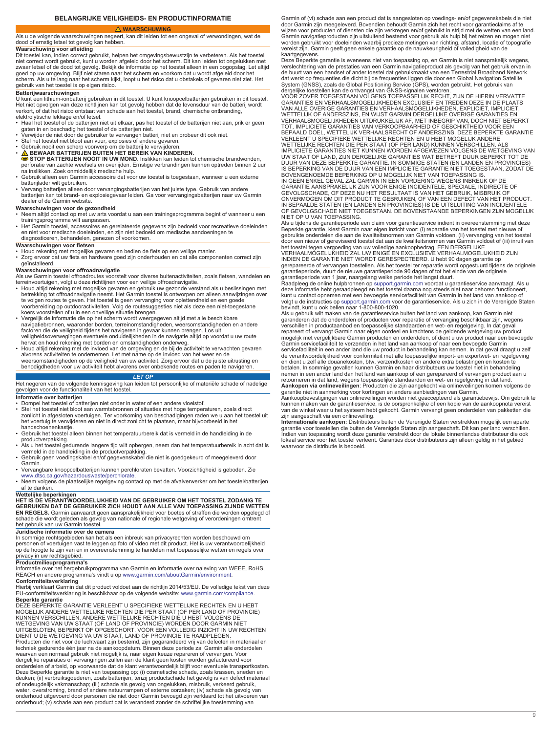**WAARSCHUWING**

<span id="page-8-0"></span>Als u de volgende waarschuwingen negeert, kan dit leiden tot een ongeval of verwondingen, wat de dood of ernstig letsel tot gevolg kan hebben.

**Waarschuwing voor afleiding**<br>Dit toestel kan, indien correct gebruikt, helpen het omgevingsbewustzijn te verbeteren. Als het toestel<br>niet correct wordt gebruikt, kunt u worden afgeleid door het scherm. Dit kan leiden tot zwaar letsel of de dood tot gevolg. Bekijk de informatie op het toestel alleen in een oogopslag. Let altijd<br>goed op uw omgeving. Blijf niet staren naar het scherm en voorkom dat u wordt afgeleid door het<br>scherm. Als u te l

## **Batterijwaarschuwingen**

U kunt een lithium-ionbatterij gebruiken in dit toestel. U kunt knoopcelbatterijen gebruiken in dit toestel. Het niet opvolgen van deze richtlijnen kan tot gevolg hebben dat de levensduur van de batterij wordt verkort, of dat het risico ontstaat van schade aan het toestel, brand, chemische ontbranding, elektrolytische lekkage en/of letsel.

- Haal het toestel of de batterijen niet uit elkaar, pas het toestel of de batterijen niet aan, prik er geen<br> gaten in en beschadig het toestel of de batterijen niet.<br>• Verwijder de niet door de gebruiker te vervang
- 
- 
- Stel het toestel niet bloot aan vuur, explosies of andere gevaren.<br>• Gebruik nooit een scherp voorwerp om de batterij te verwijderen.<br>• <mark>∆</mark> BEWAAR BATTERIJEN BUITEN HET BEREIK VAN KINDEREN.
- **STOP BATTERIJEN NOOIT IN UW MOND.** Inslikken kan leiden tot chemische brandwonden, perforatie van zachte weefsels en overlijden. Ernstige verbrandingen kunnen optreden binnen 2 uur na inslikken. Zoek onmiddellijk medische hulp.
- Gebruik alleen een Garmin accessoire dat voor uw toestel is toegestaan, wanneer u een externe
- batterijlader wilt gebruiken.<br>• Vervang batterijen alleen door vervangingsbatterijen van het juiste type. Gebruik van andere<br>• batterijen kan tot brand- en explosiegevaar leiden. Ga voor vervangingsbatterijen naar uw Ga dealer of de Garmin website.

- **Waarschuwingen voor de gezondheid**<br>• Neem altijd contact op met uw arts voordat u aan een trainingsprogramma begint of wanneer u een<br>• trainingsprogramma wilt aanpassen.
- Het Garmin toestel, accessoires en gerelateerde gegevens zijn bedoeld voor recreatieve doeleinden en niet voor medische doeleinden, en zijn niet bedoeld om medische aandoeningen te diagnosticeren, behandelen, genezen of voorkomen.

# **Waarschuwingen voor fietsen**

• Houd rekening met mogelijke gevaren en bedien de fiets op een veilige manier. • Zorg ervoor dat uw fiets en hardware goed zijn onderhouden en dat alle componenten correct zijn geïnstalleerd.

**Waarschuwingen voor offroadnavigatie**<br>Als uw Garmin toestel offroadroutes voorstelt voor diverse buitenactiviteiten, zoals fietsen, wandelen en

- terreinvoertuigen, volgt u deze richtlijnen voor een veilige offroadnavigatie. Houd altijd rekening met mogelijke gevaren en gebruik uw gezonde verstand als u beslissingen met betrekking tot offroadnavigatie neemt. Het Garmin toestel is ontworpen om alleen aanwijzingen over te volgen routes te geven. Het toestel is geen vervanging voor oplettendheid en een goede voorbereiding op outdooractiviteiten. Volg de routesuggesties niet als deze een niet-toegestane<br>koers voorstellen of u in een onveilige situatie brengen.<br>• Vergelijk de informatie die op het scherm wordt weergegeven altij
- navigatiebronnen, waaronder borden, terreinomstandigheden, weersomstandigheden en andere factoren die de veiligheid tijdens het navigeren in gevaar kunnen brengen. Los uit<br>veiligheidsoverwegingen eventuele onduidelijkheden in de navigatie altijd op voordat u uw route<br>hervat en houd rekening met borden en omsta
- Houd altijd rekening met de invloed van de omgeving en de bij de activiteit te verwachten gevaren alvorens activiteiten te ondernemen. Let met name op de invloed van het weer en de

weersomstandigheden op de veiligheid van uw activiteit. Zorg ervoor dat u de juiste uitrusting en benodigdheden voor uw activiteit hebt alvorens over onbekende routes en paden te navigeren.

## *LET OP*

Het negeren van de volgende kennisgeving kan leiden tot persoonlijke of materiële schade of nadelige gevolgen voor de functionaliteit van het toestel.

- **Informatie over batterijen** Dompel het toestel of batterijen niet onder in water of een andere vloeistof.
- Stel het toestel niet bloot aan warmtebronnen of situaties met hoge temperaturen, zoals direct<br>zonlicht in afgesloten voertuigen. Ter voorkoming van beschadigingen raden we u aan het toestel uit<br>het voertuig te verwijder
- Gebruik het toestel alleen binnen het temperatuurbereik dat is vermeld in de handleiding in de productverpakking.
- Als u het toestel gedurende langere tijd wilt opbergen, neem dan het temperatuurbereik in acht dat is vermeld in de handleiding in de productverpakking. • Gebruik geen voedingskabel en/of gegevenskabel die niet is goedgekeurd of meegeleverd door
- Garmin.
- Vervangbare knoopcelbatterijen kunnen perchloraten bevatten. Voorzichtigheid is geboden. Zie
- [www.dtsc.ca.gov/hazardouswaste/perchlorate](http://www.dtsc.ca.gov/hazardouswaste/perchlorate). Neem volgens de plaatselijke regelgeving contact op met de afvalverwerker om het toestel/batterijen af te danken.

Wettelijke beperkingen<br>HET IS DE VERANTWOORDELIJKHEID VAN DE GEBRUIKER OM HET TOESTEL ZODANIG TE<br>GEBRUIKEN DAT DE GEBRUIKER ZICH HOUDT AAN ALLE VAN TOEPASSING ZIJNDE WETTEN **EN REGELS.** Garmin aanvaardt geen aansprakelijkheid voor boetes of straffen die worden opgelegd of schade die wordt geleden als gevolg van nationale of regionale wetgeving of verordeningen omtrent het gebruik van uw Garmin toestel.

### **Juridische informatie over de camera**

In sommige rechtsgebieden kan het als een inbreuk van privacyrechten worden beschouwd om personen of voertuigen vast te leggen op foto of video met dit product. Het is uw verantwoordelijkheid op de hoogte te zijn van en in overeenstemming te handelen met toepasselijke wetten en regels over privacy in uw rechtsgebied.

**Productmilieuprogramma's**<br>Informatie over het hergebruikprogramma van Garmin en informatie over naleving van WEEE, RoHS,<br>REACH en andere programma's vindt u op [www.garmin.com/aboutGarmin/environment.](http://www.garmin.com/aboutGarmin/environment)

**Conformiteitsverklaring**<br>Hierbij verklaart Garmin dat dit product voldoet aan de richtlijn 2014/53/EU. De volledige tekst van deze EU-conformiteitsverklaring is beschikbaar op de volgende website: [www.garmin.com/compliance](http://www.garmin.com/compliance). **Beperkte garantie**

DEZE BEPERKTE GARANTIE VERLEENT U SPECIFIEKE WETTELIJKE RECHTEN EN U HEBT<br>MOGELIJK ANDERE WETTELIJKE RECHTEN DIE PER STAAT (OF PER LAND OF PROVINCIE)<br>KUNNEN VERSCHILLEN. ANDERE WETTELIJKE RECHTEN DIE U HEBT VOLGENS DE<br>WETG Producten die niet voor de luchtvaart zijn bestemd, zijn gegarandeerd vrij van defecten in materiaal en<br>techniek gedurende één jaar na de aankoopdatum. Binnen deze periode zal Garmin alle onderdelen<br>waarvan een normaal geb onderdelen of arbeid, op voorwaarde dat de klant verantwoordelijk blijft voor eventuele transportkosten. Deze Beperkte garantie is niet van toepassing op: (i) cosmetische schade, zoals krassen, sneden en deuken; (ii) verbruiksgoederen, zoals batterijen, tenzij productschade het gevolg is van defect materiaal<br>of ondeugdelijk vakmanschap; (iii) schade als gevolg van ongelukken, misbruik, verkeerd gebruik,<br>water, overstroming onderhoud; (v) schade aan een product dat is veranderd zonder de schriftelijke toestemming van

Garmin of (vi) schade aan een product dat is aangesloten op voedings- en/of gegevenskabels die niet door Garmin zijn meegeleverd. Bovendien behoudt Garmin zich het recht voor garantieclaims af te wijzen voor producten of diensten die zijn verkregen en/of gebruikt in strijd met de wetten van een land. Garmin navigatieproducten zijn uitsluitend bestemd voor gebruik als hulp bij het reizen en mogen niet worden gebruikt voor doeleinden waarbij precieze metingen van richting, afstand, locatie of topografie vereist zijn. Garmin geeft geen enkele garantie op de nauwkeurigheid of volledigheid van de kaartgegevens

Deze Beperkte garantie is eveneens niet van toepassing op, en Garmin is niet aansprakelijk wegens, verslechtering van de prestaties van een Garmin navigatieproduct als gevolg van het gebruik ervan in<br>de buurt van een handset of ander toestel dat gebruikmaakt van een Terrestrial Broadband Network<br>dat werkt op frequenties System (GNSS), zoals de Global Positioning Service (GPS), worden gebruikt. Het gebruik van<br>dergelijke toestellen kan de ontvangst van GNSS-signalen verstoren.<br>VOOR ZOVER TOEGESTAAN VOLGENS TOEPASSELIJK RECHT, ZIJN DE HIERI

GARANTIES EN VERHAALSMOGELIJKHEDEN EXCLUSIEF EN TREDEN DEZE IN DE PLAATS VAN ALLE OVERIGE GARANTIES EN VERHAALSMOGELIJKHEDEN, EXPLICIET, IMPLICIET, WETTELIJK OF ANDERSZINS, EN WIJST GARMIN DERGELIJKE OVERIGE GARANTIES EN<br>VERHAALSMOGELIJKHEDEN UITDRUKKELIJK AF, MET INBEGRIP VAN, DOCH NIET BEPERKT<br>TOT, IMPLICIETE GARANTIES VAN VERKOOPBAARHEID OF GESCHIKTHEID VOOR EEN<br>BE VERLEENT U SPECIFIEKE WETTELIJKE RECHTEN EN U HEBT MOGELIJK ANDERE WETTELIJKE RECHTEN DIE PER STAAT (OF PER LAND) KUNNEN VERSCHILLEN. ALS IMPLICIETE GARANTIES NIET KUNNEN WORDEN AFGEWEZEN VOLGENS DE WETGEVING VAN<br>UW STAAT OF LAND, ZIJN DERGELIJKE GARANTIES WAT BETREFT DUUR BEPERKT TOT DE<br>DUUR VAN DEZE BEPERKTE GARANTIE. IN SOMMIGE STATEN (EN LANDEN EN PROVIN BOVENGENOEMDE BEPERKING OP U MOGELIJK NIET VAN TOEPASSING IS.<br>IN GEEN ENKEL GEVAL ZAL GARMIN IN EEN VORDERING WEGENS INBREUK OP DE<br>GARANTIE AANSPRAKELIJK ZIJN VOOR ENIGE INCIDENTELE, SPECIALE, INDIRECTE OF<br>GEVOLGSCHADE, OF NIET OP U VAN TOEPASSING.

Als u tijdens de garantieperiode een claim voor garantieservice indient in overeenstemming met deze Beperkte garantie, kiest Garmin naar eigen inzicht voor: (i) reparatie van het toestel met nieuwe of gebruikte onderdelen die aan de kwaliteitsnormen van Garmin voldoen, (ii) vervanging van het toestel door een nieuw of gereviseerd toestel dat aan de kwaliteitsnormen van Garmin voldoet of (iii) inruil van<br>het toestel tegen vergoeding van uw volledige aankoopbedrag. EEN DERGELIJKE<br>VERHAALMOGELIJKHEID ZAL UW ENIGE EN EXCLU

INDIEN DE GARANTIE NIET WORDT GERESPECTEERD. U hebt 90 dagen garantie op gerepareerde of vervangen toestellen. Als het toestel ter reparatie wordt opgestuurd tijdens de originele<br>garantieperiode, duurt de nieuwe garantieperiode 90 dagen of tot het einde van de originele<br>garantieperiode van 1 ja

deze informatie hebt geraadpleegd en het toestel daarna nog steeds niet naar behoren functioneert, kunt u contact opnemen met een bevoegde servicefaciliteit van Garmin in het land van aankoop of volgt u de instructies op [support.garmin.com](http://www.support.garmin.com) voor de garantieservice. Als u zich in de Verenigde Staten<br>bevindt, kunt u ook bellen naar 1-800-800-1020.<br>Als u gebruik wilt maken van de garantieservice buiten het land van aa

garanderen dat de onderdelen of producten voor reparatie of vervanging beschikbaar zijn, wegens verschillen in productaanbod en toepasselijke standaarden en wet- en regelgeving. In dat geval<br>repareert of vervangt Garmin naar eigen oordeel en krachtens de geldende wetgeving uw product<br>mogelijk met vergelijkbare Garmin Garmin servicefaciliteit te verzenden in het land van aankoop of naar een bevoegde Garmin servicefaciliteit in een ander land die uw product in behandeling kan nemen. In dat geval draagt u zelf de verantwoordelijkheid voor conformiteit met alle toepasselijke import- en exportwet- en regelgeving<br>en dient u zelf alle douanekosten, btw, verzendkosten en andere extra belastingen en kosten te<br>betalen. In sommige geval retourneren in dat land, wegens toepasselijke standaarden en wet- en regelgeving in dat land. **Aankopen via onlineveilingen**: Producten die zijn aangekocht via onlineveilingen komen volgens de

garantie niet in aanmerking voor kortingen en andere aanbiedingen van Garmin.<br>Aankoopbevestigingen van onlineveilingen worden niet geaccepteerd als garantiebewijs. Om gebruik te<br>kunnen maken van de garantieservice, is de o van de winkel waar u het systeem hebt gekocht. Garmin vervangt geen onderdelen van pakketten die

zijn aangeschaft via een onlineveiling.<br>Internationale aankopen: Distributeurs buiten de Verenigde Staten verstrekken mogelijk een aparte<br>garantie voor toestellen die buiten de Verenigde Staten zijn aangeschaft. Dit kan pe waarvoor de distributie is bedoeld.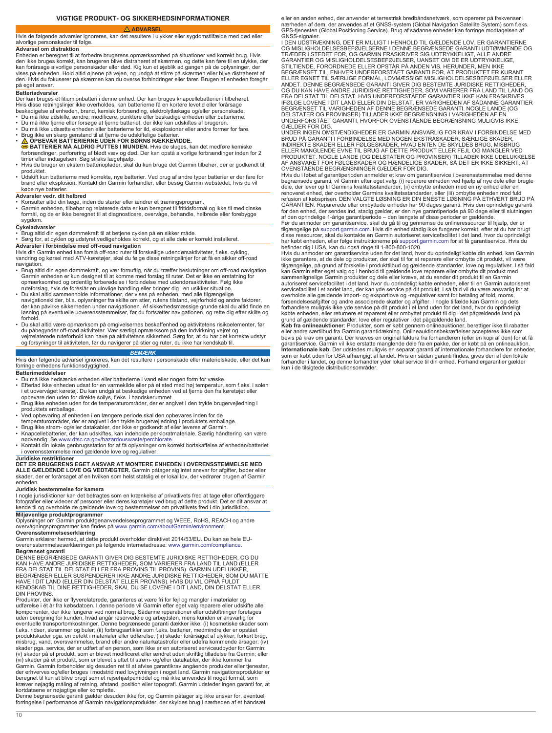**VIGTIGE PRODUKT- OG SIKKERHEDSINFORMATIONER**

<span id="page-9-0"></span> **ADVARSEL** Hvis de følgende advarsler ignoreres, kan det resultere i ulykker eller sygdomstilfælde med død eller alvorlige personskader til følge.

## **Advarsel om distraktion**

Enheden er beregnet til at forbedre brugerens opmærksomhed på situationer ved korrekt brug. Hvis den ikke bruges korrekt, kan brugeren blive distraheret af skærmen, og dette kan føre til en ulykke, der kan forårsage alvorlige personskader eller død. Kig kun et øjeblik ad gangen på de oplysninger, der vises på enheden. Hold altid øjnene på vejen, og undgå at stirre på skærmen eller blive distraheret af den. Hvis du fokuserer på skærmen kan du overse forhindringer eller farer. Brugen af enheden foregår på eget ansvar.

### **Batteriadvarsle**

Der kan bruges et litiumionbatteri i denne enhed. Der kan bruges knapcellebatterier i tilbehøret. Hvis disse retningslinjer ikke overholdes, kan batterierne få en kortere levetid eller forårsage beskadigelse af enheden, brand, kemisk forbrænding, elektrolytlækage og/eller personskade.

- 
- Du må ikke adskille, ændre, modificere, punktere eller beskadige enheden eller batterierne.<br>• Du må ikke fjerne eller forsøge at fjerne batteriet, der ikke kan udskiftes af brugeren.<br>• Du må ikke udsætte enheden eller ba
- 
- 
- **A OPBEVAR BATTERIERNE UDEN FOR BØRNS RÆKKEVIDDE.**<br>**G BATTERIER MÅ ALDRIG PUTTES I MUNDEN.** Hvis de sluges, kan det medføre kemiske forbrændinger, perforering af blødt væv og død. Der kan opstå alvorlige forbrændinger in
- 
- Hvis du bruger en ekstern batterioplader, skal du kun bruge det Garmin tilbehør, der er godkendt til produktet. • Udskift kun batterierne med korrekte, nye batterier. Ved brug af andre typer batterier er der fare for brand eller eksplosion. Kontakt din Garmin forhandler, eller besøg Garmin webstedet, hvis du vil
- købe nye batterier.

# **Advarsler vedr. dit helbred**

- 
- Konsulter altid din læge, inden du starter eller ændrer et træningsprogram.<br>• Garmin enheden, tilbehør og relaterede data er kun beregnet til fritidsformål og ikke til medicinske<br>• formål, og de er ikke beregnet til at d sygdom.

## **Cykeladvarsler**

• Brug altid din egen dømmekraft til at betjene cyklen på en sikker måde. • Sørg for, at cyklen og udstyret vedligeholdes korrekt, og at alle dele er korrekt installeret.

**Advarsler i forbindelse med off-road navigation** Hvis din Garmin enhed kan forslå off-road ruter til forskellige udendørsaktiviteter, f.eks. cykling, vandring og kørsel med ATV-køretøjer, skal du følge disse retningslinjer for at få en sikker off-road navigation.

- Brug altid din egen dømmekraft, og vær fornuftig, når du træffer beslutninger om off-road navigation. Garmin enheden er kun designet til at komme med forslag til ruter. Det er ikke en erstatning for<br>opmærksomhed og ordentlig forberedelse i forbindelse med udendørsaktiviteter. Følg ikke<br>ruteforslag, hvis de foreslår en ulov
- Du skal altid sammenholde informationer, der vises på enheden, med alle tilgængelige<br>navigationskilder, bl.a. oplysninger fra skilte om stier, rutens tilstand, vejrforhold og andre faktorer,<br>der kan påvirke sikkerheden u forhold
- Du skal altid være opmærksom på omgivelsernes beskaffenhed og aktivitetens risikoelementer, før du påbegynder off-road aktiviteter. Vær særligt opmærksom på den indvirkning vejret og<br>vejrrelaterede ruteforhold kan have på aktivitetens sikkerhed. Sørg for, at du har det korrekte udstyr<br>og forsyninger til aktiviteten,

### *BEMÆRK*

Hvis den følgende advarsel ignoreres, kan det resultere i personskade eller materielskade, eller det kan forringe enhedens funktionsdygtighed.

### **Batterimeddelelser**

- Du må ikke nedsænke enheden eller batterierne i vand eller nogen form for væske.<br>• Efterlad ikke enheden udsat for en varmekilde eller på et sted med høj temperatur, som f.eks. i solen<br>• i et uovervåget køretøj. Du kan
- opbevare den uden for direkte sollys, f.eks. i handskerummet. Brug ikke enheden uden for de temperaturområder, der er angivet i den trykte brugervejledning i
- produktets emballage.<br>• Ved opbevaring af enheden i en længere periode skal den opbevares inden for de<br>• temperaturområder, der er angivet i den trykte brugervejledning i produktets emballage.<br>• Brug ikke strøm- og/eller d
- 
- Knapcellebatterier, der kan udskiftes, kan indeholde perkloratmateriale. Særlig håndtering kan være<br>- nødvendig. Se [www.dtsc.ca.gov/hazardouswaste/perchlorate](http://www.dtsc.ca.gov/hazardouswaste/perchlorate).<br>• Kontakt din lokale genbrugsstation for at få oplysninger
- i overensstemmelse med gældende love og regulativer.

### **Juridiske restriktioner**

**DET ER BRUGERENS EGET ANSVAR AT MONTERE ENHEDEN I OVERENSSTEMMELSE MED ALLE GÆLDENDE LOVE OG VEDTÆGTER.** Garmin påtager sig intet ansvar for afgifter, bøder eller<br>skader, der er forårsaget af en hvilken som helst statslig eller lokal lov, der vedrører brugen af Garmin enheden.

# **Juridisk bestemmelse for kamera**

I nogle jurisdiktioner kan det betragtes som en krænkelse af privatlivets fred at tage eller offentliggøre fotografier eller videoer af personer eller deres køretøjer ved brug af dette produkt. Det er dit ansvar at kende til og overholde de gældende love og bestemmelser om privatlivets fred i din jurisdiktion.

**Miljøvenlige produktprogrammer** Oplysninger om Garmin produktgenanvendelsesprogrammet og WEEE, RoHS, REACH og andre overvågningsprogrammer kan findes på [www.garmin.com/aboutGarmin/environment](http://www.garmin.com/aboutGarmin/environment).

### **Overensstemmelseserklæring**

Garmin erklærer hermed, at dette produkt overholder direktivet 2014/53/EU. Du kan se hele EU-overensstemmelseserklæringen på følgende internetadresse: [www.garmin.com/compliance.](http://www.garmin.com/compliance)

**Begrænset garanti** DENNE BEGRÆNSEDE GARANTI GIVER DIG BESTEMTE JURIDISKE RETTIGHEDER, OG DU KAN HAVE ANDRE JURIDISKE RETTIGHEDER, SOM VARIERER FRA LAND TIL LAND (ELLER<br>FRA DELSTAT TIL DELSTAT ELLER FRA PROVINS TIL PROVINS). GARMIN UDELUKKER,<br>BEGRÆNSER ELLER SUSPENDERER IKKE ANDRE JURIDISKE RETTIGHEDER, SOM DU MÅT HAVE I DIT LAND (ELLER DIN DELSTAT ELLER PROVINS). HVIS DU VIL OPNÅ FULDT KENDSKAB TIL DINE RETTIGHEDER, SKAL DU SE LOVENE I DIT LAND, DIN DELSTAT ELLER DIN PROVINS.

Produkter, der ikke er flyverelaterede, garanteres at være fri for fejl og mangler i materialer og<br>udførelse i ét år fra købsdatoen. I denne periode vil Garmin efter eget valg reparere eller udskifte alle<br>komponenter, der eventuelle transportomkostninger. Denne begrænsede garanti dækker ikke: (i) kosmetiske skader som<br>f.eks. ridser, skrammer og buler; (ii) forbrugsartikler som f.eks. batterier, medmindre der er opstået<br>produktskader pga. en misbrug, vand, oversvømmelse, brand eller andre naturkatastrofer eller udefra kommende årsager; (iv) skader pga. service, der er udført af en person, som ikke er en autoriseret serviceudbyder for Garmin;<br>(v) skader på et produkt, som er blevet modificeret eller ændret uden skriftlig tilladelse fra Garmin; eller<br>(vi) skade Garmin. Garmin forbeholder sig desuden ret til at afvise garantikrav angående produkter eller tjenester,<br>der erhverves og/eller bruges i modstrid med lovgivningen i noget land. Garmin navigationsprodukter er beregnet til kun at blive brugt som et rejsehjælpemiddel og må ikke anvendes til noget formål, som kræver nøjagtig måling af retning, afstand, position eller topografi. Garmin udsteder ingen garanti for, at kortdataene er nøjagtige eller komplette.

Denne begrænsede garanti gælder desuden ikke for, og Garmin påtager sig ikke ansvar for, eventuel forringelse i performance af Garmin navigationsprodukter, der skyldes brug i nærheden af et håndsæt eller en anden enhed, der anvender et terrestrisk bredbåndsnetværk, som opererer på frekvenser i nærheden af dem, der anvendes af et GNSS-system (Global Navigation Satellite System) som f.eks. GPS-tjenesten (Global Positioning Service). Brug af sådanne enheder kan forringe modtagelsen af GNSS-signaler

I DEN UDSTRÆKNING, DET ER MULIGT I HENHOLD TIL GÆLDENDE LOV, ER GARANTIERNE OG MISLIGHOLDELSESBEFØJELSERNE I DENNE BEGRÆNSEDE GARANTI UDTØMMENDE OG TRÆDER I STEDET FOR, OG GARMIN FRASKRIVER SIG UDTRYKKELIGT, ALLE ANDRE GARANTIER OG MISLIGHOLDELSESBEFØJELSER, UANSET OM DE ER UDTRYKKELIGE,<br>STILTIENDE, FORORDNEDE ELLER OPSTÅR PÅ ANDEN VIS, HERUNDER, MEN IKKE<br>BEGRÆNSET TIL, ENHVER UNDERFORSTÅET GARANTI FOR, AT PRODUKTET ER KURANT<br>ELLER EGNET ANDET. DENNE BEGRÆNSEDE GARANTI GIVER DIG BESTEMTE JURIDISKE RETTIGHEDER, OG DU KAN HAVE ANDRE JURIDISKE RETTIGHEDER, SOM VARIERER FRA LAND TIL LAND OG FRA DELSTAT TIL DELSTAT. HVIS UNDERFORSTAEDE GARANTIER IKKE KAN FRASKRIVES<br>IFØLGE LOVENE I DIT LAND ELLER DIN DELSTAT, ER VARIGHEDEN AF SÅDANNE GARANTIER<br>BEGRÆNSET TIL VARIGHEDEN AF DENNE BEGRÆNSEDE GARANTI. NOGLE LANDE (O DELSTATER OG PROVINSER) TILLADER IKKE BEGRÆNSNING I VARIGHEDEN AF EN UNDERFORSTÅET GARANTI, HVORFOR OVENSTÅENDE BEGRÆNSNING MULIGVIS IKKE

GÆLDER FOR DIG. UNDER INGEN OMSTÆNDIGHEDER ER GARMIN ANSVARLIG FOR KRAV I FORBINDELSE MED BRUD PÅ GARANTI I FORBINDELSE MED NOGEN EKSTRASKADER, SÆRLIGE SKADER, INDIREKTE SKADER ELLER FØLGESKADER, HVAD ENTEN DE SKYLDES BRUG, MISBRUG ELLER MANGLENDE EVNE TIL BRUG AF DETTE PRODUKT ELLER FEJL OG MANGLER VED<br>PRODUKTET. NOGLE LANDE (OG DELSTATER OG PROVINSER) TILLADER IKKE UDELUKKELSE<br>AF ANSVARET FOR FØLGESKADER OG HÆNDELIGE SKADER, SÅ DET ER IKKE SIKKERT, OVENSTÅENDE BEGRÆNSNINGER GÆLDER FOR DIG.

Hvis du i løbet af garantiperioden anmelder et krav om garantiservice i overensstemmelse med denne begrænsede garanti, vil Garmin efter eget valg: (i) reparere enheden ved hjælp af nye dele eller brugte dele, der lever op til Garmins kvalitetsstandarder, (ii) ombytte enheden med en ny enhed eller en<br>renoveret enhed, der overholder Garmins kvalitetsstandarder, eller (iii) ombytte enheden mod fuld<br>refusion af købsprisen. DE GARANTIEN. Reparerede eller ombyttede enheder har 90 dages garanti. Hvis den oprindelige garanti

for den enhed, der sendes ind, stadig gælder, er den nye garantiperiode på 90 dage eller til slutningen<br>af den oprindelige 1-årige garantiperiode – den længste af disse perioder er gældende.<br>Før du anmoder om garantiservic

har købt enheden, eller følge instruktionerne på [support.garmin.com](http://www.support.garmin.com) for at få garantiservice. Hvis du<br>befinder dig i USA, kan du også ringe til 1-800-800-1020.<br>Hvis du anmoder om garantiservice uden for det land, hvor du o tilgængelige, på grund af forskelle i produkttilbud og gældende standarder, love og regulativer. I så fald<br>kan Garmin efter eget valg og i henhold til gældende love reparere eller ombytte dit produkt med<br>sammenlignelige Ga servicefacilitet i et andet land, der kan yde service på dit produkt. I så fald vil du være ansvarlig for at<br>overholde alle gældende import- og eksportlove og -regulativer samt for betaling af told, moms,<br>forsendelsesatgif

grund af gældende standarder, love eller regulativer i det pågældende land.<br>**Køb fra onlineauktioner**: Produkter, som er købt gennem onlineauktioner, berettiger ikke til rabatter<br>eller andre særtilbud fra Garmin garantidæk garantiservice. Garmin vil ikke erstatte manglende dele fra en pakke, der er købt på en onlineauktion.<br>**Internationale køb**: Der udstedes muligvis en separat garanti af internationale forhandlere for enheder, som er købt uden for USA afhængigt af landet. Hvis en sådan garanti findes, gives den af den lokale<br>forhandler i landet, og denne forhandler yder lokal service til din enhed. Forhandlergarantier gælder<br>kun i de tilsigtede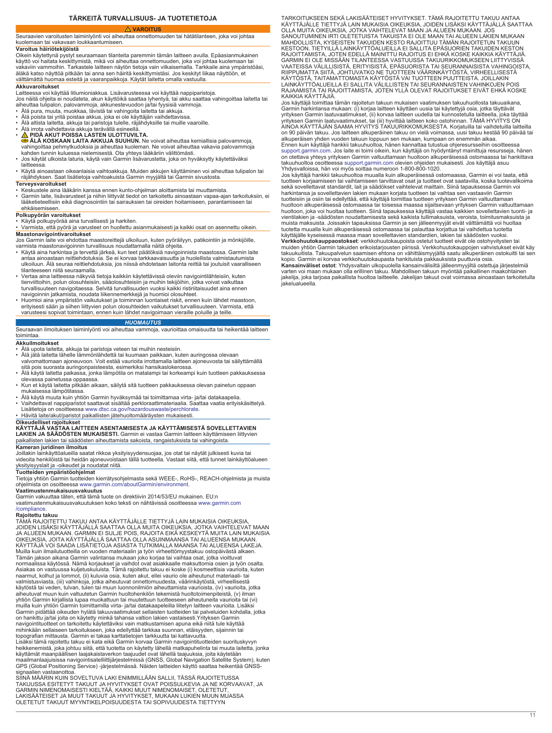## **TÄRKEITÄ TURVALLISUUS- JA TUOTETIETOJA**

# **VAROITUS**

<span id="page-10-0"></span>Seuraavien varoitusten laiminlyönti voi aiheuttaa onnettomuuden tai hätätilanteen, joka voi johtaa kuolemaan tai vakavaan loukkaantumiseen.

# **Varoitus häiriötekijöistä**

Oikein käytettynä pystyt seuraamaan tilanteita paremmin tämän laitteen avulla. Epäasianmukainen käyttö voi haitata keskittymistä, mikä voi aiheuttaa onnettomuuden, joka voi johtaa kuolemaan tai vakaviin vammoihin. Tarkastele laitteen näytön tietoja vain vilkaisemalla. Tarkkaile aina ympäristöäsi,<br>äläkä katso näyttöä pitkään tai anna sen häiritä keskittymistäsi. Jos keskityt liikaa näyttöön, et välttämättä huomaa esteitä ja vaaranpaikkoja. Käytät laitetta omalla vastuulla.

### **Akkuvaroitukset**

Laitteessa voi käyttää litiumioniakkua. Lisävarusteessa voi käyttää nappiparistoja.<br>Jos näitä ohjeita ei noudateta, akun käyttöikä saattaa lyhentyä, tai akku saattaa vahingoittaa laitetta tai<br>aiheuttaa tulipalon, palovamm

- 
- Älä poista tai yritä poistaa akkua, joka ei ole käyttäjän vaihdettavissa.
- Älä altista laitetta, akkuja tai paristoja tulelle, räjähdyksille tai muille vaaroille.
- Älä irrota vaihdettavia akkuja terävällä esineellä. **PIDÄ AKUT POISSA LASTEN ULOTTUVILTA.**
- 
- **⊜ ÄLÄ KOSKAAN LAITA AKKUJA SUUHUN.** Ne voivat aiheuttaa kemiallisia palovammoja,<br>vahingoittaa pehmytkudoksia ja aiheuttaa kuoleman. Ne voivat aiheuttaa vakavia palovammoja<br>kahden tunnin kuluessa nielemisestä. Ota yhteys
- 
- laitteessa.
- Käytä ainoastaan oikeanlaisia vaihtoakkuja. Muiden akkujen käyttäminen voi aiheuttaa tulipalon tai räjähdyksen. Saat lisätietoja vaihtoakuista Garmin myyjältä tai Garmin sivustosta.

# **Terveysvaroitukset**

- Keskustele aina lääkärin kanssa ennen kunto-ohjelman aloittamista tai muuttamista. Garmin laite, lisävarusteet ja niihin liittyvät tiedot on tarkoitettu ainoastaan vapaa-ajan tarkoituksiin, ei lääketieteellisiin eikä diagnosointiin tai sairauksien tai oireiden hoitamiseen, parantamiseen tai
- ehkäisemiseen.

### **Polkupyörän varoitukset**

• Käytä polkupyörää aina turvallisesti ja harkiten. • Varmista, että pyörä ja varusteet on huollettu asianmukaisesti ja kaikki osat on asennettu oikein. **Maastonavigointivaroitukset**

Jos Garmin laite voi ehdottaa maastoreittejä ulkoiluun, kuten pyöräilyyn, patikointiin ja mönkijöille,<br>varmista maastonavigoinnin turvallisuus noudattamalla näitä ohjeita.<br>▪ Käytä aina harkintaa ja tervettä järkeä, kun te

- antaa ainoastaan reittiehdotuksia. Se ei korvaa tarkkaavaisuutta ja huolellista valmistautumista ulkoiluun. Älä seuraa reittiehdotuksia, jos niissä ehdotetaan laitonta reittiä tai joutuisit vaaralliseen tilanteeseen niitä seuraamalla.
- Vertaa aina laitteessa näkyviä tietoja kaikkiin käytettävissä oleviin navigointilähteisiin, kuten<br>tienviittoihin, polun olosuhteisiin, sääolosuhteisiin ja muihin tekijöhini, jotka voivat vaikuttaa<br>turvallisuuteen navigo
- navigoinnin jatkamista, noudata liikennemerkkejä ja huomioi olosuhteet. Huomioi aina ympäristön vaikutukset ja toiminnan luontaiset riskit, ennen kuin lähdet maastoon, erityisesti sään ja siihen liittyvien polun olosuhteiden vaikutukset turvallisuuteen. Varmista, että varusteesi sopivat toimintaan, ennen kuin lähdet navigoimaan vieraille poluille ja teille.

# *HUOMAUTUS*

### Seuraavan ilmoituksen laiminlyönti voi aiheuttaa vammoja, vaurioittaa omaisuutta tai heikentää laitteen toimintaa.

### **Akkuilmoitukset**

- Älä upota laitetta, akkuja tai paristoja veteen tai muihin nesteisiin. Älä jätä laitetta lähelle lämmönlähdettä tai kuumaan paikkaan, kuten auringossa olevaan
- valvomattomaan ajoneuvoon. Voit estää vaurioita irrottamalla laitteen ajoneuvosta tai säilyttämällä sitä pois suorasta auringonpaisteesta, esimerkiksi hansikaslokerossa.
- Älä käytä laitetta paikassa, jonka lämpötila on matalampi tai korkeampi kuin tuotteen pakkauksessa olevassa painetussa oppaassa.
- Kun et käytä laitetta pitkään aikaan, säilytä sitä tuotteen pakkauksessa olevan painetun oppaan mukaisessa lämpötilassa.
- Älä käytä muuta kuin yhtiön Garmin hyväksymää tai toimittamaa virta- ja/tai datakaapelia. Vaihdettavat nappiparistot saattavat sisältää perkloraattimateriaalia. Saattaa vaatia erityiskäsittelyä. Lisätietoja on osoitteessa [www.dtsc.ca.gov/hazardouswaste/perchlorate](http://www.dtsc.ca.gov/hazardouswaste/perchlorate).
- Hävitä laite/akut/paristot paikallisten jätehuoltomääräysten mukaisesti.

**Oikeudelliset rajoitukset KÄYTTÄJÄ VASTAA LAITTEEN ASENTAMISESTA JA KÄYTTÄMISESTÄ SOVELLETTAVIEN LAKIEN JA SÄÄDÖSTEN MUKAISESTI.** Garmin ei vastaa Garmin laitteen käyttämiseen liittyvien paikallisten lakien tai säädösten aiheuttamista sakoista, rangaistuksista tai vahingoista. **Kameran juridinen ilmoitus**

Joillakin lainkäyttöalueilla saatat rikkoa yksityisyydensuojaa, jos otat tai näytät julkisesti kuvia tai videoita henkilöistä tai heidän ajoneuvoistaan tällä tuotteella. Vastaat siitä, että tunnet lainkäyttöalueen yksityisyyslait ja -oikeudet ja noudatat niitä.

**Tuotteiden ympäristöohjelmat**<br>Tietoja yhtiön Garmin tuotteiden kierrätysohjelmasta sekä WEEE-, RoHS-, REACH-ohjelmista ja muista<br>ohjelmista on osoitteessa [www.garmin.com/aboutGarmin/environment](http://www.garmin.com/aboutGarmin/environment).

### **Vaatimustenmukaisuusvakuutus**

Garmin vakuuttaa täten, että tämä tuote on direktiivin 2014/53/EU mukainen. EU:n vaatimustenmukaisuusvakuutuksen koko teksti on nähtävissä osoitteessa [www.garmin.com](http://www.garmin.com/compliance) [/compliance](http://www.garmin.com/compliance).

**Rajoitettu takuu**<br>TÄMÄ RAJOITETTU TAKUU ANTAA KÄYTTÄJÄLLE TIETTYJÄ LAIN MUKAISIA OIKEUKSIA, JOIDEN LISÄKSI KÄYTTÄJÄLLÄ SAATTAA OLLA MUITA OIKEUKSIA, JOTKA VAIHTELEVAT MAAN<br>JA ALUEEN MUKAAN. GARMIN EI SULJE POIS, RAJOITA EIKÄ KESKEYTÄ MUITA LAIN MUKAISIA<br>OIKEUKSIA, JOITA KÄYTTÄJÄLLÄ SAATTAA OLLA ASUINMAANSA TAI AL Muilla kuin ilmailutuotteilla on vuoden materiaalin ja työn virheettömyystakuu ostopäivästä alkaen. Tämän jakson aikana Garmin valintansa mukaan joko korjaa tai vaihtaa osat, jotka vioittuvat normaalissa käytössä. Nämä korjaukset ja vaihdot ovat asiakkaalle maksuttomia osien ja työn osalta. Asiakas on vastuussa kuljetuskuluista. Tämä rajoitettu takuu ei koske (i) kosmeettisia vaurioita, kuten naarmut, kolhut ja lommot, (ii) kuluvia osia, kuten akut, ellei vaurio ole aiheutunut materiaali- tai valmistusviasta, (iii) vahinkoja, jotka aiheutuvat onnettomuudesta, väärinkäytöstä, virheellisestä käytöstä tai veden, tulvan, tulen tai muun luonnonilmiön aiheuttamista vaurioista, (iv) vaurioita, jotka<br>aiheutuvat muun kuin valtuutetun Garmin huoltohenkilön tekemistä huoltotoimenpiteistä, (v) ilman yhtiön Garmin kirjallista lupaa muokattuun tai muutettuun tuotteeseen aiheutuneita vaurioita tai (vi) muilla kuin yhtiön Garmin toimittamilla virta- ja/tai datakaapeleilla liitetyn laitteen vaurioita. Lisäksi Garmin pidättää oikeuden hylätä takuuvaatimukset sellaisten tuotteiden tai palveluiden kohdalla, jotka on hankittu ja/tai joita on käytetty minkä tahansa valtion lakien vastaisesti.Yrityksen Garmin navigointituotteet on tarkoitettu käytettäviksi vain matkustamisen apuna eikä niitä tule käyttää mihinkään sellaiseen tarkoitukseen, joka edellyttää tarkkaa suunnan, etäisyyden, sijainnin tai topografian mittausta. Garmin ei takaa karttatietojen tarkkuutta tai kattavuutta.

Lisäksi tämä rajoitettu takuu ei kata eikä Garmin korvaa Garmin navigointituotteiden suorituskyvyn<br>heikkenemistä, joka johtuu siitä, että tuotetta on käytetty lähellä matkapuhelinta tai muuta laitetta, jonka<br>käyttämät maan GPS (Global Positioning Service) -järjestelmässä. Näiden laitteiden käyttö saattaa heikentää GNSS-signaalien vastaanottoa.

SIINÄ MÄÄRIN KUIN SOVELTUVA LAKI ENIMMILLÄÄN SALLII, TÄSSÄ RAJOITETUSSA<br>TAKUUSSA ESITETYT TAKUUT JA HYVITYKSET OVAT POISSULKEVIA JA NE KORVAAVAT, JA<br>GARMIN NIMENOMAISESTI KIELTÄÄ, KAIKKI MUUT NIMENOMAISET, OLETETUT, LAKISÄÄTEISET JA MUUT TAKUUT JA HYVITYKSET, MUKAAN LUKIEN MUUN MUASSA OLETETUT TAKUUT MYYNTIKELPOISUUDESTA TAI SOPIVUUDESTA TIETTYYN

TARKOITUKSEEN SEKÄ LAKISÄÄTEISET HYVITYKSET. TÄMÄ RAJOITETTU TAKUU ANTAA KÄYTTÄJÄLLE TIETTYJÄ LAIN MUKAISIA OIKEUKSIA, JOIDEN LISÄKSI KÄYTTÄJÄLLÄ SAATTAA<br>OLLA MUITA OIKEUKSIA, JOTKA VAIHTELEVAT MAAN JA ALUEEN MUKAAN. JOS<br>SANOUTUMINEN IRTI OLETETUISTA TAKUISTA EI OLE MAAN TAI ALUEEN LAKIEN MUKAA KESTOON. TIETYILLÄ LAINKÄYTTÖALUEILLA EI SALLITA EPÄSUORIEN TAKUIDEN KESTON RAJOITTAMISTA, JOTEN EDELLÄ MAINITTU RAJOITUS EI EHKÄ KOSKE KAIKKIA KÄYTTÄJIÄ. GARMIN EI OLE MISSÄÄN TILANTEESSA VASTUUSSA TAKUURIKKOMUKSEEN LIITTYVISSÄ<br>VAATEISSA VÄLILLISISTÄ, ERITYISISTÄ, EPÄSUORISTA TAI SEURANNAISISTA VAHINGOISTA,<br>RIIPPUMATTA SIITÄ, JOHTUVATKO NE TUOTTEEN VÄÄRINKÄYTÖSTÄ, VIRHEELLI KAIKKIA KÄYTTÄJIÄ.

Jos käyttäjä toimittaa tämän rajoitetun takuun mukaisen vaatimuksen takuuhuollosta takuuaikana, Garmin harkintansa mukaan: (i) korjaa laitteen käyttäen uusia tai käytettyjä osia, jotka täyttävät<br>yrityksen Garmin laatuvaatimukset, (ii) korvaa laitteen uudella tai kunnostetulla laitteella, joka täyttää yrityksen Garmin laatuvaatimukset, tai (iii) hyvittää laitteen koko ostohinnan. TÄMÄ HYVITYS ON AINOA KÄYTTÄJÄN SAAMA HYVITYS TAKUURIKKOMUKSESTA. Korjatuilla tai vaihdetuilla laitteilla on 90 päivän takuu. Jos laitteen alkuperäinen takuu on vielä voimassa, uusi takuu kestää 90 päivää tai alkuperäisen yhden vuoden takuun loppuun sen mukaan, kumpaan on enemmän aikaa. Ennen kuin käyttäjä hankkii takuuhuoltoa, hänen kannattaa tutustua ohjeresursseihin osoitteessa

[support.garmin.com.](http://www.support.garmin.com) Jos laite ei toimi oikein, kun käyttäjä on hyödyntänyt mainittuja resursseja, hänen<br>on otettava yhteys yrityksen Garmin valtuuttamaan huoltoon alkuperäisessä ostomaassa tai hankittava<br>takuuhuoltoa osoit

Jos käyttäjä hankkii takuuhuoltoa muualla kuin alkuperäisessä ostomaassa, Garmin ei voi taata, että tuotteen korjaamiseen tai vaihtamiseen tarvittavat osat ja tuotteet ovat saatavilla, koska tuotevalikoima sekä sovellettavat standardit, lait ja säädökset vaihtelevat maittain. Siinä tapauksessa Garmin voi<br>harkintansa ja sovellettavien lakien mukaan korjata tuotteen tai vaihtaa sen vastaaviin Garmin tuotteisiin ja osiin tai edellyttää, että käyttäjä toimittaa tuotteen yrityksen Garmin valtuuttamaan huoltoon alkuperäisessä ostomaassa tai toisessa maassa sijaitsevaan yrityksen Garmin valtuuttamaan huoltoon, joka voi huoltaa tuotteen. Siinä tapauksessa käyttäjä vastaa kaikkien sovellettavien tuonti- ja vientilakien ja -säädösten noudattamisesta sekä kaikista tullimaksuista, veroista, toimitusmaksuista ja muista maksuista. Joissakin tapauksissa Garmin ja sen jälleenmyyjät eivät välttämättä voi huoltaa tuotetta muualla kuin alkuperäisessä ostomaassa tai palauttaa korjattua tai vaihdettua tuotetta käyttäjälle kyseisessä maassa maan sovellettavien standardien, lakien tai säädösten vuoksi.

**Verkkohuutokauppaostokset**: verkkohuutokaupoista ostetut tuotteet eivät ole ostohyvitysten tai<br>muiden yhtiön Garmin takuiden erikoistarjousten piirissä. Verkkohuutokauppojen vahvistukset eivät käy<br>takuukuitista. Takuupalv **Kansainväliset ostot**: Yhdysvaltain ulkopuolella kansainvälisiltä jälleenmyyjiltä ostettuja järjestelmiä varten voi maan mukaan olla erillinen takuu. Mahdollisen takuun myöntää paikallinen maakohtainen jakelija, joka tarjoaa paikallista huoltoa laitteelle. Jakelijan takuut ovat voimassa ainoastaan tarkoitetulla jakelualueella.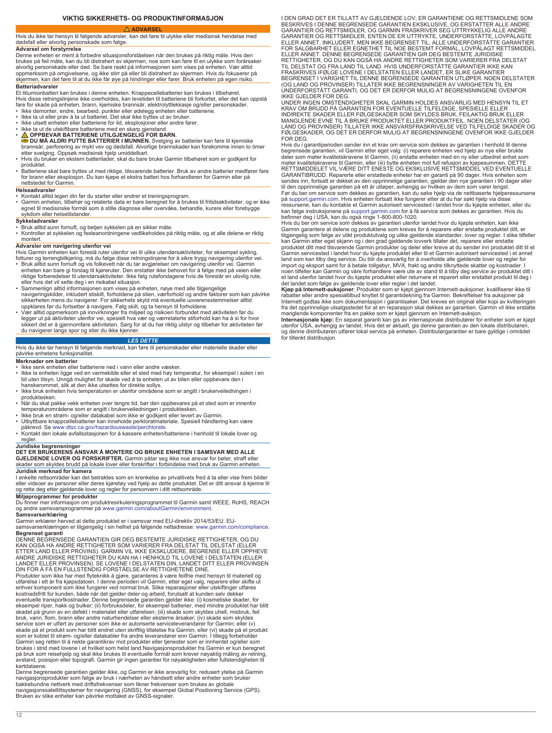# **VIKTIG SIKKERHETS- OG PRODUKTINFORMASJON**

# **ADVARSEL**

<span id="page-11-0"></span>Hvis du ikke tar hensyn til følgende advarsler, kan det føre til ulykke eller medisinsk hendelse med dødsfall eller alvorlig personskade som følge.

# **Advarsel om forstyrrelse**

Denne enheten er ment å forbedre situasjonsforståelsen når den brukes på riktig måte. Hvis den brukes på feil måte, kan du bli distrahert av skjermen, noe som kan føre til en ulykke som forårsaker alvorlig personskade eller død. Se bare raskt på informasjonen som vises på enheten. Vær alltid oppmerksom på omgivelsene, og ikke stirr på eller bli distrahert av skjermen. Hvis du fokuserer på skjermen, kan det føre til at du ikke får øye på hindringer eller farer. Bruk enheten på egen risiko. **Batteriadvarsler**

Et litiumionbatteri kan brukes i denne enheten. Knappecellebatterier kan brukes i tilbehøret. Hvis disse retningslinjene ikke overholdes, kan levetiden til batteriene bli forkortet, eller det kan oppstå

- fare for skade på enheten, brann, kjemiske brannsår, elektrolyttlekkasje og/eller personskader.<br>• Ikke demonter, endre, bearbeid, punkter eller ødelegg enheten eller batteriene.<br>• Ikke ta ut eller prøv å ta ut batteriet.
- 
- Ikke utsett enheten eller batteriene for ild, eksplosjoner eller andre farer.
- 
- 
- Ikke ta ut de utskiftbare batteriene med en skarp gjenstand.<br>• **△ OPPBEVAR BATTERIENE UTILGJENGELIG FOR BARN.**<br>● DU MA ALDRI PUTTE BATTERIER I MUNNEN. Svelging av batterier kan føre til kjemiske<br>brannsår, perforering av
- produktet.
- Batteriene skal bare byttes ut med riktige, tilsvarende batterier. Bruk av andre batterier medfører fare for brann eller eksplosjon. Du kan kjøpe et ekstra batteri hos forhandleren for Garmin eller på nettstedet for Garmin.

# **Helseadvarsler**

• Kontakt alltid legen din før du starter eller endrer et treningsprogram.

• Garmin enheten, tilbehør og relaterte data er bare beregnet for å brukes til fritidsaktiviteter, og er ikke egnet til medisinske formål som å stille diagnose eller overvåke, behandle, kurere eller forebygge sykdom eller helsetilstander.

### **Sykkeladvarsler**

- Bruk alltid sunn fornuft, og betjen sykkelen på en sikker måte.
- Kontroller at sykkelen og festeanordningene vedlikeholdes på riktig måte, og at alle delene er riktig montert.

**Advarsler om navigering utenfor vei**<br>Hvis Garmin enheten kan foreslå ruter utenfor vei til ulike utendørsaktiviteter, for eksempel sykling,

- fotturer og terrengbilkjøring, må du følge disse retningslinjene for å sikre trygg navigering utenfor vei. Bruk alltid sunn fornuft og vis folkevett når du tar avgjørelser om navigering utenfor vei. Garmin enheten kan bare gi forslag til kjøreruter. Den erstatter ikke behovet for å følge med på veien eller<br>riktige forberedelser til utendørsaktiviteter. Ikke følg ruteforslagene hvis de foreslår en ulovlig rute,
- eller hvis det vil sette deg i en risikabel situasjon. Sammenlign alltid informasjonen som vises på enheten, nøye med alle tilgjengelige navigeringskilder, inkludert stiskilt, forholdene på stien, værforhold og andre faktorer som kan påvirke<br>sikkerheten mens du navigerer. For sikkerhets skyld må eventuelle uoverensstemmelser alltid
- oppklares før du fortsetter å navigere. Følg skilt, og ta hensyn til forholdene.<br>• Vær alltid oppmerksom på innvirkninger fra miljøet og risikoen forbundet med aktiviteten før du<br>legger ut på aktiviteter utenfor vei, spesi du navigerer langs spor og stier du ikke kjenner.

### *LES DETTE*

# Hvis du ikke tar hensyn til følgende merknad, kan føre til personskader eller materielle skader eller

### påvirke enhetens funksjonalitet. **Merknader om batterier**

- Ikke senk enheten eller batteriene ned i vann eller andre væsker.
- Ikke la enheten ligge ved en varmekilde eller et sted med høy temperatur, for eksempel i solen i en<br>bil uten tilsyn. Unngå mulighet for skade ved å ta enheten ut av bilen eller oppbevare den i<br>hanskerommet, slik at den i
- 
- produktesken. Når du skal pakke vekk enheten over lengre tid, bør den oppbevares på et sted som er innenfor
- 
- temperaturområdene som er angitt i brukerveiledningen i produktesken.<br>• Ikke bruk en strøm- og/eller datakabel som ikke er godkjent eller levert av Garmin.<br>• Utbyttbare knappcellebatterier kan inneholde perkloratmateriale.
- Kontakt den lokale avfallsstasjonen for å kassere enheten/batteriene i henhold til lokale lover og regle

# **Juridiske begrensninger DET ER BRUKERENS ANSVAR Å MONTERE OG BRUKE ENHETEN I SAMSVAR MED ALLE**

**GJELDENDE LOVER OG FORSKRIFTER.** Garmin påtar seg ikke noe ansvar for bøter, straff eller skader som skyldes brudd på lokale lover eller forskrifter i forbindelse med bruk av Garmin enheten.

**Juridisk merknad for kamera** l enkelte rettsområder kan det betraktes som en krenkelse av privatlivets fred å ta eller vise frem bilder<br>eller videoer av personer eller deres kjøretøy ved hjelp av dette produktet. Det er ditt ansvar å kjenne til<br>og ret

Du finner mer informasjon om produktresirkuleringsprogrammet til Garmin samt WEEE, RoHS, REACH og andre samsvarsprogrammer på [www.garmin.com/aboutGarmin/environment.](http://www.garmin.com/aboutGarmin/environment)

# **Samsvarserklæring**

Garmin erklærer herved at dette produktet er i samsvar med EU-direktiv 2014/53/EU. EU-samsvarserklæringen er tilgjengelig i sin helhet på følgende nettadresse: [www.garmin.com/compliance](http://www.garmin.com/compliance).

**Begrenset garanti**<br>DENNE BEGRENSEDE GARANTIEN GIR DEG BESTEMTE JURIDISKE RETTIGHETER, OG DU<br>KAN OGSÅ HA ANDRE RETTIGHETER SOM VARIERER FRA DELSTAT TIL DELSTAT (ELLER ETTER LAND ELLER PROVINS). GARMIN VIL IKKE EKSKLUDERE, BEGRENSE ELLER OPPHEVE ANDRE JURIDISKE RETTIGHETER DU KAN HA I HENHOLD TIL LOVENE I DELSTATEN (ELLER LANDET ELLER PROVINSEN). SE LOVENE I DELSTATEN DIN, LANDET DITT ELLER PROVINSEN DIN FOR Å FÅ EN FULLSTENDIG FORSTÅELSE AV RETTIGHETENE DINE.

Produkter som ikke har med flyteknikk å gjøre, garanteres å være feilfrie med hensyn til materiell og utførelse i ett år fra kjøpsdatoen. I denne perioden vil Garmin, etter eget valg, reparere eller skifte ut enhver komponent som ikke fungerer ved normal bruk. Slike reparasjoner eller utskiftinger utføres kostnadsfritt for kunden, både når det gjelder deler og arbeid, forutsatt at kunden selv dekker eventuelle transportkostnader. Denne begrensede garantien gjelder ikke: (i) kosmetiske skader, for<br>eksempel riper, hakk og bulker; (ii) forbruksdeler, for eksempel batterier, med mindre produktet har blitt<br>skadet på grunn bruk, vann, flom, brann eller andre naturhendelser eller eksterne årsaker; (iv) skade som skyldes service som er utført av personer som ikke er autoriserte serviceleverandører for Garmin; eller (v) skade på et produkt som har blitt endret uten skriftlig tillatelse fra Garmin, eller (vi) skade på et produkt<br>som er koblet til strøm- og/eller datakabler fra andre leverandører enn Garmin. I tillegg forbeholder Garmin seg retten til å nekte garantikrav mot produkter eller tjenester som er innhentet og/eller som brukes i strid med lovene i et hvilket som helst land.Navigasjonsprodukter fra Garmin er kun beregnet<br>på bruk som reisehjelp og skal ikke brukes til eventuelle formål som krever nøyaktig måling av retning,<br>avstand, posisjo

kartdataene. Denne begrensede garantien gjelder ikke, og Garmin er ikke ansvarlig for, redusert ytelse på Garmin navigasjonsprodukter som følge av bruk i nærheten av håndsett eller andre enheter som bruker<br>bakkebundne nettverk med driftsfrekvenser som likner frekvenser som brukes av globale<br>navigasjonssatellittsystemer for navigering

I DEN GRAD DET ER TILLATT AV GJELDENDE LOV, ER GARANTIENE OG RETTSMIDLENE SOM BESKRIVES I DENNE BEGRENSEDE GARANTIEN EKSKLUSIVE, OG ERSTATTER ALLE ANDRE<br>GARANTIER OG RETTSMIDLER, OG GARMIN FRASKRIVER SEG UTTRYKKELIG ALLE ANDRE<br>GARANTIER OG RETTSMIDLER, ENTEN DE ER UTTRYKTE, UNDERFORSTÅTTE, LOVPÅLAGT FOR SALGBARHET ELLER EGNETHET TIL NOE BESTEMT FORMÅL, LOVPÅLAGT RETTSMIDDEL ELLER ANNET. DENNE BEGRENSEDE GARANTIEN GIR DEG BESTEMTE JURIDISKE RETTIGHETER, OG DU KAN OGSÅ HA ANDRE RETTIGHETER SOM VARIERER FRA DELSTAT<br>TIL DELSTAT OG FRA LAND TIL LAND. HVIS UNDERFORSTÅTTE GARANTIER IKKE KAN<br>FRASKRIVES IFØLGE LOVENE I DELSTATEN ELLER LANDET, ER SLIKE GARANTIER<br>BEGRE (OG LAND OG PROVINSER) TILLATER IKKE BEGRENSNINGER AV VARIGHETEN TIL EN UNDERFORSTÅTT GARANTI, OG DET ER DERFOR MULIG AT BEGRENSNINGENE OVENFOR

IKKE GJELDER FOR DEG.<br>UNDER INGEN OMSTENDIGHETER SKAL GARMIN HOLDES ANSVARLIG MED HENSYN TIL ET<br>KRAV OM BRUDD PÅ GARANTIEN FOR EVENTUELLE TILFELDIGE, SPESIELLE ELLER<br>INDIREKTE SKADER ELLER FØLGESKADER SOM SKYLDES BRUK, FEI FOR DEG.

Hvis du i garantiperioden sender inn et krav om service som dekkes av garantien i henhold til denne begrensede garantien, vil Garmin etter eget valg: (i) reparere enheten ved hjelp av nye eller brukte<br>deler som møter kvalitetskravene til Garmin, (ii) erstatte enheten med en ny eller utbedret enhet som<br>møter kvalitetskrav GARANTIBRUDD. Reparerte eller erstattede enheter har en garanti på 90 dager. Hvis enheten som sendes inn, fortsatt er dekket av den opprinnelige garantien, gjelder den nye garantien i 90 dager eller til den opprinnelige garantien på ett år utløper, avhengig av hvilken av dem som varer lengst.<br>Før du ber om service som dekkes av garantien, kan du søke hjelp via de nettbaserte hjelperessursene<br>på [support.garmin.com](http://www.support.garmin.com). Hvi

kan følge instruksjonene på [support.garmin.com](http://www.support.garmin.com) for å få service som dekkes av garantien. Hvis du<br>befinner deg i USA, kan du også ringe 1-800-800-1020.<br>Hvis du ber om service som dekkes av garantien utenfor landet hvor du k Garmin garantere at delene og produktene som kreves for å reparere eller erstatte produktet ditt, er tilgjengelig som følge av ulikt produktutvalg og ulike gjeldende standarder, lover og regler. I slike tilfeller kan Garmin etter eget skjønn og i den grad gjeldende lovverk tillater det, reparere eller erstatte<br>produktet ditt med tilsvarende Garmin produkter og deler eller kreve at du sender inn produktet ditt til et<br>Garmin services import og eksport samt for å betale tollgebyr, MVA, frakt og andre tilknyttede skatter og kostnader. I<br>noen tilfeller kan Garmin og våre forhandlere være ute av stand til å tilby deg service av produktet ditt i<br>et land ute

Kjøp på Internett-auksjoner: Produkter som er kjøpt gjennom Internett-auksjoner, kvalifiserer ikke til rabatter eller andre spesialtilbuld knyttet til garantidekning fra Garmin. Bekreftelser fra auksjoner på Ginternett god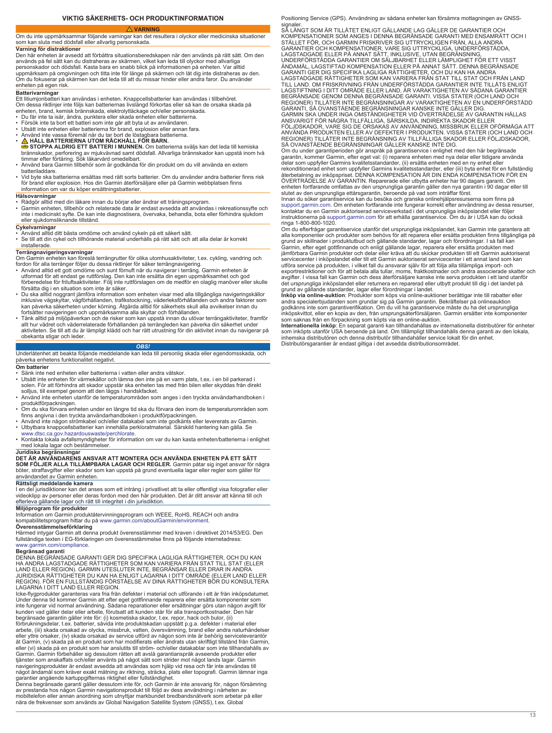# **VIKTIG SÄKERHETS- OCH PRODUKTINFORMATION**

 **VARNING**

<span id="page-12-0"></span>Om du inte uppmärksammar följande varningar kan det resultera i olyckor eller medicinska situationer som kan sluta med dödsfall eller allvarlig personskada.

**Varning för distraktioner**<br>Den här enheten är avsedd att förbättra situationsberedskapen när den används på rätt sätt. Om den<br>används på fel sätt kan du distraheras av skärmen, vilket kan leda till olyckor med allvarliga personskador och dödsfall. Kasta bara en snabb blick på informationen på enheten. Var alltid uppmärksam på omgivningen och titta inte för länge på skärmen och låt dig inte distraheras av den. Om du fokuserar på skärmen kan det leda till att du missar hinder eller andra faror. Du använder enheten på egen risk.

# **Batterivarningar**

Ett litiumjonbatteri kan användas i enheten. Knappcellsbatterier kan användas i tillbehöret. Om dessa riktlinjer inte följs kan batteriernas livslängd förkortas eller så kan de orsaka skada på enheten, brand, kemisk brännskada, elektrolytläckage och/eller personskada.

- 
- Du får inte ta isär, ändra, punktera eller skada enheten eller batterierna.
- Försök inte ta bort ett batteri som inte går att byta ut av användaren.<br>• Utsätt inte enheten eller batterierna för brand, explosion eller annan fara.<br>• Använd inte vassa föremål när du tar bort de löstagbara batterierna
- 
- 
- **A HALL BATTERIERNA UTOM RACKHALL FÖR BARN.**<br>**⊜ STOPPA ALDRIG ETT BATTERI I MUNNEN**. Om batterierna sväljs kan det leda till kemiska<br>brännskador, perforering av mjukvävnad samt dödsfall. Allvarliga brännskador kan uppst
- Använd bara Garmin tillbehör som är godkända för din produkt om du vill använda en extern batteriladdare.
- Vid byte ska batterierna ersättas med rätt sorts batterier. Om du använder andra batterier finns risk för brand eller explosion. Hos din Garmin återförsäljare eller på Garmin webbplatsen finns information om var du köper ersättningsbatterier.

### **Hälsovarningar**

- 
- ∙ Rådgör alltid med din läkare innan du börjar eller ändrar ett träningsprogram.<br>• Garmin enheten, tillbehör och relaterade data är endast avsedda att användas i rekreationssyfte och<br>• inte i medicinskt syfte. De kan eller sjukdomsliknande tillstånd.

### **Cykelvarningar**

- 
- Använd alltid ditt bästa omdöme och använd cykeln på ett säkert sätt. Se till att din cykel och tillhörande material underhålls på rätt sätt och att alla delar är korrekt installerade.

### **Terrängnavigeringsvarningar**

Om Garmin enheten kan föreslå terrängrutter för olika utomhusaktiviteter, t.ex. cykling, vandring och fordon för alla terränger följer du dessa riktlinjer för säker terrängnavigering.

- Använd alltid ett gott omdöme och sunt förnuft när du navigerar i terräng. Garmin enheten är<br>utformad för att endast ge rutförslag. Den kan inte ersätta din egen uppmärksamhet och god<br>förberedelse för friluftsaktiviteter
- Du ska alltid noggrant jämföra information som enheten visar med alla tillgängliga navigeringskällor inklusive vägskyltar, vägförhållanden, trafikstockning, väderleksförhållanden och andra faktorer som kan påverkas säker
- allt hur vädret och väderrelaterade förhållanden på terrängleden kan påverka din säkerhet under aktiviteten. Se till att du är lämpligt klädd och har rätt utrustning för din aktivitet innan du navigerar på obekanta stigar och leder.

### *OBS!*

Underlåtenhet att beakta följande meddelande kan leda till personlig skada eller egendomsskada, och påverka enhetens funktionalitet negativt.

### **Om batterier**

- Sänk inte ned enheten eller batterierna i vatten eller andra vätskor.
- Utsätt inte enheten för värmekällor och lämna den inte på en varm plats, t.ex. i en bil parkerad i<br> solen. För att förhindra att skador uppstår ska enheten tas med från bilen eller skyddas från direkt<br> solljus, till ex
- 
- Använd inte enheten utanför de temperaturområden som anges i den tryckta användarhandboken i<br>produktförpackningen.<br>• Om du ska förvara enheten under en längre tid ska du förvara den inom de temperaturområden som<br>• Använ
- 
- 
- [www.dtsc.ca.gov.hazardouswaste/perchlorate](http://www.dtsc.ca.gov/hazardouswaste/perchlorate). Kontakta lokala avfallsmyndigheter för information om var du kan kasta enheten/batterierna i enlighet med lokala lagar och bestämmelser.

Juridiska begränsningar<br>DET ÄR ANVÄNDARENS ANSVAR ATT MONTERA OCH ANVÄNDA ENHETEN PÅ ETT SÄTT<br>SOM FÖLJER ALLA TILLÄMPBARA LAGAR OCH REGLER. Garmin påtar sig inget ansvar för några böter, straffavgifter eller skador som kan uppstå på grund eventuella lagar eller regler som gäller för användandet av Garmin enheten.

### **Rättsligt meddelande kamera**

I en del jurisdiktioner kan det anses som ett intrång i privatlivet att ta eller offentligt visa fotografier eller videoklipp av personer eller deras fordon med den här produkten. Det är ditt ansvar att känna till och efterleva gällande lagar och rätt till integritet i din jurisdiktion.

**Miljöprogram för produkter**<br>Information om Garmin produktåtervinningsprogram och WEEE, RoHS, REACH och andra<br>kompabilitetsprogram hittar du på [www.garmin.com/aboutGarmin/environment.](http://www.garmin.com/aboutGarmin/environment)

**Överensstämmelseförklaring** Härmed intygar Garmin att denna produkt överensstämmer med kraven i direktivet 2014/53/EG. Den fullständiga texten i EG-förklaringen om överensstämmelse finns på följande internetadress: [www.garmin.com/compliance](http://www.garmin.com/compliance).

**Begränsad garanti** DENNA BEGRÄNSADE GARANTI GER DIG SPECIFIKA LAGLIGA RÄTTIGHETER, OCH DU KAN HA ANDRA LAGSTADGADE RÄTTIGHETER SOM KAN VARIERA FRÅN STAT TILL STAT (ELLER<br>LAND ELLER REGION). GARMIN UTESLUTER INTE, BEGRÄNSAR ELLER DRAR IN ANDRA<br>JURIDISKA RÄTTIGHETER DU KAN HA ENLIGT LAGARNA I DITT OMRÅDE (ELLER LAND REGION). FÖR EN FULLSTÄNDIG FÖRSTÅELSE AV DINA RÄTTIGHETER BÖR DU KONSULTERA LAGARNA I DITT LAND ELLER REGION.

Icke-flygprodukter garanteras vara fria från defekter i material och utförande i ett år från inköpsdatumet. Under denna tid kommer Garmin att efter eget gottfinnande reparera eller ersätta komponenter som<br>inte fungerar vid normal användning. Sådana reparationer eller ersättningar görs utan någon avgift för<br>kunden vad gäller dela begränsade garantin gäller inte för: (i) kosmetiska skador, t.ex. repor, hack och bulor, (ii) förbrukningsdelar, t.ex. batterier, såvida inte produktskadan uppstått p.g.a. defekter i material eller<br>arbete, (iii) skada orsakad av olycka, missbruk, vatten, översvämning, brand eller andra naturhändelser<br>eller yttre or

åt Garmin, (v) skada på en produkt som har modifierats eller ändrats utan skriftligt tillstånd från Garmin,<br>eller (vi) skada på en produkt som har anslutits till ström- och/eller datakablar som inte tillhandahålls av<br>Garmi navigeringsprodukter är endast avsedda att användas som hjälp vid resa och får inte användas till något ändamål som kräver exakt mätning av riktning, sträcka, plats eller topografi. Garmin lämnar inga

garantier angående kartuppgifternas riktighet eller fullständighet.<br>Denna begränsade garanti gäller dessutom inte för, och Garmin är inte ansvarig för, någon försämring<br>av prestanda hos någon Garmin navigationsprodukt till nära de frekvenser som används av Global Navigation Satellite System (GNSS), t.ex. Global

Positioning Service (GPS). Användning av sådana enheter kan försämra mottagningen av GNSS-

signaler.<br>SÅ LÅNGT SOM ÄR TILLÅTET ENLIGT GÄLLANDE LAG GÄLLER DE GARANTIER OCH<br>KOMPENSATIONER SOM ANGES I DENNA BEGRÄNSADE GARANTI MED ENSAMRÄTT OCH I<br>STÄLLET FÖR, OCH GARMIN FRISKRIVER SIG UTTRYCKLIGEN FRÅN, ALLA ANDRA GARANTIER OCH KOMPENSATIONER, VARE SIG UTTRYCKLIGA, UNDERFÖRSTÅDDA,<br>LAGSTADGADE ELLER PÅ ANNAT SÄTT, INKLUSIVE, UTAN BEGRÄNSNING,<br>UNDERFÖRSTÅDDA GARANTIER OM SÄLJBARHET ELLER LÄMPLIGHET FÖR ETT VISST<br>ÄNDAMÅL, LAGSTIFTAD KO TILL LAND. OM FRISKRIVNING FRÅN UNDERFÖRSTÅDDA GARANTIER INTE TILLÄTS ENLIGT<br>LAGSTIFTNING I DITT OMRÅDE ELLER LAND, ÄR VARAKTIGHETEN AV SÅDANA GARANTIER<br>BEGRÄNSADE GENOM DENNA BEGRÄNSADE GARANTI. VISSA STATER (OCH LAND OCH GARMIN SKA UNDER INGA OMSTÄNDIGHETER VID ÖVERTRÄDELSE AV GARANTIN HÅLLAS ANSVARIGT FÖR NÄGRA TILLFÄLLIGA, SÄRSKILDA, INDIREKTA SKADOR ELLER<br>FÖLJDSKADOR, VARE SIG DE ORSAKAS AV ANVÄNDNING, MISSBRUK ELLER OFÖRMÅGA ATT<br>ANVÄNDA PRODUKTEN ELLER AV DEFEKTER I PRODUKTEN. VISSA STATER (OCH LAND OCH REGIONER) TILLÅTER INTE BEGRÄNSNING AV TILLFÄLLIGA SKADOR ELLER FÖLJDSKADOR,<br>SÅ OVANSTÅENDE BEGRÄNSNINGAR GÄLLER KANSKE INTE DIG.

Om du under garantiperioden gör anspråk på garantiservice i enlighet med den här begränsade<br>garantin, kommer Garmin, efter eget val: (i) reparera enheten med nya delar eller tidigare använda<br>delar som uppfyller Garmins kva återbetalning av inköpspriset. DENNA KOMPENSATION ÄR DIN ENDA KOMPENSATION FÖR EN<br>ÖVERTRÄDELSE AV GARANTIN. Reparerade eller utbytta enheter har 90 dagars garanti. Om

enheten fortfarande omfattas av den ursprungliga garantin gäller den nya garantin i 90 dagar eller till<br>slutet av den ursprungliga ettårsgarantin, beroende på vad som inträffar först.<br>Innan du söker garantiservice kan du b kontaktar du en Garmin auktoriserad serviceverkstad i det ursprungliga inköpslandet eller följer instruktionerna på [support.garmin.com](http://www.support.garmin.com) för att erhålla garantiservice. Om du är i USA kan du också ringa 1-800-800-1020.

Om du efterfrågar garantiservice utanför det ursprungliga inköpslandet, kan Garmin inte garantera att alla komponenter och produkter som behövs för att reparera eller ersätta produkten finns tillgängliga på grund av skillnader i produktutbud och gällande standarder, lagar och förordningar. I så fall kan<br>Garmin, efter eget gotffinnande och enligt gällande lagar, reparera eller ersätta produkten med<br>jämförbara Garmin produkter utföra service på produkten, i vilket fall du ansvarar själv för att följa alla tillämpliga import- och exportrestriktioner och för att betala alla tullar, moms, fraktkostnader och andra associerade skatter och avgifter. I vissa fall kan Garmin och dess återförsäljare kanske inte serva produkten i ett land utanför det ursprungliga inköpslandet eller returnera en reparerad eller utbytt produkt till dig i det landet på

grund av gällande standarder, lagar eller förordningar i landet.<br>I**nköp via online-auktio**n: Produkter som köps via online-auktioner berättigar inte till rabatter eller<br>andra specialerbjudanden som grundar sig på Garmin ga

som saknas från en förpackning som köpts via en online-auktion.<br>**Internationella inköp**: En separat garanti kan tillhandahållas av internationella distributörer för enheter<br>som inköpts utanför USA beroende på land. Om till Distributörsgarantier är endast giltiga i det avsedda distributionsområdet.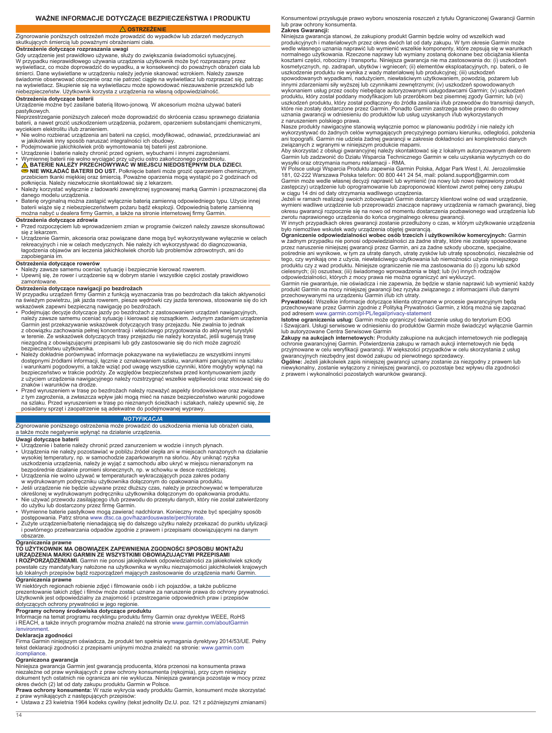# **WAŻNE INFORMACJE DOTYCZĄCE BEZPIECZEŃSTWA I PRODUKTU**

 **OSTRZEŻENIE**

<span id="page-13-0"></span>Zignorowanie poniższych ostrzeżeń może prowadzić do wypadków lub zdarzeń medycznych skutkujących śmiercią lub poważnymi obrażeniami ciała.

**Ostrzeżenie dotyczące rozpraszania uwagi**<br>Gdy urządzenie jest prawidłowo używane, służy do zwiększania świadomości sytuacyjnej.<br>W przypadku nieprawidłowego używania urządzenia użytkownik może być rozpraszany przez

wyświetlacz, co może doprowadzić do wypadku, a w konsekwencji do poważnych obrażeń ciała lub śmierci. Dane wyświetlane w urządzeniu należy jedynie skanować wzrokiem. Należy zawsze świadomie obserwować otoczenie oraz nie patrzeć ciągle na wyświetlacz lub rozpraszać się, patrząc<br>na wyświetlacz. Skupienie się na wyświetlaczu może spowodować niezauważenie przeszkód lub<br>niebezpieczeństw. Użytkownik korzy

**Ostrzeżenia dotyczące baterii** Urządzenie możne być zasilane baterią litowo-jonową. W akcesorium można używać baterii

pastylkowych.<br>Nieprzestrzeganie poniższych zaleceń może doprowadzić do skrócenia czasu sprawnego działania<br>baterii, a nawet grozić uszkodzeniem urządzenia, pożarem, oparzeniem substancjami chemicznymi,<br>wyciekiem elektrolit

- 
- 
- 
- Nie wolno rozbierać urządzenia ani baterii na części, modyfikować, odnawiać, przedziurawiać ani<br>
w jakikolwiek inny sposób naruszać integralności ich obudowy.<br>
 Podejmowanie jakichkolwiek prób wymontowania tej baterii
- danego modelu urządzenia.
- Baterię oryginalną można zastąpić wyłącznie baterią zamienną odpowiedniego typu. Użycie innej<br>baterii wiąże się z niebezpieczeństwem pożaru bądź eksplozji. Odpowiednią baterię zamienną<br>można nabyć u dealera firmy Garmin,

### **Ostrzeżenia dotyczące zdrowia**

- Przed rozpoczęciem lub wprowadzeniem zmian w programie ćwiczeń należy zawsze skonsultować się z lekarzem.
- Urządzenie Garmin, akcesoria oraz powiązane dane mogą być wykorzystywane wyłącznie w celach<br>rekreacyjnych i nie w celach medycznych. Nie należy ich wykorzystywać do diagnozowania,<br>łagodzenia objawów ani leczenia jakichko zapobiegania im.

# **Ostrzeżenia dotyczące rowerów**

- 
- Należy zawsze samemu oceniać sytuację i bezpiecznie kierować rowerem. Upewnij się, że rower i urządzenie są w dobrym stanie i wszystkie części zostały prawidłowo zamontowane.

### **Ostrzeżenia dotyczące nawigacji po bezdrożach**

W przypadku urządzeń firmy Garmin z funkcją wyznaczania tras po bezdrożach dla takich aktywności na świeżym powietrzu, jak jazda rowerem, piesze wędrówki czy jazda terenowa, stosowanie się do ich

- wskazówek zapewni bezpieczną nawigację po bezdrożach.<br>• Podejmując decyzje dotyczące jazdy po bezdrożach z zastosowaniem urządzeń nawigacyjnych,<br>należy zawsze samemu oceniać sytuację i kierować się rozsądkiem. Jedynym zada z obowiązku zachowania pełnej koncentracji i właściwego przygotowania do aktywnej turystyki<br>w terenie. Ze wskazówek dotyczących trasy przejazdu nie należy korzystać, jeśli sugerują trasę<br>niezgodną z obowiązującymi przepisa bezpieczeństwu użytkownika. • Należy dokładnie porównywać informacje pokazywane na wyświetlaczu ze wszystkimi innymi
- dostępnymi źródłami informacji, łącznie z oznakowaniem szlaku, warunkami panującymi na szlaku<br>i warunkami pogodowymi, a także wziąć pod uwagę wszystkie czynniki, które mogłyby wpłynąć na<br>bezpieczeństwo w trakcie podróży. Z
- znaków i warunków na drodze. Przed wyruszeniem w trasę po bezdrożach należy rozważyć aspekty środowiskowe oraz związane z tym zagrożenia, a zwłaszcza wpływ jaki mogą mieć na nasze bezpieczeństwo warunki pogodowe<br>na szlaku. Przed wyruszeniem w trasę po nieznanych ścieżkach i szlakach, należy upewnić się, że<br>posiadany sprzęt i zaopatrzenie są

# *NOTYFIKACJA*

Zignorowanie poniższego ostrzeżenia może prowadzić do uszkodzenia mienia lub obrażeń ciała, a także może negatywnie wpłynąć na działanie urządzenia.

# **Uwagi dotyczące baterii**

- Urządzenie i baterie należy chronić przed zanurzeniem w wodzie i innych płynach.
- Urządzenia nie należy pozostawiać w pobliżu źródeł ciepła ani w miejscach narażonych na działanie wysokiej temperatury, np. w samochodzie zaparkowanym na słońcu. Aby uniknąć ryzyka
- uszkodzenia urządzenia, należy je wyjąć z samochodu albo ukryć w miejscu nienarażonym na<br>bezpośrednie działanie promieni słonecznych, np. w schowku w desce rozdzielczej.<br>• Urządzenia nie wolno używać w temperaturach wykrac
- Jeśli urządzenie nie będzie używane przez dłuższy czas, należy je przechowywać w temperaturze określonej w wydrukowanym podręczniku użytkownika dołączonym do opakowania produktu.
- 
- Nie używać przewodu zasilającego i/lub przewodu do przesyłu danych, który nie został zatwierdzony<br>do użytku lub dostarczony przez firmę Garmin.<br>• Wymienne baterie pastylkowe mogą zawierać nadchloran. Konieczny może być s
- obszarze.

### **Ograniczenia prawne**

# **TO UŻYTKOWNIK MA OBOWIĄZEK ZAPEWNIENIA ZGODNOŚCI SPOSOBU MONTAŻU URZĄDZENIA MARKI GARMIN ZE WSZYSTKIMI OBOWIĄZUJĄCYMI PRZEPISAMI**

**I ROZPORZĄDZENIAMI.** Garmin nie ponosi jakiejkolwiek odpowiedzialności za jakiekolwiek szkody<br>powstałe czy mandaty/kary nałożone na użytkownika w wyniku nieznajomości jakichkolwiek krajowych<br>lub lokalnych przepisów bądź r **Ograniczenia prawne**

W niektórych regionach robienie zdjęć i filmowanie osób i ich pojazdów, a także publiczne prezentowanie takich zdjęć i filmów może zostać uznane za naruszenie prawa do ochrony prywatności.<br>Użytkownik jest odpowiedzialny za znajomość i przestrzeganie odpowiednich praw i przepisów<br>dotyczących ochrony prywatności

# **Programy ochrony środowiska dotyczące produktu**

Informacje na temat programu recyklingu produktu firmy Garmin oraz dyrektyw WEEE, RoHS i REACH, a także innych programów można znaleźć na stronie [www.garmin.com/aboutGarmin](http://www.garmin.com/aboutGarmin/environment) [/environment.](http://www.garmin.com/aboutGarmin/environment)

### **Deklaracja zgodności**

Firma Garmin niniejszym oświadcza, że produkt ten spełnia wymagania dyrektywy 2014/53/UE. Pełny tekst deklaracji zgodności z przepisami unijnymi można znaleźć na stronie: [www.garmin.com](http://www.garmin.com/compliance) [/compliance](http://www.garmin.com/compliance).

### **Ograniczona gwarancja**

Niniejsza gwarancja Garmin jest gwarancją producenta, która przenosi na konsumenta prawa niezależne od praw wynikających z praw ochrony konsumenta (rękojmia), przy czym niniejszy dokument tych ostatnich nie ogranicza ani nie wyklucza. Niniejsza gwarancja pozostaje w mocy przez<br>okres dwóch (2) lat od daty zakupu produktu Garmin w Polsce.<br>**Prawa ochrony konsumenta:** W razie wykrycia wady produktu Gar

Konsumentowi przysługuje prawo wyboru wnoszenia roszczeń z tytułu Ograniczonej Gwarancji Garmin lub praw ochrony konsumenta. **Zakres Gwarancji:**

Niniejsza gwarancja stanowi, że zakupiony produkt Garmin będzie wolny od wszelkich wad produkcyjnych i materiałowych przez okres dwóch lat od daty zakupu. W tym okresie Garmin może wedle własnego uznania naprawić lub wymienić wszelkie komponenty, które zepsują się w warunkach normalnego użytkowania. Rzeczone naprawy lub wymiany zostaną dokonane bez obciążania klienta kosztami części, robocizny i transportu. Niniejsza gwarancja nie ma zastosowania do: (i) uszkodzeń<br>kosmetycznych, np. zadrapań, ubytków i wgnieceń; (ii) elementów eksploatacyjnych, np. baterii, o ile<br>uszkodzenie produktu n innymi zdarzeniami siły wyższej lub czynnikami zewnętrznymi; (iv) uszkodzeń spowodowanych wykonaniem usług przez osoby niebędące autoryzowanymi usługodawcami Garmin; (v) uszkodzeń produktu, który został poddany modyfikacjom lub przeróbkom bez pisemnej zgody Garmin; lub (vi)<br>uszkodzeń produktu, który został podłączony do źródła zasilania i/lub przewodów do transmisji danych,<br>które nie zostały dostarc

z naruszeniem polskiego prawa.<br>Nasze produkty nawigacyjne stanowią wyłącznie pomoc w planowaniu podróży i nie należy ich<br>wykorzystywać do żadnych celów wymagających precyzyjnego pomiaru kierunku, odległości, położenia<br>ani

Aby skorzystać z obsługi gwarancyjnej należy skontaktować się z lokalnym autoryzowanym dealerem<br>Garmin lub zadzwonić do Działu Wsparcia Technicznego Garmin w celu uzyskania wytycznych co do<br>wysyłki oraz otrzymania numeru r

181, 02-222 Warszawa Polska telefon: 00 800 441 24 54, mail: poland.support@garmin.com<br>Garmin może wedle własnej decyzji naprawić lub wymienić (na nowy lub nowo naprawiony produkt<br>Zastępczy) urządzenie lub oprogramowanie l

okresu gwarancji rozpocznie się na nowo od momentu dostarczenia pozbawionego wad urządzenia lub<br>zwrotu naprawionego urządzenia do końca oryginalnego okresu gwarancji.<br>W innych przypadkach okres gwarancji zostanie przedłużo

w żadnym przypadku nie ponosi odpowiedzialności za żadne straty, które nie zostały spowodowane<br>przez naruszenie niniejszej gwarancji przez Garmin, ani za żadne szkody uboczne, specjalne,<br>pośrednie ani wynikowe, w tym za ut

produktu czy z wad produktu. Niniejsze ograniczenie nie ma zastosowania do (i) zgonu lub szkód<br>cielesnych; (ii) oszustwa; (iii) świadomego wprowadzenia w błąd; lub (iv) innych rodzajów<br>odpowiedzialności, których z mocy pra

produkt Garmin na mocy niniejszej gwarancji bez ryzyka związanego z informacjami i/lub danymi przechowywanymi na urządzeniu Garmin i/lub ich utraty.

**Prywatność:** Wszelkie informacje dotyczące klienta otrzymane w procesie gwarancyjnym będą<br>przechowywane przez Garmin zgodnie z Polityką Prywatności Garmin, z którą można się zapoznać<br>pod adresem www.garmin.com/pl-PL/legal

i Szwajcarii. Usługi serwisowe w odniesieniu do produktów Garmin może świadczyć wyłącznie Garmin<br>lub autoryzowane Centra Serwisowe Garmin<br>**Zakupy na aukcjach internetowych:** Produkty zakupione na aukcjach internetowych nie

ochronie gwarancyjnej Garmin. Potwierdzenia zakupu w ramach aukcji internetowych nie będą przyjmowane w celu weryfikacji gwarancji. W większości przypadków w celu skorzystania z usług

gwarancyjnych niezbędny jest dowód zakupu od pierwotnego sprzedawcy.<br>**Ogólne:** Jeżeli jakikolwiek zapis niniejszej gwarancji urznany zostanie za niezgodny z prawem lub<br>niewykonalny, zostanie wyłączony z niniejszej gwarancj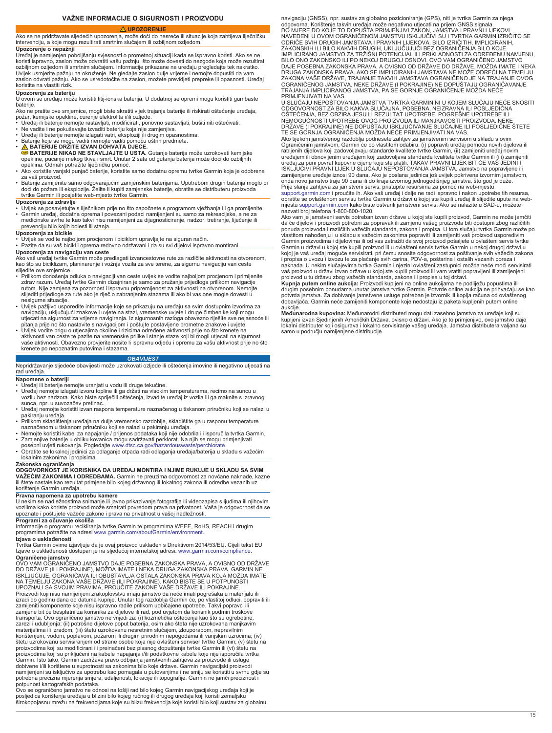### **UPOZORENJE**

<span id="page-14-0"></span>Ako se ne pridržavate sljedećih upozorenja, može doći do nesreće ili situacije koja zahtijeva liječničku intervenciju, a koje mogu rezultirati smrtnim slučajem ili ozbiljnom ozljedom. **Upozorenje o nepažnji**

Uređaj je namijenjen poboljšanju svjesnosti o prometnoj situaciji kada se ispravno koristi. Ako se ne koristi ispravno, zaslon može odvratiti vašu pažnju, što može dovesti do nezgode koja može rezultirati ozbiljnom ozljedom ili smrtnim slučajem. Informacije prikazane na uređaju pregledajte tek nakratko. Uvijek usmjerite pažnju na okruženje. Ne gledajte zaslon dulje vrijeme i nemojte dopustiti da vam zaslon odvrati pažnju. Ako se usredotočite na zaslon, možete previdjeti prepreke ili opasnosti. Uređaj koristite na vlastiti rizik.

# **Upozorenja za bateriju**

U ovom se uređaju može koristiti litij-ionska baterija. U dodatnoj se opremi mogu koristiti gumbaste baterije.

Ako ne pratite ove smjernice, mogli biste skratiti vijek trajanja baterije ili riskirati oštećenje uređaja,

- požar, kemijske opekline, curenje elektrolita i/ili ozljede.<br>• Uređaj ili baterije nemojte rastavljati, modificirati, ponovno sastavljati, bušiti niti oštećivati.<br>• Ne vadite i ne pokušavajte izvaditi bateriju koja nije
- 
- 
- 

• Baterije koje se mogu vaditi nemojte vaditi pomoću oštrih predmeta.<br>● A TERIJE DRŽITE IZVAN DOHVATA DJECE.<br>● BATERIJE NIKAD NE STAVLJAJTE U USTA. Gutanje baterija može uzrokovati kemijske<br>opekline, pucanje mekog tkiva i

- opeklina. Odmah potražite liječničku pomoć. Ako koristite vanjski punjač baterije, koristite samo dodatnu opremu tvrtke Garmin koja je odobrena za vaš proizvod.
- Baterije zamijenite samo odgovarajućim zamjenskim baterijama. Upotrebom drugih baterija moglo bi<br> doći do požara ili eksplozije. Želite li kupiti zamjenske baterije, obratite se distributeru proizvoda<br>tvrtke Garmin ili

### **Upozorenja za zdravlje**

∙ Uvijek se posavjetujte s liječnikom prije no što započnete s programom vježbanja ili ga promijenite.<br>• Garmin uređaj, dodatna oprema i povezani podaci namijenjeni su samo za rekreacijske, a ne za<br>• medicinske svrhe prevenciju bilo kojih bolesti ili stanja.

**Upozorenja za bicikle**<br>• Uvijek se vodite najboljom procjenom i biciklom upravljajte na siguran način.<br>• Pazite da su vaš bicikl i oprema redovno održavani i da su svi dijelovi ispravno montirani.

**Upozorenja za navigaciju van ceste**

- Ako vaš uređaj tvrtke Garmin može predlagati izvancestovne rute za različite aktivnosti na otvorenom,<br>kao što su biciklizam, planinarenje i vožnja vozila za sve terene, za sigurnu navigaciju van ceste
- slijedite ove smjernice.<br>• Prilikom donošenja r • Prilikom donošenja odluka o navigaciji van ceste uvijek se vodite najboljom procjenom i primijenite<br>2drav razum. Uređaj tvrtke Garmin dizajniran je samo za pružanje prijedloga prilikom navigacije<br>10tom. Nije zamjena za slijediti prijedloge za rute ako je riječ o zabranjenim stazama ili ako bi vas one mogle dovesti u nesigurne situacije.
- Uvijek pažljivo usporedite informacije koje se prikazuju na uređaju sa svim dostupnim izvorima za<br> navigaciju, uključujući znakove i uvjete na stazi, vremenske uvjete i druge čimbenike koji mogu<br> utjecati na sigurnost
- pitanja prije no što nastavite s navigacijom i poštujte postavljene prometne znakove i uvjete.<br>• Uvijek vodite brigu o utjecajima okoline i rizicima određene aktivnosti prije no što krenete na<br>aktivnosti van ceste te pazit krenete po nepoznatim putovima i stazama.

### *OBAVIJEST*

### Nepridržavanje sljedeće obavijesti može uzrokovati ozljede ili oštećenja imovine ili negativno utjecati na rad uređaja.

### **Napomene o bateriji**

- 
- Uređaj ili baterije nemojte uranjati u vodu ili druge tekućine. Uređaj nemojte izlagati izvoru topline ili ga držati na visokim temperaturama, recimo na suncu u vozilu bez nadzora. Kako biste spriječili oštećenja, izvadite uređaj iz vozila ili ga maknite s izravnog sunca, npr. u suvozačev pretinac.
- Uređaj nemojte koristiti izvan raspona temperature naznačenog u tiskanom priručniku koji se nalazi u
- pakiranju uređaja. Prilikom skladištenja uređaja na dulje vremensko razdoblje, skladištite ga u rasponu temperature
- naznačenom u tiskanom priručniku koji se nalazi u pakiranju uređaja.<br>▪ Zemojte koristiti kabel za napajanje / prijenos podataka koji nije odobrila ili isporučila tvrtka Garmin.<br>▪ Zamjenjive baterije u obliku kovanica mogu
- Obratite se lokalnoj jedinici za odlaganje otpada radi odlaganja uređaja/baterija u skladu s važećim lokalnim zakonima i propisima.

### **Zakonska ograničenja**

**ODGOVORNOST JE KORISNIKA DA UREĐAJ MONTIRA I NJIME RUKUJE U SKLADU SA SVIM VAŽEĆIM ZAKONIMA I ODREDBAMA.** Garmin ne preuzima odgovornost za novčane naknade, kazne<br>ili štete nastale kao rezultat primjene bilo kojeg državnog ili lokalnog zakona ili odredbe vezanih uz korištenje Garmin uređaja.

# **Pravna napomena za upotrebu kamere**

U nekim se nadležnostima snimanje ili javno prikazivanje fotografija ili videozapisa s ljudima ili njihovim<br>vozilima kako koriste proizvod može smatrati povredom prava na privatnost. Vaša je odgovornost da se<br>upoznate i po

# **Programi za očuvanje okoliša**

Informacije o programu recikliranja tvrtke Garmin te programima WEEE, RoHS, REACH i drugim programima potražite na adresi [www.garmin.com/aboutGarmin/environment.](http://www.garmin.com/aboutGarmin/environment)

**Izjava o usklađenosti**<br>Tvrtka Garmin ovime izjavljuje da je ovaj proizvod usklađen s Direktivom 2014/53/EU. Cijeli tekst EU Izjave o usklađenosti dostupan je na sljedećoj internetskoj adresi: [www.garmin.com/compliance](http://www.garmin.com/compliance) **Ograničeno jamstvo**

OVO VAM OGRANIČENO JAMSTVO DAJE POSEBNA ZAKONSKA PRAVA, A OVISNO OD DRŽAVE DO DRŽAVE (ILI POKRAJINE), MOŽDA IMATE I NEKA DRUGA ZAKONSKA PRAVA. GARMIN NE<br>ISKLJUČUJE, OGRANIČAVA ILI OBUSTAVLJA OSTALA ZAKONSKA PRAVA KOJA MOŽDA IMATE NA TEMELJU ZAKONA VASE DRŽAVE (ILI POKRAJINE). KAKO BISTE SE U POTPUNOSTI<br>UPOZNALI SA SVOJIM PRAVIMA, PROUČITE ZAKONE VAŠE DRŽAVE ILI POKRAJINE.<br>Proizvodi koji nisu namijenjeni zrakoplovstvu imaju jamstvo da neće imati pog izradi do godinu dana od datuma kupnje. Unutar tog razdoblja Garmin će, po vlastitoj odluci, popraviti ili<br>zamijeniti komponente koje nisu ispravno radile prilikom uobičajene upotrebe. Takvi popravci ili zamjene bit će besplatni za korisnika za dijelove ili rad, pod uvjetom da korisnik podmiri troškove transporta. Ovo ograničeno jamstvo ne vrijedi za: (i) kozmetička oštećenja kao što su ogrebotine, zarezi i udubljenja; (ii) potrošne dijelove poput baterija, osim ako šteta nije uzrokovana manjkavim<br>materijalima ili izradom; (iii) štetu uzrokovanu nesretnim slučajem, zlouporabom, nepravilnim<br>korištenjem, vodom, poplavo štetu uzrokovanu servisiranjem od strane osobe koja nije ovlašteni serviser tvrtke Garmin; (v) štetu na<br>proizvodima koji su modificirani ili preinačeni bez pisanog dopuštenja tvrtke Garmin ili (vi) štetu na<br>proizvodima koj dobivene i/ili korištene u suprotnosti sa zakonima bilo koje države. Garmin navigacijski proizvodi namijenjeni su isključivo za upotrebu kao pomagala u putovanjima i ne smiju se koristiti u svrhu gdje su

potrebna precizna mjerenja smjera, udaljenosti, lokacije ili topografije. Garmin ne jamči preciznost i<br>potpunost kartografskih podataka.<br>Ovo se ograničeno jamstvo ne odnosi na lošiji rad bilo kojeg Garmin navigacijskog ure širokopojasnu mrežu na frekvencijama koje su blizu frekvencija koje koristi bilo koji sustav za globalnu navigaciju (GNSS), npr. sustav za globalno pozicioniranje (GPS), niti je tvrtka Garmin za njega odgovorna. Korištenje takvih uređaja može negativno utjecati na prijem GNSS signala.<br>DO MJERE DO KOJE TO DOPUŠTA PRIMJENJIVI ZAKON, JAMSTVA I PRAVNI LIJEKOVI<br>NAVEDENI U OVOM OGRANIČENOM JAMSTVU ISKLJUČIVI SU I TVRTKA GARMI ZAKONSKIH ILI BILO KAKVIH DRUGIH, UKLJUĆUJUĆI BEZ OGRANIČENJA BILO KOJE<br>IMPLICIRANO JAMSTVO ZA TRŽIŠNI POTENCIJAL ILI PRIKLADNOSTI ZA ODREĐENU NAMJENU,<br>BILO ONO ZAKONSKO ILI PO NEKOJ DRUGOJ OSNOVI, OVO VAM OGRANIČENO JAMST OGRANIČENOG JAMSTVA. NEKE DRŽAVE (I POKRAJINE) NE DOPUŠTAJU OGRANIČAVANJE TRAJANJA IMPLICIRANOG JAMSTVA, PA SE GORNJE OGRANIČENJE MOŽDA NEĆE PRIMJENJIVATI NA VAS.

U SLUČAJU NEPOŠTOVANJA JAMSTVA TVRTKA GARMIN NI U KOJEM SLUČAJU NEĆE SNOSITI<br>ODGOVORNOST ZA BILO KAKVA SLUČAJNA, POSEBNA, NEIZRAVNA ILI POSLJEDIČNA OSTECENJA, BEZ OBZIRA JESU LI REZULTAT UPOTREBE, POGRESNE UPOTREBE ILI<br>NEMOGUČNOSTI UPOTREBE OVOG PROIZVODA ILI MANJKAVOSTI PROIZVODA. NEKE<br>DRŽAVE (I POKRAJINE) NE DOPUŠTAJU ISKLJUČIVANJE SLUČAJNE ILI POSLJEDIČNE ŠTETE<br>TE

Ako tijekom jamstvenog razdoblja podnesete zahtjev za jamstvenim servisom u skladu s ovim Ograničenim jamstvom, Garmin će po vlastitom odabiru: (i) popraviti uređaj pomoću novih dijelova ili rabljenih dijelova koji zadovoljavaju standarde kvalitete tvrtke Garmin, (ii) zamijeniti uređaj novim<br>uređajem ili obnovljenim uređajem koji zadovoljava standarde kvalitete tvrtke Garmin ili (iii) zamijeniti<br>uređaj za puni zamijenjene uređaje iznosi 90 dana. Ako je poslana jedinica još uvijek pokrivena izvornim jamstvom, onda novo jamstvo traje 90 dana ili do kraja izvornog jednogodišnjeg jamstva, što god je duže.

Prije slanja zahtjeva za jamstveni servis, pristupite resursima za pomoć na web-mjestu<br>[support.garmin.com](http://www.support.garmin.com) i proučite ih. Ako vaš uređaj i dalje ne radi ispravno i nakon upotrebe tih resursa,<br>obratite se ovlaštenom servisu nazvati broj telefona 1-800-800-1020.

Ako vam je jamstveni servis potreban izvan države u kojoj ste kupili proizvod, Garmin ne može jamčiti<br>da će dijelovi i proizvodi potrebni za popravak ili zamjenu vašeg proizvoda biti dostupni zbog različitih<br>ponuda proizvo Garmin proizvodima i dijelovima ili od vas zatražiti da svoj proizvod pošaljete u ovlašteni servis tvrtke<br>Garmin u državi u kojoj ste kupili proizvod ili u ovlašteni servis tvrtke Garmin u nekoj drugoj državi u<br>kojoj je va naknada. U nekim slučajevima tvrtka Garmin i njezini ovlašteni zastupnici možda neće moći servisirati<br>vaš proizvod u državi izvan države u kojoj ste kupili proizvod ili vam vratiti popravljeni ili zamijenjeni<br>proizvod u tu

drugim posebnim ponudama unutar jamstva tvrtke Garmin. Potvrde online aukcija ne prihvaćaju se kao potvrda jamstva. Za dobivanje jamstvene usluge potreban je izvornik ili kopija računa od ovlaštenog dobavljača. Garmin neće zamijeniti komponente koje nedostaju iz paketa kupljenih putem online aukcije.

**Međunarodna kupovina:** Međunarodni distributeri mogu dati zasebno jamstvo za uređaje koji su kupljeni izvan Sjedinjenih Američkih Država, ovisno o državi. Ako je to primjenjivo, ovo jamstvo daje<br>lokalni distributer koji osigurava i lokalno servisiranje vašeg uređaja. Jamstva distributera valjana su<br>samo u području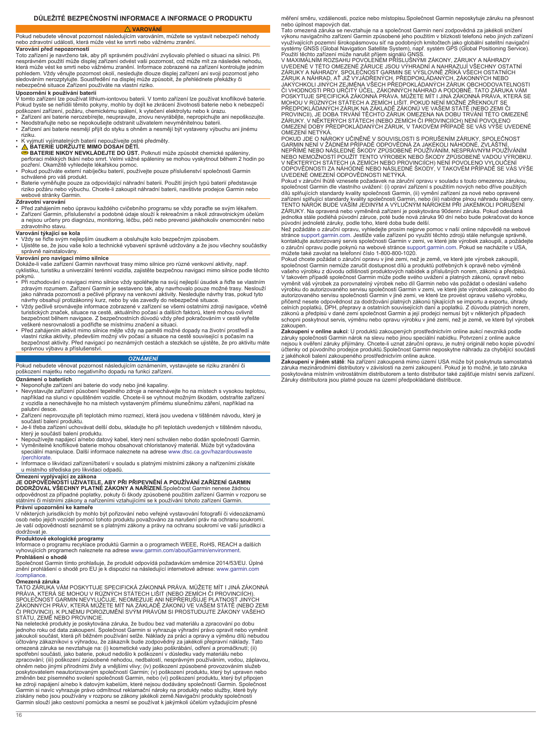# **VAROVÁNÍ**

<span id="page-15-0"></span>Pokud nebudete věnovat pozornost následujícím varováním, můžete se vystavit nebezpečí nehody nebo zdravotní události, která může vést ke smrti nebo vážnému zranění. **Varování před nepozorností**

Toto zařízení je navrženo tak, aby při správném používání zvyšovalo přehled o situaci na silnici. Při nesprávném použití může displej zařízení odvést vaši pozornost, což může mít za následek nehodu, která může vést ke smrti nebo vážnému zranění. Informace zobrazené na zařízení kontrolujte jedním<br>pohledem. Vždy věnujte pozornost okolí, nesledujte dlouze displej zařízení ani svoji pozornost jeho sledováním nerozptylujte. Soustředění na displej může způsobit, že přehlédnete překážky či nebezpečné situace Zařízení používáte na vlastní riziko.

### **Upozornění k používání baterií**

V tomto zařízení lze používat lithium-iontovou baterii. V tomto zařízení lze používat knoflíkové baterie.<br>Pokud byste se neřídili těmito pokyny, mohlo by dojít ke zkrácení životnosti baterie nebo k nebezpečí<br>poškození zaří

- Zařízení ani baterie nerozebírejte, neupravujte, znovu nevyrábějte, nepropichujte ani nepoškozujte. Neodstraňujte nebo se nepokoušejte odstranit uživatelem nevyměnitelnou baterii.
- Zařízení ani baterie nesmějí přijít do styku s ohněm a nesmějí být vystaveny výbuchu ani jinému riziku.
- 
- K vyjmutí vyjímatelných baterií nepoužívejte ostré předměty.<br>● BATERIE UDRŽUJTE MIMO DOSAH DĚTÍ.<br>● BATERIE NIKDY NEVKLÁDEJTE DO ÚST. Polknutí může způsobit chemické spáleniny,<br>perforaci měkkých tkání nebo smrt. Velmi vá
- pozření. Okamžitě vyhledejte lékařskou pomoc. Pokud používáte externí nabíječku baterií, používejte pouze příslušenství společnosti Garmin
- schválené pro váš produkt.
- Baterie vyměňujte pouze za odpovídající náhradní baterii. Použití jiných typů baterií představuje riziko požáru nebo výbuchu. Chcete-li zakoupit náhradní baterii, navštivte prodejce Garmin nebo webové stránky Garmin.

# **Zdravotní varování**

• Před zahájením nebo úpravou každého cvičebního programu se vždy poraďte se svým lékařem.<br>• Zařízení Garmin, příslušenství a podobné údaje slouží k rekreačním a nikoli zdravotnickým účelům<br>• a nejsou určeny pro diagnózu, zdravotního stavu.

- **Varování týkající se kola** Vždy se řiďte svým nejlepším úsudkem a obsluhujte kolo bezpečným způsobem.
- Ujistěte se, že jsou vaše kolo a technické vybavení správně udržovány a že jsou všechny součástky správně nainstalovány.

**Varování pro navigaci mimo silnice**<br>Dokáže-li vaše zařízení Garmin navrhovat trasy mimo silnice pro různé venkovní aktivity, např. cyklistiku, turistiku a univerzální terénní vozidla, zajistěte bezpečnou navigaci mimo silnice podle těchto

- pokynů. Při rozhodování o navigaci mimo silnice vždy spoléhejte na svůj nejlepší úsudek a řiďte se vlastním zdravým rozumem. Zařízení Garmin je sestaveno tak, aby navrhovalo pouze možné trasy. Neslouží jako náhrada pozornosti a pečlivé přípravy na venkovní aktivity. Nesledujte návrhy tras, pokud tyto<br>návrhy obsahují protizákonný kurz, nebo by vás zavedly do nebezpečné situace.
- Vždy pečlivě srovnávejte informace zobrazené v zařízení se všemi ostatními zdroji navigace, včetně turistických značek, situace na cestě, aktuálního počasí a dalších faktorů, které mohou ovlivnit bezpečnost během navigace. Z bezpečnostních důvodů vždy před pokračováním v cestě vyřešte veškeré nesrovnalosti a podřiďte se místnímu značení a situaci.
- Před zahájením aktivit mimo silnice mějte vždy na paměti možné dopady na životní prostředí a vlastní rizika aktivity, především možný vliv počasí a situace na cestě související s počasím na bezpečnost aktivity. Před navigací po neznámých cestách a stezkách se ujistěte, že pro aktivitu máte správnou výbavu a příslušenství.

### *OZNÁMENÍ*

# Pokud nebudete věnovat pozornost následujícím oznámením, vystavujete se riziku zranění či poškození majetku nebo negativního dopadu na funkci zařízení.

**Oznámení o bateriích**

- 
- Neponořujte zařízení ani baterie do vody nebo jiné kapaliny. Nevystavujte zařízení působení tepelného zdroje a nenechávejte ho na místech s vysokou teplotou, například na slunci v opuštěném vozidle. Chcete-li se vyhnout možným škodám, odstraňte zařízení z vozidla a nenechávejte ho na místech vystaveným přímému slunečnímu záření, například na palubní desce.
- Zařízení neprovozujte při teplotách mimo rozmezí, která jsou uvedena v tištěném návodu, který je součástí balení produktu.
- Je-li třeba zařízení uchovávat delší dobu, skladujte ho při teplotách uvedených v tištěném návodu, který je součástí balení produktu.
- Nepoužívejte napájecí a/nebo datový kabel, který není schválen nebo dodán společností Garmin.<br>• Vyměnitelné knoflíkové baterie mohou obsahovat chloristanový materiál. Může být vyžadována<br>• speciální manipulace. Další inf [/perchlorate.](http://www.dtsc.ca.gov/hazardouswaste/perchlorate)
- Informace o likvidaci zařízení/baterií v souladu s platnými místními zákony a nařízeními získáte u místního střediska pro likvidaci odpadů.

# **Omezení vyplývající ze zákona JE ODPOVĚDNOSTÍ UŽIVATELE, ABY PŘI PŘIPEVNĚNÍ A POUŽÍVÁNÍ ZAŘÍZENÍ GARMIN**

**DODRŽOVAL VŠECHNY PLATNÉ ZÁKONY A NAŘÍZENÍ.**Společnost Garmin nenese žádnou odpovědnost za případné poplatky, pokuty či škody způsobené použitím zařízení Garmin v rozporu se<br>státními či místními zákony a nařízeními vztahujícími se k používání tohoto zařízení Garmin. **Právní upozornění ke kameře**

V některých jurisdikcích by mohlo být pořizování nebo veřejné vystavování fotografií či videozáznamů osob nebo jejich vozidel pomocí tohoto produktu považováno za narušení práv na ochranu soukromí. Je vaší odpovědností seznámit se s platnými zákony a právy na ochranu soukromí ve vaší jurisdikci a

# dodržovat je.

**Produktové ekologické programy**<br>Informace o programu recyklace produktů Garmin a o programech WEEE, RoHS, REACH a dalších<br>vyhovujících programech naleznete na adrese [www.garmin.com/aboutGarmin/environment](http://www.garmin.com/aboutGarmin/environment). **Prohlášení o shodě**

Společnost Garmin tímto prohlašuje, že produkt odpovídá požadavkům směrnice 2014/53/EU. Úplné znění prohlášení o shodě pro EU je k dispozici na následující internetové adrese: [www.garmin.com](http://www.garmin.com/compliance) [/compliance](http://www.garmin.com/compliance).

### **Omezená záruka**

TATO ZÁRUKA VÁM POSKYTUJE SPECIFICKÁ ZÁKONNÁ PRÁVA. MŮŽETE MÍT I JINÁ ZÁKONNÁ<br>PRÁVA, KTERÁ SE MOHOU V RŮZNÝCH STÁTECH LIŠIT (NEBO ZEMÍCH ČI PROVINCIÍCH).<br>SPOLEČNOST GARMIN NEVYLUČUJE, NEOMEZUJE ANI NEPŘERUŠUJE PLATNOST JIN ZÁKONNÝCH PRÁV, KTERÁ MŮŽETE MÍT NA ZÁKLADĚ ZÁKONŮ VE VAŠEM STÁTĚ (NEBO ZEMI<br>ČI PROVINCII). K PLNÉMU POROZUMĚNÍ SVÝM PRÁVŮM SI PROSTUDUJTE ZÁKONY VAŠEHO STÁTU, ZEMĚ NEBO PROVINCIE.

Na neletecké produkty je poskytována záruka, že budou bez vad materiálu a zpracování po dobu<br>jednoho roku od data zakoupení. Společnost Garmin si vyhrazuje výhradní právo opravit nebo vyměnit<br>jakoukoli součást, která při b účtovány zákazníkovi s výhradou, že zákazník bude zodpovědný za jakékoli přepravní náklady. Tato<br>omezená záruka se nevztahuje na: (i) kosmetické vady jako poškrábání, odření a promáčknutí; (ii)<br>spotřební součásti, jako bat ohněm nebo jinými přírodními živly a vnějšími vlivy; (iv) poškození způsobené provozováním služeb<br>poskytovatelem neautorizovaným společností Garmin; (v) poškození produktu, který byl upraven nebo změněn bez písemného svolení společnosti Garmin, nebo (vi) poškození produktu, který byl připojen<br>ke zdroji napájení a/nebo k datovým kabelům, které nejsou dodávány společností Garmin. Společnost<br>Garmin si navíc vyhrazuje Garmin slouží jako cestovní pomůcka a nesmí se používat k jakýmkoli účelům vyžadujícím přesné

měření směru, vzdálenosti, pozice nebo místopisu. Společnost Garmin neposkytuje záruku na přesnost<br>nebo úplnost mapových dat.

nebo úplnost mapových dat.<br>Tato omezená záruka se nevztahuje na a společnost Garmin není zodpovědná za jakékoli snížení<br>Tato omezená záruka se nevztahuje na a společnostím v blízkosti telefonů nebo jiných zařízení<br>využívaj

JAKÝCHKOLI JINÝCH ZEJMÉNA VŠECH PŘEDPOKLÁDANÝCH ZÁRUK OBCHODOVATELNOSTI<br>ČI VHODNOSTI PRO URČITÝ ÚČEL, ZÁKONNÝCH NÁHRAD A PODOBNĚ. TATO ZÁRUKA VÁM<br>POSKYTUJE SPECIFICKÁ ZÁKONNÁ PRÁVA. MŮŽETE MÍT I JINÁ ZÁKONNÁ PRÁVA, KTERÁ S PROVINCII), JE DOBA TRVÁNÍ TÉCHTO ZÁRUK OMEZENA NA DOBU TRVÁNÍ TÉTO OMEZENÉ<br>ZÁRUKY. V NĚKTERÝCH STÁTECH (NEBO ZEMÍCH ČI PROVINCIÍCH) NENÍ POVOLENO<br>OMEZENÍ DOBY PŘEDPOKLÁDANÝCH ZÁRUK, V TAKOVÉM PŘÍPADĚ SE VÁS VÝŠE UVEDENÉ OMEZENÍ NETÝKÁ.

POKUD JDE O NAROKY UČINĚNÉ V SOUVISLOSTI S PORUSENIM ZARUKY, SPOLEČNOST<br>GARMIN NENÍ V ŽÁDNÉM PŘÍPADĚ ODPOVĚDNÁ ZA JAKÉKOLI NÁHODNÉ, ZVLÁŠTNÍ,<br>NEPŘÍMÉ NEBO NÁSLEDNÉ ŠKODY ZPŮSOBENÉ POUŽÍVÁNÍM, NESPRÁVNÝM POUŽÍVÁNÍM<br>NEBO NEM

UVEDENÉ OMEZENÍ ODPOVĚDNOSTI NETÝKÁ. Pokud v záruční lhůtě vznesete požadavek na záruční opravu v souladu s touto omezenou zárukou, společnost Garmin dle vlastního uvážení: (i) opraví zařízení s použitím nových nebo dříve použitých<br>dílů splňujících standardy kvality společnosti Garmin, (ii) vymění zařízení za nové nebo opravené<br>zařízení splňující stand TENTO NÁROK BUDE VAŠÍM JEDINÝM A VÝLUČNÝM NÁROKEM PŘI JAKÉMKOLI PORUŠENÍ ZÁRUKY. Na opravená nebo vyměněná zařízení je poskytována 90denní záruka. Pokud odeslaná jednotka stále podléhá původní záruce, poté bude nová záruka 90 dní nebo bude pokračovat do konce původní jednoleté záruky, podle toho, které doba bude delší.

Než požádáte o záruční opravu, vyhledejte prosím nejprve pomoc v naší online nápovědě na webové stránce [support.garmin.com](http://www.support.garmin.com). Jestliže vaše zařízení po využití těchto zdrojů stále nefunguje správně, kontaktujte autorizovaný servis společnosti Garmin v zemi, ve které jste výrobek zakoupili, a požádejte<br>o záruční opravu podle pokynů na webové stránce [support.garmin.com](http://www.support.garmin.com). Pokud se nacházíte v USA,<br>můžete také zavolat na t

společnost Garmin nemůže zaručit dostupnost dílů a produktů potřebných k opravě nebo výměně<br>vašeho výrobku z důvodu odlišnosti produktových nabídek a příslušných norem, zákonů a předpisů.<br>V takovém případě společnost Garmi výrobku do autorizovaného servisu společnosti Garmin v zemi, ve které jste výrobek zakoupili, nebo do autorizovaného servisu společnosti Garmin v jiné zemi, ve které lze provést opravu vašeho výrobku, přičemž nesete odpovědnost za dodržování platných zákonů týkajících se importu a exportu, úhrady<br>celních poplatků, DPH, přepravy a ostatních souvisejících daní a poplatků. Z důvodu platných norem,<br>zákonů a předpisů v dané zakoupen.

**Zakoupení v online aukci**: U produktů zakoupených prostřednictvím online aukcí nevzniká podle záruky společnosti Garmin nárok na slevu nebo jinou speciální nabídku. Potvrzení z online aukce nejsou k ověření záruky přijímány. Chcete-li uznat záruční opravu, je nutný originál nebo kopie původní účtenky od původního prodejce produktů.Společnost Garmin neposkytne náhradu za chybějící součásti z jakéhokoli balení zakoupeného prostřednictvím online aukce. **Zakoupení v jiném státě**: Na zařízení zakoupená mimo území USA může být poskytnuta samostatná

záruka mezinárodními distributory v závislosti na zemi zakoupení. Pokud je to možné, je tato záruka poskytována místním vnitrostátním distributorem a tento distributor také zajišťuje místní servis zařízení. Záruky distributora jsou platné pouze na území předpokládané distribuce.